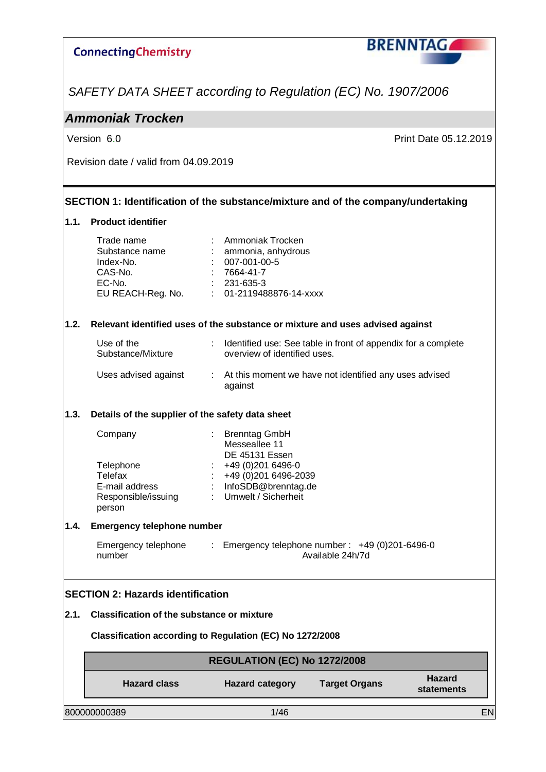

*SAFETY DATA SHEET according to Regulation (EC) No. 1907/2006*

### *Ammoniak Trocken*

Version 6.0 **Print Date 05.12.2019** 

Revision date / valid from 04.09.2019

#### **SECTION 1: Identification of the substance/mixture and of the company/undertaking**

#### **1.1. Product identifier**

|      | Trade name                                                                    |  | Ammoniak Trocken                            |                                                               |                             |    |
|------|-------------------------------------------------------------------------------|--|---------------------------------------------|---------------------------------------------------------------|-----------------------------|----|
|      | Substance name<br>Index-No.                                                   |  | ammonia, anhydrous<br>007-001-00-5          |                                                               |                             |    |
|      | CAS-No.                                                                       |  | 7664-41-7                                   |                                                               |                             |    |
|      | EC-No.<br>EU REACH-Reg. No.                                                   |  | 231-635-3<br>01-2119488876-14-xxxx          |                                                               |                             |    |
|      |                                                                               |  |                                             |                                                               |                             |    |
| 1.2. | Relevant identified uses of the substance or mixture and uses advised against |  |                                             |                                                               |                             |    |
|      | Use of the<br>Substance/Mixture                                               |  | overview of identified uses.                | Identified use: See table in front of appendix for a complete |                             |    |
|      | Uses advised against                                                          |  | against                                     | : At this moment we have not identified any uses advised      |                             |    |
| 1.3. | Details of the supplier of the safety data sheet                              |  |                                             |                                                               |                             |    |
|      | Company                                                                       |  | <b>Brenntag GmbH</b><br>Messeallee 11       |                                                               |                             |    |
|      | Telephone                                                                     |  | <b>DE 45131 Essen</b><br>+49 (0) 201 6496-0 |                                                               |                             |    |
|      | <b>Telefax</b>                                                                |  | +49 (0) 201 6496-2039                       |                                                               |                             |    |
|      | E-mail address                                                                |  | : InfoSDB@brenntag.de                       |                                                               |                             |    |
|      | Responsible/issuing<br>person                                                 |  | : Umwelt / Sicherheit                       |                                                               |                             |    |
| 1.4. | <b>Emergency telephone number</b>                                             |  |                                             |                                                               |                             |    |
|      | Emergency telephone                                                           |  |                                             | : Emergency telephone number: $+49(0)201-6496-0$              |                             |    |
|      | number                                                                        |  |                                             | Available 24h/7d                                              |                             |    |
|      | <b>SECTION 2: Hazards identification</b>                                      |  |                                             |                                                               |                             |    |
| 2.1. | <b>Classification of the substance or mixture</b>                             |  |                                             |                                                               |                             |    |
|      | Classification according to Regulation (EC) No 1272/2008                      |  |                                             |                                                               |                             |    |
|      |                                                                               |  | <b>REGULATION (EC) No 1272/2008</b>         |                                                               |                             |    |
|      | <b>Hazard class</b>                                                           |  | <b>Hazard category</b>                      | <b>Target Organs</b>                                          | <b>Hazard</b><br>statements |    |
|      | 800000000389                                                                  |  | 1/46                                        |                                                               |                             | EN |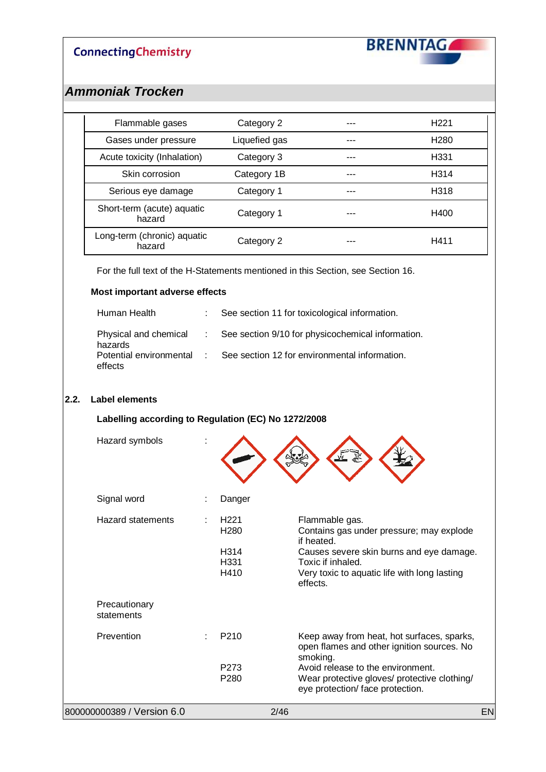**BRENNTAG** 

### *Ammoniak Trocken*

| Flammable gases                       | Category 2    | H <sub>221</sub> |
|---------------------------------------|---------------|------------------|
| Gases under pressure                  | Liquefied gas | H <sub>280</sub> |
| Acute toxicity (Inhalation)           | Category 3    | H331             |
| Skin corrosion                        | Category 1B   | H314             |
| Serious eye damage                    | Category 1    | H318             |
| Short-term (acute) aquatic<br>hazard  | Category 1    | H400             |
| Long-term (chronic) aquatic<br>hazard | Category 2    | H411             |

For the full text of the H-Statements mentioned in this Section, see Section 16.

#### **Most important adverse effects**

| Human Health                         | See section 11 for toxicological information.                             |
|--------------------------------------|---------------------------------------------------------------------------|
| hazards                              | Physical and chemical : See section 9/10 for physicochemical information. |
| Potential environmental :<br>effects | See section 12 for environmental information.                             |

#### $|2.2|$

| Label elements                                      |                                                              |                                                                                                                                                                                                       |
|-----------------------------------------------------|--------------------------------------------------------------|-------------------------------------------------------------------------------------------------------------------------------------------------------------------------------------------------------|
| Labelling according to Regulation (EC) No 1272/2008 |                                                              |                                                                                                                                                                                                       |
| Hazard symbols                                      |                                                              |                                                                                                                                                                                                       |
| Signal word                                         | Danger                                                       |                                                                                                                                                                                                       |
| <b>Hazard statements</b>                            | H <sub>221</sub><br>H <sub>280</sub><br>H314<br>H331<br>H410 | Flammable gas.<br>Contains gas under pressure; may explode<br>if heated.<br>Causes severe skin burns and eye damage.<br>Toxic if inhaled.<br>Very toxic to aquatic life with long lasting<br>effects. |
| Precautionary<br>statements                         |                                                              |                                                                                                                                                                                                       |
| Prevention                                          | P <sub>210</sub>                                             | Keep away from heat, hot surfaces, sparks,<br>open flames and other ignition sources. No<br>smoking.                                                                                                  |
|                                                     | P273<br>P <sub>280</sub>                                     | Avoid release to the environment.<br>Wear protective gloves/ protective clothing/<br>eye protection/ face protection.                                                                                 |

800000000389 / Version 6.0 2/46 EN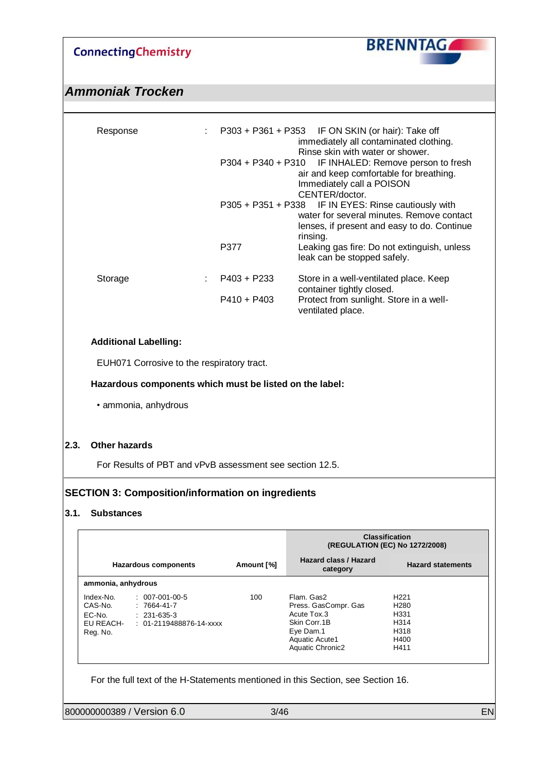**BRENNTAG** 

### *Ammoniak Trocken*

| Response |               | $\therefore$ P303 + P361 + P353 IF ON SKIN (or hair): Take off<br>immediately all contaminated clothing.<br>Rinse skin with water or shower.                 |
|----------|---------------|--------------------------------------------------------------------------------------------------------------------------------------------------------------|
|          |               | P304 + P340 + P310 IF INHALED: Remove person to fresh<br>air and keep comfortable for breathing.<br>Immediately call a POISON<br>CENTER/doctor.              |
|          |               | P305 + P351 + P338 IF IN EYES: Rinse cautiously with<br>water for several minutes. Remove contact<br>lenses, if present and easy to do. Continue<br>rinsing. |
|          | P377          | Leaking gas fire: Do not extinguish, unless<br>leak can be stopped safely.                                                                                   |
| Storage  | $P403 + P233$ | Store in a well-ventilated place. Keep<br>container tightly closed.                                                                                          |
|          | $P410 + P403$ | Protect from sunlight. Store in a well-<br>ventilated place.                                                                                                 |

#### **Additional Labelling:**

EUH071 Corrosive to the respiratory tract.

#### **Hazardous components which must be listed on the label:**

• ammonia, anhydrous

#### **2.3. Other hazards**

For Results of PBT and vPvB assessment see section 12.5.

#### **SECTION 3: Composition/information on ingredients**

#### **3.1. Substances**

|                                                         |                                                                                      |            |                                                                                                                              | <b>Classification</b><br>(REGULATION (EC) No 1272/2008)                                  |
|---------------------------------------------------------|--------------------------------------------------------------------------------------|------------|------------------------------------------------------------------------------------------------------------------------------|------------------------------------------------------------------------------------------|
|                                                         | <b>Hazardous components</b>                                                          | Amount [%] | Hazard class / Hazard<br>category                                                                                            | <b>Hazard statements</b>                                                                 |
| ammonia, anhydrous                                      |                                                                                      |            |                                                                                                                              |                                                                                          |
| Index-No.<br>CAS-No.<br>EC-No.<br>EU REACH-<br>Reg. No. | $: 007-001-00-5$<br>$: 7664 - 41 - 7$<br>$: 231-635-3$<br>$: 01-2119488876-14$ -xxxx | 100        | Flam, Gas2<br>Press. GasCompr. Gas<br>Acute Tox.3<br>Skin Corr. 1B<br>Eye Dam.1<br>Aquatic Acute1<br><b>Aquatic Chronic2</b> | H <sub>221</sub><br>H <sub>280</sub><br>H <sub>331</sub><br>H314<br>H318<br>H400<br>H411 |

For the full text of the H-Statements mentioned in this Section, see Section 16.

800000000389 / Version 6.0 3/46 3246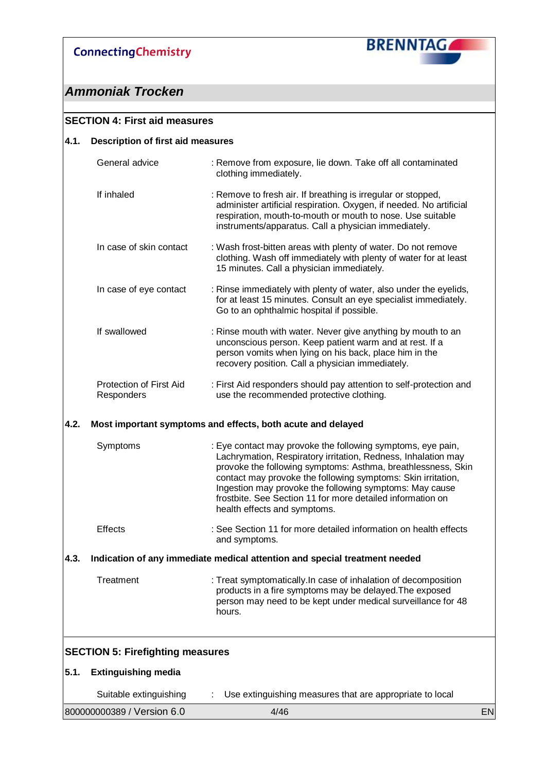

### *Ammoniak Trocken*

### **SECTION 4: First aid measures 4.1. Description of first aid measures** General advice : Remove from exposure, lie down. Take off all contaminated clothing immediately. If inhaled : Remove to fresh air. If breathing is irregular or stopped, administer artificial respiration. Oxygen, if needed. No artificial respiration, mouth-to-mouth or mouth to nose. Use suitable instruments/apparatus. Call a physician immediately. In case of skin contact : Wash frost-bitten areas with plenty of water. Do not remove clothing. Wash off immediately with plenty of water for at least 15 minutes. Call a physician immediately. In case of eye contact : Rinse immediately with plenty of water, also under the eyelids, for at least 15 minutes. Consult an eye specialist immediately. Go to an ophthalmic hospital if possible. If swallowed : Rinse mouth with water. Never give anything by mouth to an unconscious person. Keep patient warm and at rest. If a person vomits when lying on his back, place him in the recovery position. Call a physician immediately. Protection of First Aid Responders : First Aid responders should pay attention to self-protection and use the recommended protective clothing. **4.2. Most important symptoms and effects, both acute and delayed** Symptoms : Eye contact may provoke the following symptoms, eye pain, Lachrymation, Respiratory irritation, Redness, Inhalation may provoke the following symptoms: Asthma, breathlessness, Skin contact may provoke the following symptoms: Skin irritation, Ingestion may provoke the following symptoms: May cause frostbite. See Section 11 for more detailed information on health effects and symptoms. Effects : See Section 11 for more detailed information on health effects and symptoms. **4.3. Indication of any immediate medical attention and special treatment needed** Treatment : Treat symptomatically.In case of inhalation of decomposition products in a fire symptoms may be delayed.The exposed person may need to be kept under medical surveillance for 48 hours. **SECTION 5: Firefighting measures 5.1. Extinguishing media** Suitable extinguishing : Use extinguishing measures that are appropriate to local

800000000389 / Version 6.0  $4/46$  EN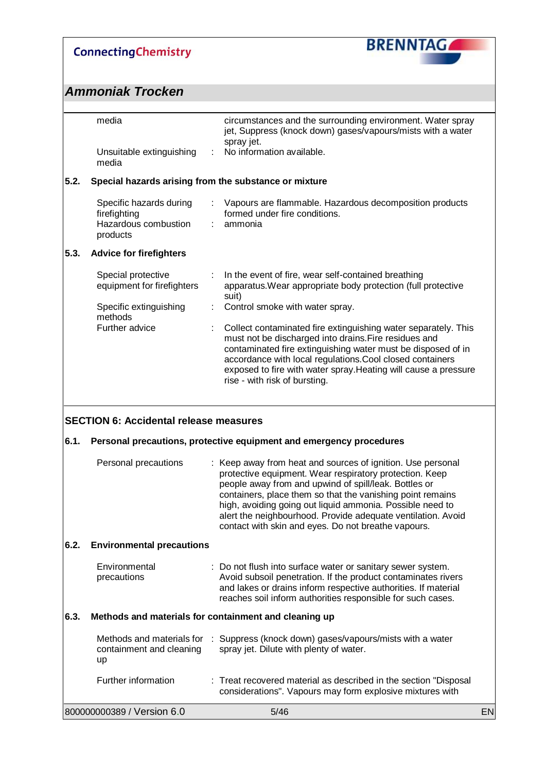

|      | media                                                                       | circumstances and the surrounding environment. Water spray<br>jet, Suppress (knock down) gases/vapours/mists with a water<br>spray jet.                                                                                                                                                                                                                                                                                         |    |
|------|-----------------------------------------------------------------------------|---------------------------------------------------------------------------------------------------------------------------------------------------------------------------------------------------------------------------------------------------------------------------------------------------------------------------------------------------------------------------------------------------------------------------------|----|
|      | Unsuitable extinguishing<br>media                                           | No information available.                                                                                                                                                                                                                                                                                                                                                                                                       |    |
| 5.2. | Special hazards arising from the substance or mixture                       |                                                                                                                                                                                                                                                                                                                                                                                                                                 |    |
|      | Specific hazards during<br>firefighting<br>Hazardous combustion<br>products | Vapours are flammable. Hazardous decomposition products<br>formed under fire conditions.<br>ammonia                                                                                                                                                                                                                                                                                                                             |    |
| 5.3. | <b>Advice for firefighters</b>                                              |                                                                                                                                                                                                                                                                                                                                                                                                                                 |    |
|      | Special protective<br>equipment for firefighters                            | In the event of fire, wear self-contained breathing<br>apparatus. Wear appropriate body protection (full protective<br>suit)                                                                                                                                                                                                                                                                                                    |    |
|      | Specific extinguishing<br>methods                                           | Control smoke with water spray.                                                                                                                                                                                                                                                                                                                                                                                                 |    |
|      | Further advice                                                              | Collect contaminated fire extinguishing water separately. This<br>must not be discharged into drains. Fire residues and<br>contaminated fire extinguishing water must be disposed of in<br>accordance with local regulations. Cool closed containers<br>exposed to fire with water spray. Heating will cause a pressure<br>rise - with risk of bursting.                                                                        |    |
|      | <b>SECTION 6: Accidental release measures</b>                               |                                                                                                                                                                                                                                                                                                                                                                                                                                 |    |
| 6.1. |                                                                             | Personal precautions, protective equipment and emergency procedures                                                                                                                                                                                                                                                                                                                                                             |    |
|      | Personal precautions                                                        | Keep away from heat and sources of ignition. Use personal<br>protective equipment. Wear respiratory protection. Keep<br>people away from and upwind of spill/leak. Bottles or<br>containers, place them so that the vanishing point remains<br>high, avoiding going out liquid ammonia. Possible need to<br>alert the neighbourhood. Provide adequate ventilation. Avoid<br>contact with skin and eyes. Do not breathe vapours. |    |
| 6.2. | <b>Environmental precautions</b>                                            |                                                                                                                                                                                                                                                                                                                                                                                                                                 |    |
|      | Environmental<br>precautions                                                | : Do not flush into surface water or sanitary sewer system.<br>Avoid subsoil penetration. If the product contaminates rivers<br>and lakes or drains inform respective authorities. If material<br>reaches soil inform authorities responsible for such cases.                                                                                                                                                                   |    |
| 6.3. | Methods and materials for containment and cleaning up                       |                                                                                                                                                                                                                                                                                                                                                                                                                                 |    |
|      | Methods and materials for<br>containment and cleaning<br>up                 | Suppress (knock down) gases/vapours/mists with a water<br>spray jet. Dilute with plenty of water.                                                                                                                                                                                                                                                                                                                               |    |
|      | Further information                                                         | : Treat recovered material as described in the section "Disposal<br>considerations". Vapours may form explosive mixtures with                                                                                                                                                                                                                                                                                                   |    |
|      | 800000000389 / Version 6.0                                                  | 5/46                                                                                                                                                                                                                                                                                                                                                                                                                            | EN |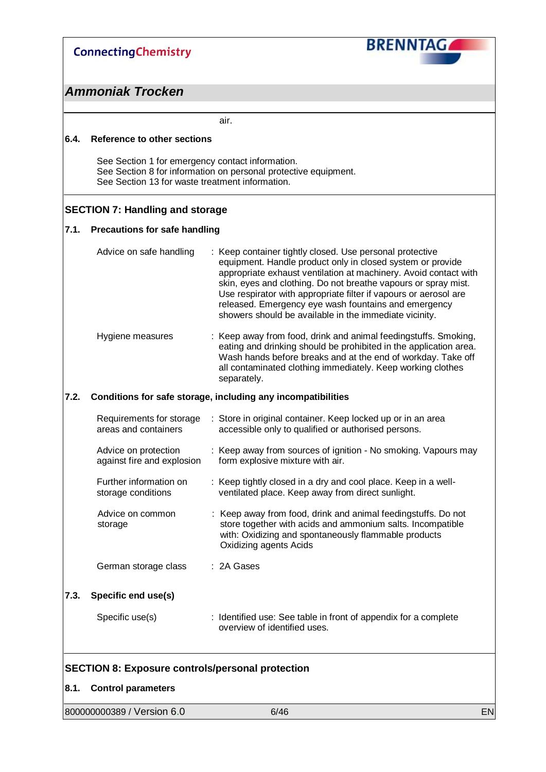**BRENNTAG** 

### *Ammoniak Trocken*

air.

#### **6.4. Reference to other sections**

See Section 1 for emergency contact information. See Section 8 for information on personal protective equipment. See Section 13 for waste treatment information.

#### **SECTION 7: Handling and storage**

#### **7.1. Precautions for safe handling**

| Advice on safe handling | : Keep container tightly closed. Use personal protective<br>equipment. Handle product only in closed system or provide<br>appropriate exhaust ventilation at machinery. Avoid contact with<br>skin, eyes and clothing. Do not breathe vapours or spray mist.<br>Use respirator with appropriate filter if vapours or aerosol are<br>released. Emergency eye wash fountains and emergency<br>showers should be available in the immediate vicinity. |
|-------------------------|----------------------------------------------------------------------------------------------------------------------------------------------------------------------------------------------------------------------------------------------------------------------------------------------------------------------------------------------------------------------------------------------------------------------------------------------------|
| Hygiene measures        | : Keep away from food, drink and animal feedingstuffs. Smoking,<br>eating and drinking should be prohibited in the application area.<br>Wash hands before breaks and at the end of workday. Take off                                                                                                                                                                                                                                               |

all contaminated clothing immediately. Keep working clothes

#### **7.2. Conditions for safe storage, including any incompatibilities**

separately.

|      | Requirements for storage<br>areas and containers   | : Store in original container. Keep locked up or in an area<br>accessible only to qualified or authorised persons.                                                                                            |
|------|----------------------------------------------------|---------------------------------------------------------------------------------------------------------------------------------------------------------------------------------------------------------------|
|      | Advice on protection<br>against fire and explosion | : Keep away from sources of ignition - No smoking. Vapours may<br>form explosive mixture with air.                                                                                                            |
|      | Further information on<br>storage conditions       | : Keep tightly closed in a dry and cool place. Keep in a well-<br>ventilated place. Keep away from direct sunlight.                                                                                           |
|      | Advice on common<br>storage                        | : Keep away from food, drink and animal feedingstuffs. Do not<br>store together with acids and ammonium salts. Incompatible<br>with: Oxidizing and spontaneously flammable products<br>Oxidizing agents Acids |
|      | German storage class                               | : 2A Gases                                                                                                                                                                                                    |
| 7.3. | Specific end use(s)                                |                                                                                                                                                                                                               |
|      | Specific use(s)                                    | : Identified use: See table in front of appendix for a complete<br>overview of identified uses.                                                                                                               |

#### **SECTION 8: Exposure controls/personal protection**

#### **8.1. Control parameters**

| 800000000389 / Version 6.0 | 6/46 |  |
|----------------------------|------|--|
|                            |      |  |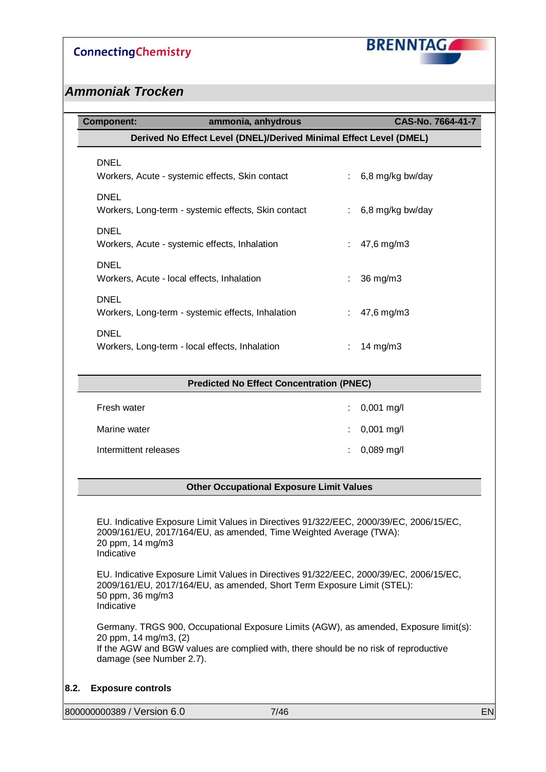

### *Ammoniak Trocken*

| <b>Component:</b>                                                  | ammonia, anhydrous                              |    | CAS-No. 7664-41-7 |
|--------------------------------------------------------------------|-------------------------------------------------|----|-------------------|
| Derived No Effect Level (DNEL)/Derived Minimal Effect Level (DMEL) |                                                 |    |                   |
| <b>DNEL</b><br>Workers, Acute - systemic effects, Skin contact     |                                                 | ÷. | 6,8 mg/kg bw/day  |
| <b>DNEL</b><br>Workers, Long-term - systemic effects, Skin contact |                                                 | ÷  | 6,8 mg/kg bw/day  |
| <b>DNEL</b><br>Workers, Acute - systemic effects, Inhalation       |                                                 |    | 47,6 mg/m3        |
| <b>DNEL</b><br>Workers, Acute - local effects, Inhalation          |                                                 |    | 36 mg/m3          |
| <b>DNEL</b><br>Workers, Long-term - systemic effects, Inhalation   |                                                 |    | 47,6 mg/m3        |
| <b>DNEL</b><br>Workers, Long-term - local effects, Inhalation      |                                                 | ÷. | 14 mg/m3          |
|                                                                    | <b>Predicted No Effect Concentration (PNEC)</b> |    |                   |
| Fresh water                                                        |                                                 |    | $0,001$ mg/l      |
| Marine water                                                       |                                                 |    | $0,001$ mg/l      |
| Intermittent releases                                              |                                                 |    | 0,089 mg/l        |
|                                                                    | <b>Other Occupational Exposure Limit Values</b> |    |                   |
|                                                                    |                                                 |    |                   |

2009/161/EU, 2017/164/EU, as amended, Time Weighted Average (TWA): 20 ppm, 14 mg/m3 Indicative

EU. Indicative Exposure Limit Values in Directives 91/322/EEC, 2000/39/EC, 2006/15/EC, 2009/161/EU, 2017/164/EU, as amended, Short Term Exposure Limit (STEL): 50 ppm, 36 mg/m3 Indicative

Germany. TRGS 900, Occupational Exposure Limits (AGW), as amended, Exposure limit(s): 20 ppm, 14 mg/m3, (2) If the AGW and BGW values are complied with, there should be no risk of reproductive damage (see Number 2.7).

**8.2. Exposure controls**

800000000389 / Version 6.0 7/46 EN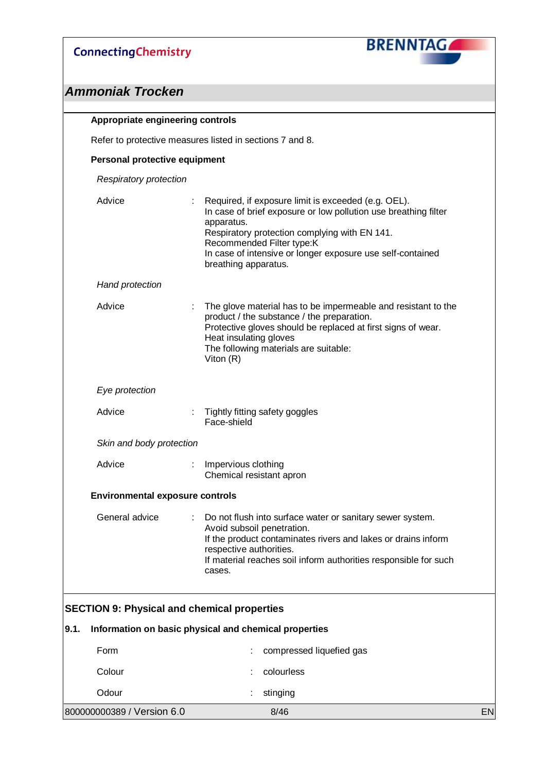

| Appropriate engineering controls       |                                                                                                                                                                                                                                                                                                          |    |
|----------------------------------------|----------------------------------------------------------------------------------------------------------------------------------------------------------------------------------------------------------------------------------------------------------------------------------------------------------|----|
|                                        | Refer to protective measures listed in sections 7 and 8.                                                                                                                                                                                                                                                 |    |
| Personal protective equipment          |                                                                                                                                                                                                                                                                                                          |    |
| <b>Respiratory protection</b>          |                                                                                                                                                                                                                                                                                                          |    |
| Advice                                 | Required, if exposure limit is exceeded (e.g. OEL).<br>In case of brief exposure or low pollution use breathing filter<br>apparatus.<br>Respiratory protection complying with EN 141.<br>Recommended Filter type:K<br>In case of intensive or longer exposure use self-contained<br>breathing apparatus. |    |
| <b>Hand protection</b>                 |                                                                                                                                                                                                                                                                                                          |    |
| Advice                                 | The glove material has to be impermeable and resistant to the<br>product / the substance / the preparation.<br>Protective gloves should be replaced at first signs of wear.<br>Heat insulating gloves<br>The following materials are suitable:<br>Viton $(R)$                                            |    |
| Eye protection                         |                                                                                                                                                                                                                                                                                                          |    |
| Advice                                 | Tightly fitting safety goggles<br>Face-shield                                                                                                                                                                                                                                                            |    |
| Skin and body protection               |                                                                                                                                                                                                                                                                                                          |    |
| Advice                                 | ÷<br>Impervious clothing<br>Chemical resistant apron                                                                                                                                                                                                                                                     |    |
| <b>Environmental exposure controls</b> |                                                                                                                                                                                                                                                                                                          |    |
| General advice                         | ÷.<br>Do not flush into surface water or sanitary sewer system.<br>Avoid subsoil penetration.<br>If the product contaminates rivers and lakes or drains inform<br>respective authorities.<br>If material reaches soil inform authorities responsible for such<br>cases.                                  |    |
|                                        | <b>SECTION 9: Physical and chemical properties</b>                                                                                                                                                                                                                                                       |    |
|                                        | Information on basic physical and chemical properties                                                                                                                                                                                                                                                    |    |
| Form                                   | compressed liquefied gas                                                                                                                                                                                                                                                                                 |    |
| Colour                                 | colourless                                                                                                                                                                                                                                                                                               |    |
| Odour                                  | stinging                                                                                                                                                                                                                                                                                                 |    |
| 800000000389 / Version 6.0             | 8/46                                                                                                                                                                                                                                                                                                     | EN |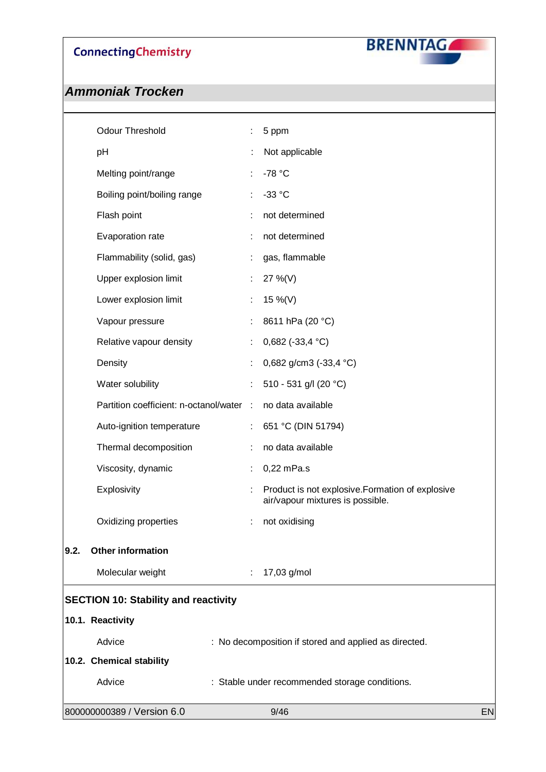

|      | 800000000389 / Version 6.0                  |    | 9/46                                                  | EN |
|------|---------------------------------------------|----|-------------------------------------------------------|----|
|      | Advice                                      |    | : Stable under recommended storage conditions.        |    |
|      | 10.2. Chemical stability                    |    |                                                       |    |
|      | Advice                                      |    | : No decomposition if stored and applied as directed. |    |
|      | 10.1. Reactivity                            |    |                                                       |    |
|      | <b>SECTION 10: Stability and reactivity</b> |    |                                                       |    |
|      | Molecular weight                            | ÷  | 17,03 g/mol                                           |    |
| 9.2. | <b>Other information</b>                    |    |                                                       |    |
|      |                                             |    |                                                       |    |
|      | Oxidizing properties                        | ÷  | air/vapour mixtures is possible.<br>not oxidising     |    |
|      | Explosivity                                 | t  | Product is not explosive. Formation of explosive      |    |
|      | Viscosity, dynamic                          |    | 0,22 mPa.s                                            |    |
|      | Thermal decomposition                       | ÷  | no data available                                     |    |
|      | Auto-ignition temperature                   | ÷. | 651 °C (DIN 51794)                                    |    |
|      | Partition coefficient: n-octanol/water :    |    | no data available                                     |    |
|      | Water solubility                            | t  | 510 - 531 g/l (20 °C)                                 |    |
|      | Density                                     | t  | 0,682 g/cm3 (-33,4 °C)                                |    |
|      | Relative vapour density                     | ÷  | 0,682 (-33,4 $^{\circ}$ C)                            |    |
|      | Vapour pressure                             | ÷  | 8611 hPa (20 °C)                                      |    |
|      | Lower explosion limit                       | ÷  | 15 %(V)                                               |    |
|      | Upper explosion limit                       | ÷  | 27 %(V)                                               |    |
|      | Flammability (solid, gas)                   | ÷  | gas, flammable                                        |    |
|      | Evaporation rate                            |    | not determined                                        |    |
|      | Flash point                                 | ÷  | not determined                                        |    |
|      | Boiling point/boiling range                 | ÷  | $-33 °C$                                              |    |
|      | Melting point/range                         |    | -78 °C                                                |    |
|      | pH                                          |    | Not applicable                                        |    |
|      | <b>Odour Threshold</b>                      |    | 5 ppm                                                 |    |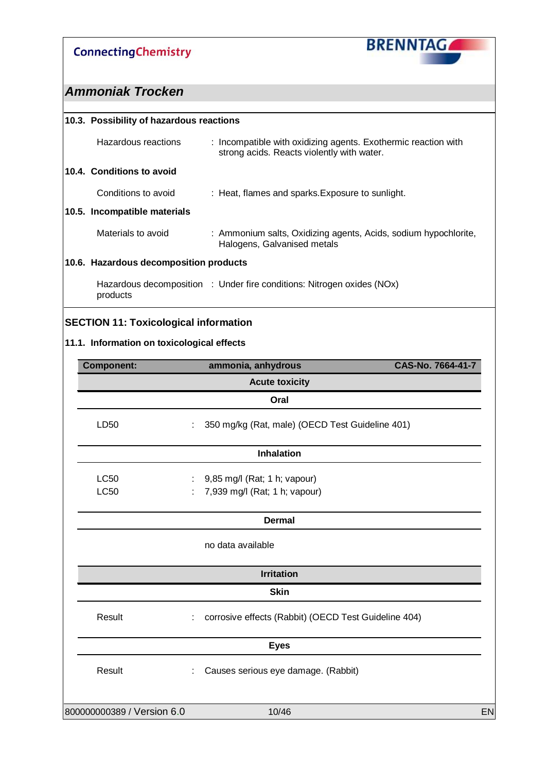

## *Ammoniak Trocken*

| 10.3. Possibility of hazardous reactions |                                                                                                              |  |
|------------------------------------------|--------------------------------------------------------------------------------------------------------------|--|
| Hazardous reactions                      | : Incompatible with oxidizing agents. Exothermic reaction with<br>strong acids. Reacts violently with water. |  |
| 10.4. Conditions to avoid                |                                                                                                              |  |
| Conditions to avoid                      | : Heat, flames and sparks. Exposure to sunlight.                                                             |  |
| 10.5. Incompatible materials             |                                                                                                              |  |
| Materials to avoid                       | : Ammonium salts, Oxidizing agents, Acids, sodium hypochlorite,<br>Halogens, Galvanised metals               |  |
| 10.6. Hazardous decomposition products   |                                                                                                              |  |
| products                                 | Hazardous decomposition : Under fire conditions: Nitrogen oxides (NOx)                                       |  |
|                                          |                                                                                                              |  |

### **SECTION 11: Toxicological information**

### **11.1. Information on toxicological effects**

| ammonia, anhydrous                                        | CAS-No. 7664-41-7 |
|-----------------------------------------------------------|-------------------|
| <b>Acute toxicity</b>                                     |                   |
| Oral                                                      |                   |
| 350 mg/kg (Rat, male) (OECD Test Guideline 401)<br>÷      |                   |
| <b>Inhalation</b>                                         |                   |
| 9,85 mg/l (Rat; 1 h; vapour)                              |                   |
| 7,939 mg/l (Rat; 1 h; vapour)                             |                   |
| <b>Dermal</b>                                             |                   |
| no data available                                         |                   |
| <b>Irritation</b>                                         |                   |
| <b>Skin</b>                                               |                   |
| corrosive effects (Rabbit) (OECD Test Guideline 404)<br>÷ |                   |
| <b>Eyes</b>                                               |                   |
| Causes serious eye damage. (Rabbit)                       |                   |
| 10/46                                                     |                   |
|                                                           |                   |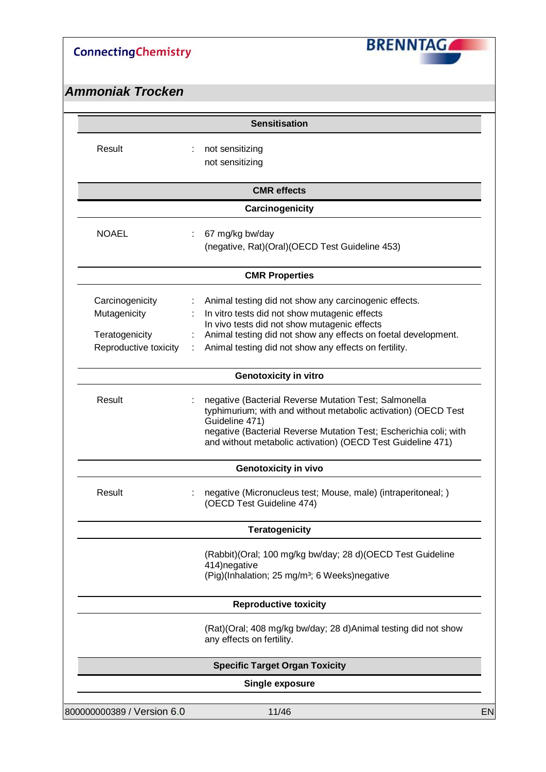

| not sensitizing<br>not sensitizing<br><b>CMR</b> effects<br>Carcinogenicity<br>67 mg/kg bw/day<br>(negative, Rat)(Oral)(OECD Test Guideline 453)<br><b>CMR Properties</b>                                                                                                         |
|-----------------------------------------------------------------------------------------------------------------------------------------------------------------------------------------------------------------------------------------------------------------------------------|
|                                                                                                                                                                                                                                                                                   |
|                                                                                                                                                                                                                                                                                   |
|                                                                                                                                                                                                                                                                                   |
|                                                                                                                                                                                                                                                                                   |
|                                                                                                                                                                                                                                                                                   |
| Animal testing did not show any carcinogenic effects.<br>In vitro tests did not show mutagenic effects<br>In vivo tests did not show mutagenic effects<br>Animal testing did not show any effects on foetal development.<br>Animal testing did not show any effects on fertility. |
| <b>Genotoxicity in vitro</b>                                                                                                                                                                                                                                                      |
| negative (Bacterial Reverse Mutation Test; Salmonella<br>typhimurium; with and without metabolic activation) (OECD Test<br>Guideline 471)<br>negative (Bacterial Reverse Mutation Test; Escherichia coli; with<br>and without metabolic activation) (OECD Test Guideline 471)     |
| Genotoxicity in vivo                                                                                                                                                                                                                                                              |
| negative (Micronucleus test; Mouse, male) (intraperitoneal; )<br>(OECD Test Guideline 474)                                                                                                                                                                                        |
| <b>Teratogenicity</b>                                                                                                                                                                                                                                                             |
| (Rabbit)(Oral; 100 mg/kg bw/day; 28 d)(OECD Test Guideline<br>(Pig)(Inhalation; 25 mg/m <sup>3</sup> ; 6 Weeks)negative                                                                                                                                                           |
| <b>Reproductive toxicity</b>                                                                                                                                                                                                                                                      |
| (Rat)(Oral; 408 mg/kg bw/day; 28 d)Animal testing did not show<br>any effects on fertility.                                                                                                                                                                                       |
| <b>Specific Target Organ Toxicity</b>                                                                                                                                                                                                                                             |
| <b>Single exposure</b>                                                                                                                                                                                                                                                            |
| 11/46                                                                                                                                                                                                                                                                             |
|                                                                                                                                                                                                                                                                                   |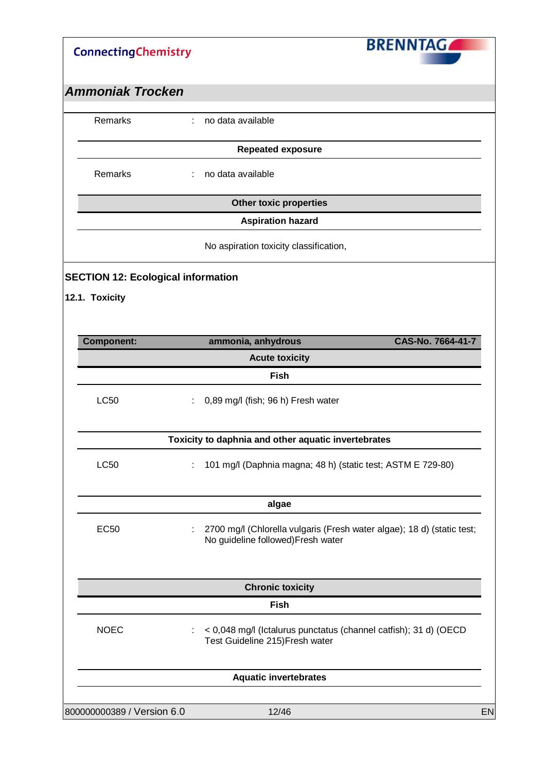| <b>ConnectingChemistry</b>                |                                                     | <b>BRENNTAGA</b>                                                       |  |
|-------------------------------------------|-----------------------------------------------------|------------------------------------------------------------------------|--|
| <b>Ammoniak Trocken</b>                   |                                                     |                                                                        |  |
| Remarks                                   | no data available                                   |                                                                        |  |
|                                           | <b>Repeated exposure</b>                            |                                                                        |  |
| Remarks                                   | no data available<br>÷.                             |                                                                        |  |
|                                           | <b>Other toxic properties</b>                       |                                                                        |  |
|                                           | <b>Aspiration hazard</b>                            |                                                                        |  |
|                                           | No aspiration toxicity classification,              |                                                                        |  |
| <b>SECTION 12: Ecological information</b> |                                                     |                                                                        |  |
| 12.1. Toxicity                            |                                                     |                                                                        |  |
|                                           |                                                     |                                                                        |  |
| <b>Component:</b>                         | ammonia, anhydrous                                  | CAS-No. 7664-41-7                                                      |  |
|                                           | <b>Acute toxicity</b>                               |                                                                        |  |
|                                           | Fish                                                |                                                                        |  |
| <b>LC50</b>                               | 0,89 mg/l (fish; 96 h) Fresh water                  |                                                                        |  |
|                                           |                                                     |                                                                        |  |
|                                           | Toxicity to daphnia and other aquatic invertebrates |                                                                        |  |
| <b>LC50</b>                               | ÷                                                   | 101 mg/l (Daphnia magna; 48 h) (static test; ASTM E 729-80)            |  |
|                                           |                                                     |                                                                        |  |
|                                           | algae                                               |                                                                        |  |
|                                           |                                                     |                                                                        |  |
| <b>EC50</b>                               | ÷<br>No guideline followed) Fresh water             | 2700 mg/l (Chlorella vulgaris (Fresh water algae); 18 d) (static test; |  |
|                                           |                                                     |                                                                        |  |
|                                           | <b>Chronic toxicity</b>                             |                                                                        |  |
|                                           | Fish                                                |                                                                        |  |
| <b>NOEC</b>                               | ÷<br>Test Guideline 215) Fresh water                | < 0,048 mg/l (Ictalurus punctatus (channel catfish); 31 d) (OECD       |  |
|                                           | <b>Aquatic invertebrates</b>                        |                                                                        |  |
|                                           |                                                     |                                                                        |  |
| 800000000389 / Version 6.0                | 12/46                                               |                                                                        |  |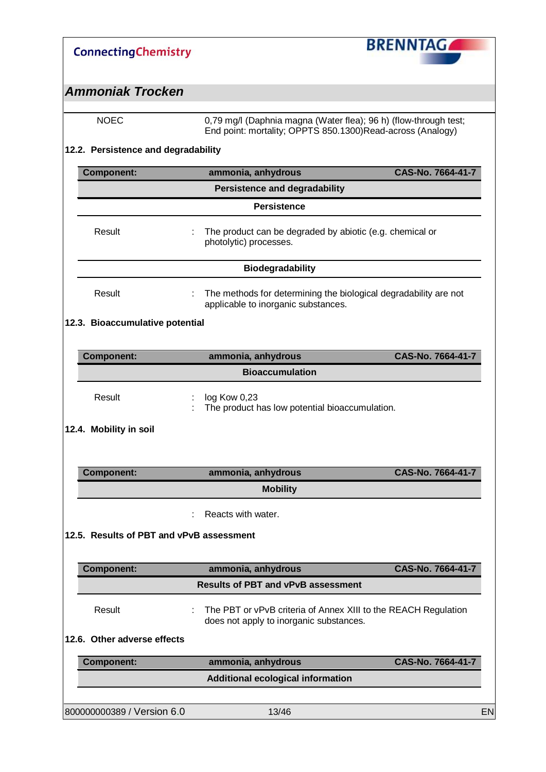| <b>ConnectingChemistry</b>               |                                                                                                                                | <b>BRENNTAG</b>   |
|------------------------------------------|--------------------------------------------------------------------------------------------------------------------------------|-------------------|
| <b>Ammoniak Trocken</b>                  |                                                                                                                                |                   |
| <b>NOEC</b>                              | 0,79 mg/l (Daphnia magna (Water flea); 96 h) (flow-through test;<br>End point: mortality; OPPTS 850.1300)Read-across (Analogy) |                   |
| 12.2. Persistence and degradability      |                                                                                                                                |                   |
| <b>Component:</b>                        | ammonia, anhydrous                                                                                                             | CAS-No. 7664-41-7 |
|                                          | <b>Persistence and degradability</b>                                                                                           |                   |
|                                          | <b>Persistence</b>                                                                                                             |                   |
| Result                                   | The product can be degraded by abiotic (e.g. chemical or<br>photolytic) processes.                                             |                   |
|                                          | <b>Biodegradability</b>                                                                                                        |                   |
| Result                                   | The methods for determining the biological degradability are not<br>applicable to inorganic substances.                        |                   |
| 12.3. Bioaccumulative potential          |                                                                                                                                |                   |
| <b>Component:</b>                        | ammonia, anhydrous                                                                                                             | CAS-No. 7664-41-7 |
|                                          | <b>Bioaccumulation</b>                                                                                                         |                   |
| Result                                   | log Kow 0,23<br>The product has low potential bioaccumulation.                                                                 |                   |
| 12.4. Mobility in soil                   |                                                                                                                                |                   |
| <b>Component:</b>                        | ammonia, anhydrous                                                                                                             | CAS-No. 7664-41-7 |
|                                          | <b>Mobility</b>                                                                                                                |                   |
|                                          | Reacts with water.                                                                                                             |                   |
| 12.5. Results of PBT and vPvB assessment |                                                                                                                                |                   |
| <b>Component:</b>                        | ammonia, anhydrous                                                                                                             | CAS-No. 7664-41-7 |
|                                          | <b>Results of PBT and vPvB assessment</b>                                                                                      |                   |
| Result                                   | The PBT or vPvB criteria of Annex XIII to the REACH Regulation<br>does not apply to inorganic substances.                      |                   |
| 12.6. Other adverse effects              |                                                                                                                                |                   |
| <b>Component:</b>                        | ammonia, anhydrous                                                                                                             | CAS-No. 7664-41-7 |
|                                          | <b>Additional ecological information</b>                                                                                       |                   |
| 800000000389 / Version 6.0               | 13/46                                                                                                                          | EN                |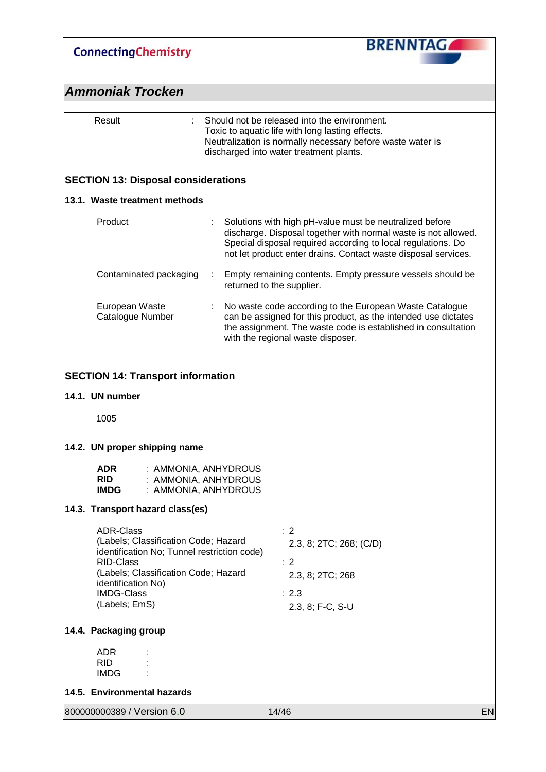| <b>ConnectingChemistry</b> |  |
|----------------------------|--|
|----------------------------|--|



| Result                                                                                                                                                                                                                          |  | Should not be released into the environment.<br>Toxic to aquatic life with long lasting effects.<br>Neutralization is normally necessary before waste water is<br>discharged into water treatment plants.                                                   |    |
|---------------------------------------------------------------------------------------------------------------------------------------------------------------------------------------------------------------------------------|--|-------------------------------------------------------------------------------------------------------------------------------------------------------------------------------------------------------------------------------------------------------------|----|
| <b>SECTION 13: Disposal considerations</b>                                                                                                                                                                                      |  |                                                                                                                                                                                                                                                             |    |
| 13.1. Waste treatment methods                                                                                                                                                                                                   |  |                                                                                                                                                                                                                                                             |    |
| Product                                                                                                                                                                                                                         |  | Solutions with high pH-value must be neutralized before<br>discharge. Disposal together with normal waste is not allowed.<br>Special disposal required according to local regulations. Do<br>not let product enter drains. Contact waste disposal services. |    |
| Contaminated packaging                                                                                                                                                                                                          |  | Empty remaining contents. Empty pressure vessels should be<br>returned to the supplier.                                                                                                                                                                     |    |
| European Waste<br>Catalogue Number                                                                                                                                                                                              |  | No waste code according to the European Waste Catalogue<br>can be assigned for this product, as the intended use dictates<br>the assignment. The waste code is established in consultation<br>with the regional waste disposer.                             |    |
| <b>SECTION 14: Transport information</b><br>14.1. UN number                                                                                                                                                                     |  |                                                                                                                                                                                                                                                             |    |
| 1005                                                                                                                                                                                                                            |  |                                                                                                                                                                                                                                                             |    |
|                                                                                                                                                                                                                                 |  |                                                                                                                                                                                                                                                             |    |
| 14.2. UN proper shipping name                                                                                                                                                                                                   |  |                                                                                                                                                                                                                                                             |    |
| <b>ADR</b><br>: AMMONIA, ANHYDROUS<br><b>RID</b><br>: AMMONIA, ANHYDROUS<br><b>IMDG</b><br>: AMMONIA, ANHYDROUS                                                                                                                 |  |                                                                                                                                                                                                                                                             |    |
| 14.3. Transport hazard class(es)                                                                                                                                                                                                |  |                                                                                                                                                                                                                                                             |    |
| <b>ADR-Class</b><br>(Labels; Classification Code; Hazard<br>identification No; Tunnel restriction code)<br><b>RID-Class</b><br>(Labels; Classification Code; Hazard<br>identification No)<br><b>IMDG-Class</b><br>(Labels; EmS) |  | $\therefore$ 2<br>2.3, 8; 2TC; 268; (C/D)<br>$\therefore$ 2<br>2.3, 8; 2TC; 268<br>$\therefore$ 2.3<br>2.3, 8; F-C, S-U                                                                                                                                     |    |
| 14.4. Packaging group                                                                                                                                                                                                           |  |                                                                                                                                                                                                                                                             |    |
| <b>ADR</b><br><b>RID</b><br><b>IMDG</b>                                                                                                                                                                                         |  |                                                                                                                                                                                                                                                             |    |
| 14.5. Environmental hazards                                                                                                                                                                                                     |  |                                                                                                                                                                                                                                                             |    |
| 800000000389 / Version 6.0                                                                                                                                                                                                      |  | 14/46                                                                                                                                                                                                                                                       | EN |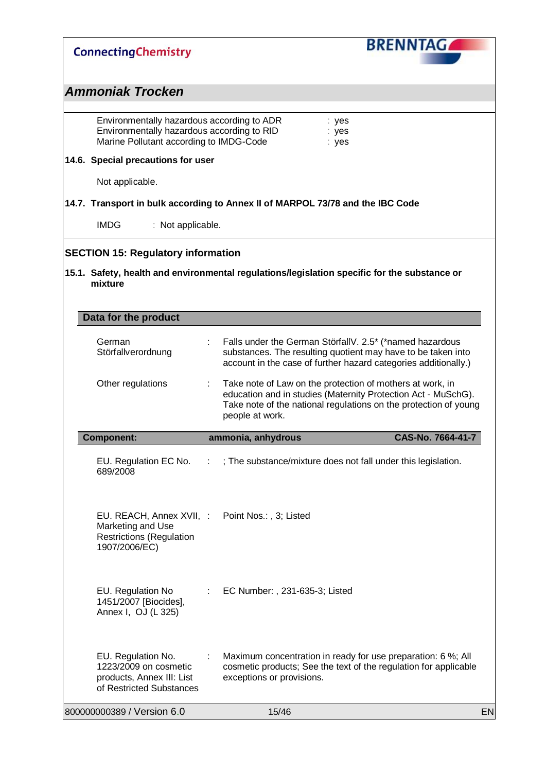| <b>ConnectingChemistry</b>                                                                                                          |                                     | <b>BRENNTAG</b>                                                                                                                                                                                |
|-------------------------------------------------------------------------------------------------------------------------------------|-------------------------------------|------------------------------------------------------------------------------------------------------------------------------------------------------------------------------------------------|
| <b>Ammoniak Trocken</b>                                                                                                             |                                     |                                                                                                                                                                                                |
| Environmentally hazardous according to ADR<br>Environmentally hazardous according to RID<br>Marine Pollutant according to IMDG-Code |                                     | : yes<br>yes<br>: yes                                                                                                                                                                          |
| 14.6. Special precautions for user                                                                                                  |                                     |                                                                                                                                                                                                |
| Not applicable.                                                                                                                     |                                     |                                                                                                                                                                                                |
| 14.7. Transport in bulk according to Annex II of MARPOL 73/78 and the IBC Code                                                      |                                     |                                                                                                                                                                                                |
| <b>IMDG</b><br>: Not applicable.                                                                                                    |                                     |                                                                                                                                                                                                |
| <b>SECTION 15: Regulatory information</b>                                                                                           |                                     |                                                                                                                                                                                                |
| mixture                                                                                                                             |                                     | 15.1. Safety, health and environmental regulations/legislation specific for the substance or                                                                                                   |
| Data for the product                                                                                                                |                                     |                                                                                                                                                                                                |
| German<br>Störfallverordnung                                                                                                        |                                     | Falls under the German StörfallV. 2.5* (*named hazardous<br>substances. The resulting quotient may have to be taken into<br>account in the case of further hazard categories additionally.)    |
| Other regulations                                                                                                                   | people at work.                     | Take note of Law on the protection of mothers at work, in<br>education and in studies (Maternity Protection Act - MuSchG).<br>Take note of the national regulations on the protection of young |
| <b>Component:</b>                                                                                                                   | ammonia, anhydrous                  | CAS-No. 7664-41-7                                                                                                                                                                              |
| EU. Regulation EC No. :<br>689/2008                                                                                                 |                                     | ; The substance/mixture does not fall under this legislation.                                                                                                                                  |
| EU. REACH, Annex XVII, :<br>Marketing and Use<br><b>Restrictions (Regulation</b><br>1907/2006/EC)                                   | Point Nos.:, 3; Listed              |                                                                                                                                                                                                |
| EU. Regulation No<br>1451/2007 [Biocides],<br>Annex I, OJ (L 325)                                                                   | EC Number: , 231-635-3; Listed<br>÷ |                                                                                                                                                                                                |
| EU. Regulation No.<br>1223/2009 on cosmetic<br>products, Annex III: List<br>of Restricted Substances                                | exceptions or provisions.           | Maximum concentration in ready for use preparation: 6 %; All<br>cosmetic products; See the text of the regulation for applicable                                                               |
| 800000000389 / Version 6.0                                                                                                          | 15/46                               | EN                                                                                                                                                                                             |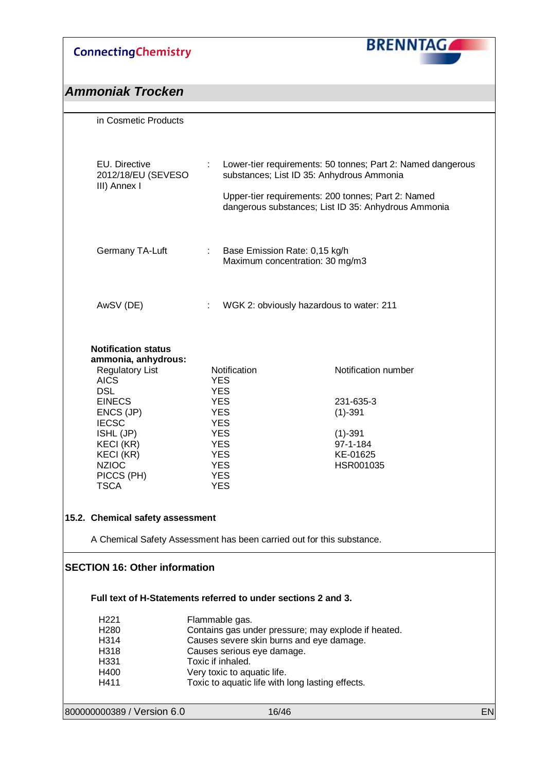

| in Cosmetic Products                                                  |                                                                        |                                                                                                          |    |
|-----------------------------------------------------------------------|------------------------------------------------------------------------|----------------------------------------------------------------------------------------------------------|----|
|                                                                       |                                                                        |                                                                                                          |    |
|                                                                       |                                                                        |                                                                                                          |    |
| EU. Directive<br>2012/18/EU (SEVESO                                   |                                                                        | Lower-tier requirements: 50 tonnes; Part 2: Named dangerous<br>substances; List ID 35: Anhydrous Ammonia |    |
| III) Annex I                                                          |                                                                        | Upper-tier requirements: 200 tonnes; Part 2: Named                                                       |    |
|                                                                       |                                                                        | dangerous substances; List ID 35: Anhydrous Ammonia                                                      |    |
|                                                                       |                                                                        |                                                                                                          |    |
|                                                                       |                                                                        |                                                                                                          |    |
| Germany TA-Luft                                                       | $\mathcal{L}$<br>Base Emission Rate: 0,15 kg/h                         |                                                                                                          |    |
|                                                                       |                                                                        | Maximum concentration: 30 mg/m3                                                                          |    |
|                                                                       |                                                                        |                                                                                                          |    |
|                                                                       |                                                                        |                                                                                                          |    |
| AwSV (DE)                                                             | ÷.                                                                     | WGK 2: obviously hazardous to water: 211                                                                 |    |
|                                                                       |                                                                        |                                                                                                          |    |
|                                                                       |                                                                        |                                                                                                          |    |
| <b>Notification status</b>                                            |                                                                        |                                                                                                          |    |
| ammonia, anhydrous:<br><b>Regulatory List</b>                         | Notification                                                           | Notification number                                                                                      |    |
| <b>AICS</b>                                                           | <b>YES</b>                                                             |                                                                                                          |    |
| <b>DSL</b>                                                            | <b>YES</b>                                                             |                                                                                                          |    |
| <b>EINECS</b><br>ENCS (JP)                                            | <b>YES</b><br><b>YES</b>                                               | 231-635-3<br>$(1)-391$                                                                                   |    |
| <b>IECSC</b>                                                          | <b>YES</b>                                                             |                                                                                                          |    |
| ISHL (JP)                                                             | <b>YES</b>                                                             | $(1)-391$                                                                                                |    |
| KECI (KR)                                                             | <b>YES</b>                                                             | 97-1-184                                                                                                 |    |
| KECI (KR)<br><b>NZIOC</b>                                             | <b>YES</b><br><b>YES</b>                                               | KE-01625<br>HSR001035                                                                                    |    |
| PICCS (PH)                                                            | <b>YES</b>                                                             |                                                                                                          |    |
| <b>TSCA</b>                                                           | <b>YES</b>                                                             |                                                                                                          |    |
|                                                                       |                                                                        |                                                                                                          |    |
| 15.2. Chemical safety assessment                                      |                                                                        |                                                                                                          |    |
|                                                                       |                                                                        |                                                                                                          |    |
| A Chemical Safety Assessment has been carried out for this substance. |                                                                        |                                                                                                          |    |
| <b>SECTION 16: Other information</b>                                  |                                                                        |                                                                                                          |    |
|                                                                       |                                                                        |                                                                                                          |    |
|                                                                       |                                                                        |                                                                                                          |    |
| Full text of H-Statements referred to under sections 2 and 3.         |                                                                        |                                                                                                          |    |
| H <sub>221</sub>                                                      | Flammable gas.                                                         |                                                                                                          |    |
| H <sub>280</sub>                                                      |                                                                        | Contains gas under pressure; may explode if heated.                                                      |    |
| H314<br>H318                                                          | Causes severe skin burns and eye damage.<br>Causes serious eye damage. |                                                                                                          |    |
| H331                                                                  | Toxic if inhaled.                                                      |                                                                                                          |    |
| H400                                                                  | Very toxic to aquatic life.                                            |                                                                                                          |    |
| H411                                                                  | Toxic to aquatic life with long lasting effects.                       |                                                                                                          |    |
|                                                                       |                                                                        |                                                                                                          |    |
| 800000000389 / Version 6.0                                            | 16/46                                                                  |                                                                                                          | EN |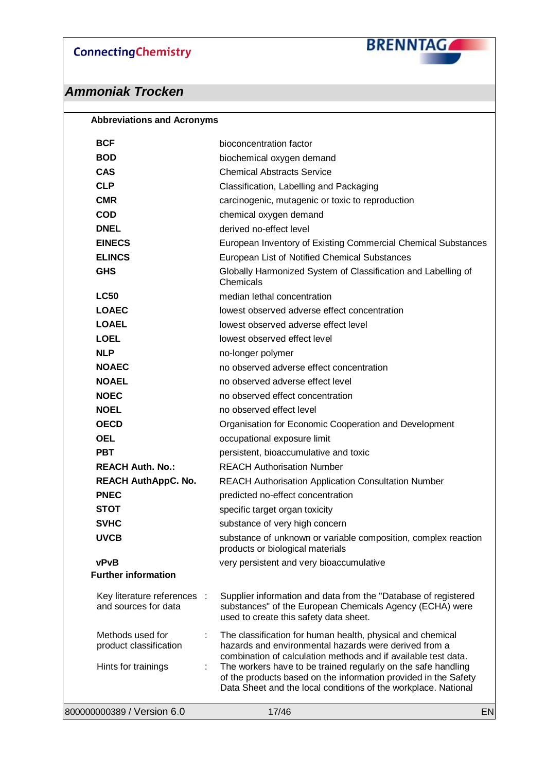**BRENNTAGA** 

| <b>BCF</b>                                          | bioconcentration factor                                                                                                                                                                            |  |
|-----------------------------------------------------|----------------------------------------------------------------------------------------------------------------------------------------------------------------------------------------------------|--|
| <b>BOD</b>                                          | biochemical oxygen demand                                                                                                                                                                          |  |
| <b>CAS</b>                                          | <b>Chemical Abstracts Service</b>                                                                                                                                                                  |  |
| <b>CLP</b>                                          | Classification, Labelling and Packaging                                                                                                                                                            |  |
| <b>CMR</b>                                          | carcinogenic, mutagenic or toxic to reproduction                                                                                                                                                   |  |
| <b>COD</b>                                          | chemical oxygen demand                                                                                                                                                                             |  |
| <b>DNEL</b>                                         | derived no-effect level                                                                                                                                                                            |  |
| <b>EINECS</b>                                       | European Inventory of Existing Commercial Chemical Substances                                                                                                                                      |  |
| <b>ELINCS</b>                                       | European List of Notified Chemical Substances                                                                                                                                                      |  |
| <b>GHS</b>                                          | Globally Harmonized System of Classification and Labelling of<br>Chemicals                                                                                                                         |  |
| <b>LC50</b>                                         | median lethal concentration                                                                                                                                                                        |  |
| <b>LOAEC</b>                                        | lowest observed adverse effect concentration                                                                                                                                                       |  |
| <b>LOAEL</b>                                        | lowest observed adverse effect level                                                                                                                                                               |  |
| <b>LOEL</b>                                         | lowest observed effect level                                                                                                                                                                       |  |
| <b>NLP</b>                                          | no-longer polymer                                                                                                                                                                                  |  |
| <b>NOAEC</b>                                        | no observed adverse effect concentration                                                                                                                                                           |  |
| <b>NOAEL</b>                                        | no observed adverse effect level                                                                                                                                                                   |  |
| <b>NOEC</b>                                         | no observed effect concentration                                                                                                                                                                   |  |
| <b>NOEL</b>                                         | no observed effect level                                                                                                                                                                           |  |
| <b>OECD</b>                                         | Organisation for Economic Cooperation and Development                                                                                                                                              |  |
| <b>OEL</b>                                          | occupational exposure limit                                                                                                                                                                        |  |
| <b>PBT</b>                                          | persistent, bioaccumulative and toxic                                                                                                                                                              |  |
| <b>REACH Auth. No.:</b>                             | <b>REACH Authorisation Number</b>                                                                                                                                                                  |  |
| <b>REACH AuthAppC. No.</b>                          | <b>REACH Authorisation Application Consultation Number</b>                                                                                                                                         |  |
| <b>PNEC</b>                                         | predicted no-effect concentration                                                                                                                                                                  |  |
| <b>STOT</b>                                         | specific target organ toxicity                                                                                                                                                                     |  |
| <b>SVHC</b>                                         | substance of very high concern                                                                                                                                                                     |  |
| <b>UVCB</b>                                         | substance of unknown or variable composition, complex reaction<br>products or biological materials                                                                                                 |  |
| vPvB                                                | very persistent and very bioaccumulative                                                                                                                                                           |  |
| <b>Further information</b>                          |                                                                                                                                                                                                    |  |
| Key literature references :<br>and sources for data | Supplier information and data from the "Database of registered<br>substances" of the European Chemicals Agency (ECHA) were<br>used to create this safety data sheet.                               |  |
| Methods used for<br>product classification          | The classification for human health, physical and chemical<br>hazards and environmental hazards were derived from a<br>combination of calculation methods and if available test data.              |  |
| Hints for trainings<br>÷                            | The workers have to be trained regularly on the safe handling<br>of the products based on the information provided in the Safety<br>Data Sheet and the local conditions of the workplace. National |  |
| 800000000389 / Version 6.0                          | 17/46<br>EN                                                                                                                                                                                        |  |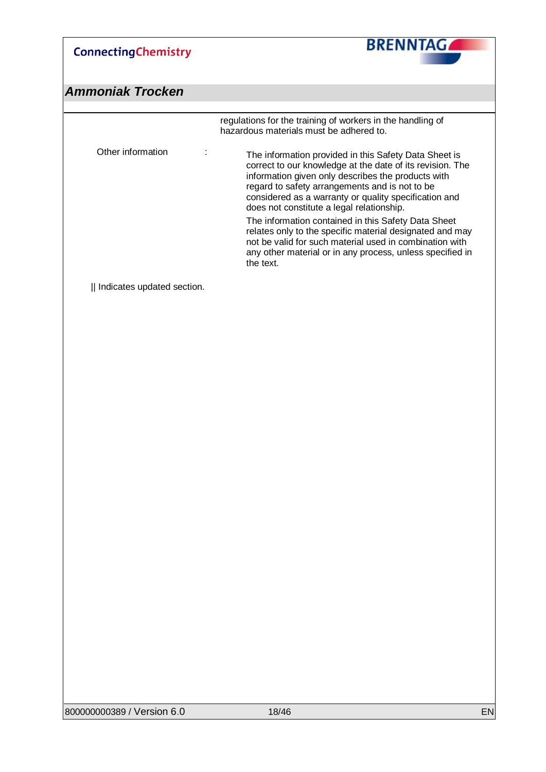

|                            | regulations for the training of workers in the handling of<br>hazardous materials must be adhered to.                                                                                                                                                                                                                                                                                                                                                                                                                                                                                    |
|----------------------------|------------------------------------------------------------------------------------------------------------------------------------------------------------------------------------------------------------------------------------------------------------------------------------------------------------------------------------------------------------------------------------------------------------------------------------------------------------------------------------------------------------------------------------------------------------------------------------------|
| Other information<br>÷     | The information provided in this Safety Data Sheet is<br>correct to our knowledge at the date of its revision. The<br>information given only describes the products with<br>regard to safety arrangements and is not to be<br>considered as a warranty or quality specification and<br>does not constitute a legal relationship.<br>The information contained in this Safety Data Sheet<br>relates only to the specific material designated and may<br>not be valid for such material used in combination with<br>any other material or in any process, unless specified in<br>the text. |
| Indicates updated section. |                                                                                                                                                                                                                                                                                                                                                                                                                                                                                                                                                                                          |
|                            |                                                                                                                                                                                                                                                                                                                                                                                                                                                                                                                                                                                          |
|                            |                                                                                                                                                                                                                                                                                                                                                                                                                                                                                                                                                                                          |
|                            |                                                                                                                                                                                                                                                                                                                                                                                                                                                                                                                                                                                          |
|                            |                                                                                                                                                                                                                                                                                                                                                                                                                                                                                                                                                                                          |
|                            |                                                                                                                                                                                                                                                                                                                                                                                                                                                                                                                                                                                          |
|                            |                                                                                                                                                                                                                                                                                                                                                                                                                                                                                                                                                                                          |
|                            |                                                                                                                                                                                                                                                                                                                                                                                                                                                                                                                                                                                          |
|                            |                                                                                                                                                                                                                                                                                                                                                                                                                                                                                                                                                                                          |
|                            |                                                                                                                                                                                                                                                                                                                                                                                                                                                                                                                                                                                          |
|                            |                                                                                                                                                                                                                                                                                                                                                                                                                                                                                                                                                                                          |
|                            |                                                                                                                                                                                                                                                                                                                                                                                                                                                                                                                                                                                          |
|                            |                                                                                                                                                                                                                                                                                                                                                                                                                                                                                                                                                                                          |
|                            |                                                                                                                                                                                                                                                                                                                                                                                                                                                                                                                                                                                          |
|                            |                                                                                                                                                                                                                                                                                                                                                                                                                                                                                                                                                                                          |
|                            |                                                                                                                                                                                                                                                                                                                                                                                                                                                                                                                                                                                          |
|                            |                                                                                                                                                                                                                                                                                                                                                                                                                                                                                                                                                                                          |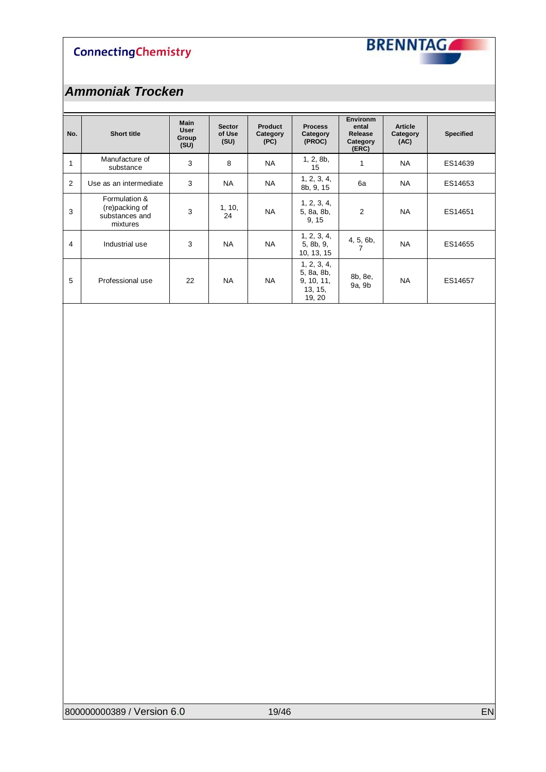

| No. | <b>Short title</b>                                            | <b>Main</b><br><b>User</b><br>Group<br>(SU) | <b>Sector</b><br>of Use<br>(SU) | <b>Product</b><br>Category<br>(PC) | <b>Process</b><br>Category<br>(PROC)                         | <b>Environm</b><br>ental<br>Release<br>Category<br>(ERC) | <b>Article</b><br>Category<br>(AC) | <b>Specified</b> |
|-----|---------------------------------------------------------------|---------------------------------------------|---------------------------------|------------------------------------|--------------------------------------------------------------|----------------------------------------------------------|------------------------------------|------------------|
| 1   | Manufacture of<br>substance                                   | 3                                           | 8                               | <b>NA</b>                          | 1, 2, 8b,<br>15                                              | 1                                                        | <b>NA</b>                          | ES14639          |
| 2   | Use as an intermediate                                        | 3                                           | <b>NA</b>                       | <b>NA</b>                          | 1, 2, 3, 4,<br>8b, 9, 15                                     | 6a                                                       | <b>NA</b>                          | ES14653          |
| 3   | Formulation &<br>(re)packing of<br>substances and<br>mixtures | 3                                           | 1, 10,<br>24                    | <b>NA</b>                          | 1, 2, 3, 4,<br>5, 8a, 8b,<br>9, 15                           | 2                                                        | <b>NA</b>                          | ES14651          |
| 4   | Industrial use                                                | 3                                           | <b>NA</b>                       | <b>NA</b>                          | 1, 2, 3, 4,<br>5, 8b, 9,<br>10, 13, 15                       | 4, 5, 6b,<br>7                                           | <b>NA</b>                          | ES14655          |
| 5   | Professional use                                              | 22                                          | <b>NA</b>                       | <b>NA</b>                          | 1, 2, 3, 4,<br>5, 8a, 8b,<br>9, 10, 11,<br>13, 15,<br>19, 20 | 8b, 8e,<br>9a, 9b                                        | <b>NA</b>                          | ES14657          |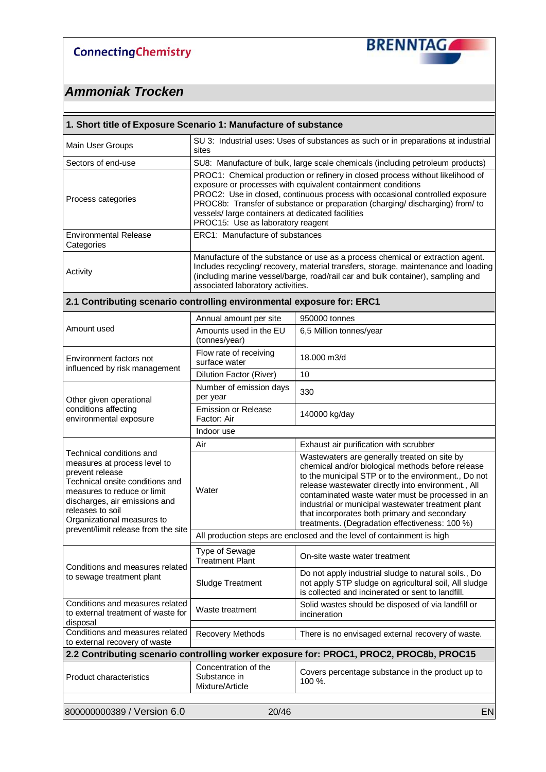

| 1. Short title of Exposure Scenario 1: Manufacture of substance                                                                                                                                                                  |                                                                                                                                                                                                                                                                                                                                                                                                          |                                                                                                                                                                                                                                                                                                                                                                                                                            |  |  |  |  |
|----------------------------------------------------------------------------------------------------------------------------------------------------------------------------------------------------------------------------------|----------------------------------------------------------------------------------------------------------------------------------------------------------------------------------------------------------------------------------------------------------------------------------------------------------------------------------------------------------------------------------------------------------|----------------------------------------------------------------------------------------------------------------------------------------------------------------------------------------------------------------------------------------------------------------------------------------------------------------------------------------------------------------------------------------------------------------------------|--|--|--|--|
| Main User Groups                                                                                                                                                                                                                 | sites                                                                                                                                                                                                                                                                                                                                                                                                    | SU 3: Industrial uses: Uses of substances as such or in preparations at industrial                                                                                                                                                                                                                                                                                                                                         |  |  |  |  |
| Sectors of end-use                                                                                                                                                                                                               |                                                                                                                                                                                                                                                                                                                                                                                                          | SU8: Manufacture of bulk, large scale chemicals (including petroleum products)                                                                                                                                                                                                                                                                                                                                             |  |  |  |  |
| Process categories                                                                                                                                                                                                               | PROC1: Chemical production or refinery in closed process without likelihood of<br>exposure or processes with equivalent containment conditions<br>PROC2: Use in closed, continuous process with occasional controlled exposure<br>PROC8b: Transfer of substance or preparation (charging/discharging) from/ to<br>vessels/ large containers at dedicated facilities<br>PROC15: Use as laboratory reagent |                                                                                                                                                                                                                                                                                                                                                                                                                            |  |  |  |  |
| <b>Environmental Release</b><br>Categories                                                                                                                                                                                       | ERC1: Manufacture of substances                                                                                                                                                                                                                                                                                                                                                                          |                                                                                                                                                                                                                                                                                                                                                                                                                            |  |  |  |  |
| Activity                                                                                                                                                                                                                         | Manufacture of the substance or use as a process chemical or extraction agent.<br>Includes recycling/recovery, material transfers, storage, maintenance and loading<br>(including marine vessel/barge, road/rail car and bulk container), sampling and<br>associated laboratory activities.                                                                                                              |                                                                                                                                                                                                                                                                                                                                                                                                                            |  |  |  |  |
| 2.1 Contributing scenario controlling environmental exposure for: ERC1                                                                                                                                                           |                                                                                                                                                                                                                                                                                                                                                                                                          |                                                                                                                                                                                                                                                                                                                                                                                                                            |  |  |  |  |
|                                                                                                                                                                                                                                  | Annual amount per site                                                                                                                                                                                                                                                                                                                                                                                   | 950000 tonnes                                                                                                                                                                                                                                                                                                                                                                                                              |  |  |  |  |
| Amount used                                                                                                                                                                                                                      | Amounts used in the EU<br>(tonnes/year)                                                                                                                                                                                                                                                                                                                                                                  | 6,5 Million tonnes/year                                                                                                                                                                                                                                                                                                                                                                                                    |  |  |  |  |
| Environment factors not<br>influenced by risk management                                                                                                                                                                         | Flow rate of receiving<br>surface water                                                                                                                                                                                                                                                                                                                                                                  | 18,000 m3/d                                                                                                                                                                                                                                                                                                                                                                                                                |  |  |  |  |
|                                                                                                                                                                                                                                  | <b>Dilution Factor (River)</b>                                                                                                                                                                                                                                                                                                                                                                           | 10                                                                                                                                                                                                                                                                                                                                                                                                                         |  |  |  |  |
| Other given operational                                                                                                                                                                                                          | Number of emission days<br>per year                                                                                                                                                                                                                                                                                                                                                                      | 330                                                                                                                                                                                                                                                                                                                                                                                                                        |  |  |  |  |
| conditions affecting<br>environmental exposure                                                                                                                                                                                   | <b>Emission or Release</b><br>Factor: Air                                                                                                                                                                                                                                                                                                                                                                | 140000 kg/day                                                                                                                                                                                                                                                                                                                                                                                                              |  |  |  |  |
|                                                                                                                                                                                                                                  | Indoor use                                                                                                                                                                                                                                                                                                                                                                                               |                                                                                                                                                                                                                                                                                                                                                                                                                            |  |  |  |  |
|                                                                                                                                                                                                                                  | Air                                                                                                                                                                                                                                                                                                                                                                                                      | Exhaust air purification with scrubber                                                                                                                                                                                                                                                                                                                                                                                     |  |  |  |  |
| Technical conditions and<br>measures at process level to<br>prevent release<br>Technical onsite conditions and<br>measures to reduce or limit<br>discharges, air emissions and<br>releases to soil<br>Organizational measures to | Water                                                                                                                                                                                                                                                                                                                                                                                                    | Wastewaters are generally treated on site by<br>chemical and/or biological methods before release<br>to the municipal STP or to the environment., Do not<br>release wastewater directly into environment., All<br>contaminated waste water must be processed in an<br>industrial or municipal wastewater treatment plant<br>that incorporates both primary and secondary<br>treatments. (Degradation effectiveness: 100 %) |  |  |  |  |
| prevent/limit release from the site                                                                                                                                                                                              |                                                                                                                                                                                                                                                                                                                                                                                                          | All production steps are enclosed and the level of containment is high                                                                                                                                                                                                                                                                                                                                                     |  |  |  |  |
|                                                                                                                                                                                                                                  | Type of Sewage<br><b>Treatment Plant</b>                                                                                                                                                                                                                                                                                                                                                                 | On-site waste water treatment                                                                                                                                                                                                                                                                                                                                                                                              |  |  |  |  |
| Conditions and measures related<br>to sewage treatment plant                                                                                                                                                                     | <b>Sludge Treatment</b>                                                                                                                                                                                                                                                                                                                                                                                  | Do not apply industrial sludge to natural soils., Do<br>not apply STP sludge on agricultural soil, All sludge<br>is collected and incinerated or sent to landfill.                                                                                                                                                                                                                                                         |  |  |  |  |
| Conditions and measures related<br>to external treatment of waste for<br>disposal                                                                                                                                                | Waste treatment                                                                                                                                                                                                                                                                                                                                                                                          | Solid wastes should be disposed of via landfill or<br>incineration                                                                                                                                                                                                                                                                                                                                                         |  |  |  |  |
| Conditions and measures related<br>to external recovery of waste                                                                                                                                                                 | <b>Recovery Methods</b>                                                                                                                                                                                                                                                                                                                                                                                  | There is no envisaged external recovery of waste.                                                                                                                                                                                                                                                                                                                                                                          |  |  |  |  |
|                                                                                                                                                                                                                                  |                                                                                                                                                                                                                                                                                                                                                                                                          | 2.2 Contributing scenario controlling worker exposure for: PROC1, PROC2, PROC8b, PROC15                                                                                                                                                                                                                                                                                                                                    |  |  |  |  |
| Product characteristics                                                                                                                                                                                                          | Concentration of the<br>Substance in<br>Mixture/Article                                                                                                                                                                                                                                                                                                                                                  | Covers percentage substance in the product up to<br>100 %.                                                                                                                                                                                                                                                                                                                                                                 |  |  |  |  |
| 800000000389 / Version 6.0                                                                                                                                                                                                       | 20/46                                                                                                                                                                                                                                                                                                                                                                                                    | EN                                                                                                                                                                                                                                                                                                                                                                                                                         |  |  |  |  |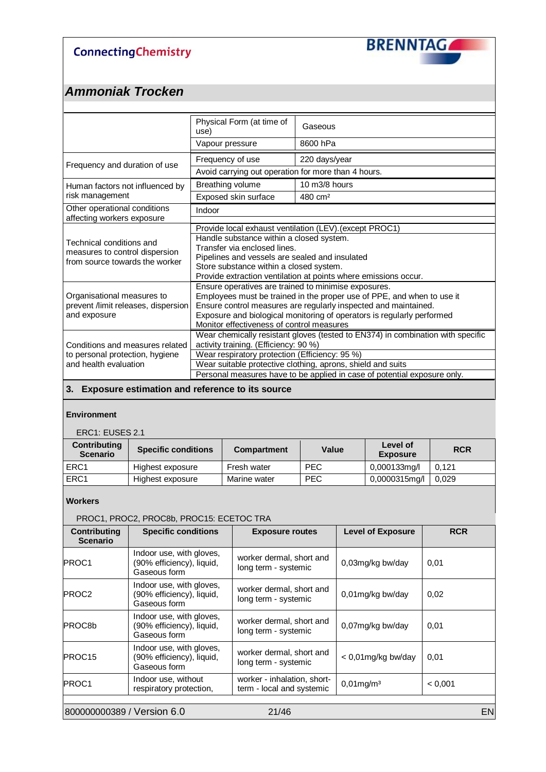

## *Ammoniak Trocken*

|                                                                                              | Physical Form (at time of<br>use)                                                                                                                                                                                                                                                                                        | Gaseous             |  |  |
|----------------------------------------------------------------------------------------------|--------------------------------------------------------------------------------------------------------------------------------------------------------------------------------------------------------------------------------------------------------------------------------------------------------------------------|---------------------|--|--|
|                                                                                              | Vapour pressure                                                                                                                                                                                                                                                                                                          | 8600 hPa            |  |  |
| Frequency and duration of use                                                                | Frequency of use                                                                                                                                                                                                                                                                                                         | 220 days/year       |  |  |
|                                                                                              | Avoid carrying out operation for more than 4 hours.                                                                                                                                                                                                                                                                      |                     |  |  |
| Human factors not influenced by                                                              | Breathing volume                                                                                                                                                                                                                                                                                                         | 10 m3/8 hours       |  |  |
| risk management                                                                              | Exposed skin surface                                                                                                                                                                                                                                                                                                     | 480 cm <sup>2</sup> |  |  |
| Other operational conditions                                                                 | Indoor                                                                                                                                                                                                                                                                                                                   |                     |  |  |
| affecting workers exposure                                                                   |                                                                                                                                                                                                                                                                                                                          |                     |  |  |
| Technical conditions and<br>measures to control dispersion<br>from source towards the worker | Provide local exhaust ventilation (LEV). (except PROC1)<br>Handle substance within a closed system.<br>Transfer via enclosed lines.<br>Pipelines and vessels are sealed and insulated<br>Store substance within a closed system.<br>Provide extraction ventilation at points where emissions occur.                      |                     |  |  |
| Organisational measures to<br>prevent /limit releases, dispersion<br>and exposure            | Ensure operatives are trained to minimise exposures.<br>Employees must be trained in the proper use of PPE, and when to use it<br>Ensure control measures are regularly inspected and maintained.<br>Exposure and biological monitoring of operators is regularly performed<br>Monitor effectiveness of control measures |                     |  |  |
| Conditions and measures related                                                              | Wear chemically resistant gloves (tested to EN374) in combination with specific<br>activity training. (Efficiency: 90 %)                                                                                                                                                                                                 |                     |  |  |
| to personal protection, hygiene                                                              | Wear respiratory protection (Efficiency: 95 %)                                                                                                                                                                                                                                                                           |                     |  |  |
| and health evaluation                                                                        | Wear suitable protective clothing, aprons, shield and suits                                                                                                                                                                                                                                                              |                     |  |  |
|                                                                                              | Personal measures have to be applied in case of potential exposure only.                                                                                                                                                                                                                                                 |                     |  |  |

#### **3. Exposure estimation and reference to its source**

#### **Environment**

ERC1: EUSES 2.1

| <b>Contributing</b><br><b>Scenario</b> | <b>Specific conditions</b> | <b>Compartment</b> | Value      | Level of<br><b>Exposure</b> | <b>RCR</b> |
|----------------------------------------|----------------------------|--------------------|------------|-----------------------------|------------|
| ERC <sub>1</sub>                       | Highest exposure           | Fresh water        | <b>PEC</b> | 0,000133mg/l                | 0.121      |
| ERC1                                   | Highest exposure           | Marine water       | <b>PEC</b> | 0,0000315mg/l               | 0.029      |

#### **Workers**

|                                        | PROC1, PROC2, PROC8b, PROC15: ECETOC TRA                              |                                                          |                          |            |
|----------------------------------------|-----------------------------------------------------------------------|----------------------------------------------------------|--------------------------|------------|
| <b>Contributing</b><br><b>Scenario</b> | <b>Specific conditions</b>                                            | <b>Exposure routes</b>                                   | <b>Level of Exposure</b> | <b>RCR</b> |
| <b>PROC1</b>                           | Indoor use, with gloves,<br>(90% efficiency), liquid,<br>Gaseous form | worker dermal, short and<br>long term - systemic         | 0,03mg/kg bw/day         | 0,01       |
| <b>PROC2</b>                           | Indoor use, with gloves,<br>(90% efficiency), liquid,<br>Gaseous form | worker dermal, short and<br>long term - systemic         | 0,01mg/kg bw/day         | 0,02       |
| <b>PROC8b</b>                          | Indoor use, with gloves,<br>(90% efficiency), liquid,<br>Gaseous form | worker dermal, short and<br>long term - systemic         | 0,07mg/kg bw/day         | 0,01       |
| PROC <sub>15</sub>                     | Indoor use, with gloves,<br>(90% efficiency), liquid,<br>Gaseous form | worker dermal, short and<br>long term - systemic         | < 0,01mg/kg bw/day       | 0,01       |
| <b>PROC1</b>                           | Indoor use, without<br>respiratory protection,                        | worker - inhalation, short-<br>term - local and systemic | $0,01$ mg/m $3$          | < 0.001    |
| 800000000389 / Version 6.0             |                                                                       | 21/46                                                    |                          | <b>EN</b>  |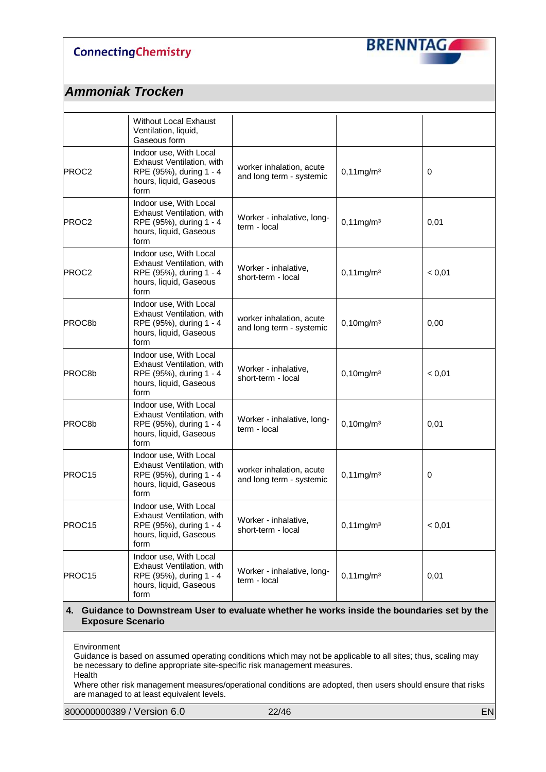

### *Ammoniak Trocken*

|        | Without Local Exhaust<br>Ventilation, liquid,<br>Gaseous form                                                    |                                                      |                          |             |
|--------|------------------------------------------------------------------------------------------------------------------|------------------------------------------------------|--------------------------|-------------|
| PROC2  | Indoor use, With Local<br>Exhaust Ventilation, with<br>RPE (95%), during 1 - 4<br>hours, liquid, Gaseous<br>form | worker inhalation, acute<br>and long term - systemic | $0,11$ mg/m $3$          | 0           |
| PROC2  | Indoor use, With Local<br>Exhaust Ventilation, with<br>RPE (95%), during 1 - 4<br>hours, liquid, Gaseous<br>form | Worker - inhalative, long-<br>term - local           | $0,11$ mg/m $3$          | 0,01        |
| PROC2  | Indoor use, With Local<br>Exhaust Ventilation, with<br>RPE (95%), during 1 - 4<br>hours, liquid, Gaseous<br>form | Worker - inhalative,<br>short-term - local           | $0,11$ mg/m <sup>3</sup> | < 0,01      |
| PROC8b | Indoor use, With Local<br>Exhaust Ventilation, with<br>RPE (95%), during 1 - 4<br>hours, liquid, Gaseous<br>form | worker inhalation, acute<br>and long term - systemic | $0,10$ mg/m $3$          | 0,00        |
| PROC8b | Indoor use, With Local<br>Exhaust Ventilation, with<br>RPE (95%), during 1 - 4<br>hours, liquid, Gaseous<br>form | Worker - inhalative.<br>short-term - local           | $0,10$ mg/m $3$          | < 0,01      |
| PROC8b | Indoor use, With Local<br>Exhaust Ventilation, with<br>RPE (95%), during 1 - 4<br>hours, liquid, Gaseous<br>form | Worker - inhalative, long-<br>term - local           | $0,10$ mg/m $3$          | 0,01        |
| PROC15 | Indoor use, With Local<br>Exhaust Ventilation, with<br>RPE (95%), during 1 - 4<br>hours, liquid, Gaseous<br>form | worker inhalation, acute<br>and long term - systemic | $0,11$ mg/m $3$          | $\mathbf 0$ |
| PROC15 | Indoor use, With Local<br>Exhaust Ventilation, with<br>RPE (95%), during 1 - 4<br>hours, liquid, Gaseous<br>form | Worker - inhalative,<br>short-term - local           | $0,11$ mg/m $3$          | < 0,01      |
| PROC15 | Indoor use, With Local<br>Exhaust Ventilation, with<br>RPE (95%), during 1 - 4<br>hours, liquid, Gaseous<br>form | Worker - inhalative, long-<br>term - local           | $0,11$ mg/m $3$          | 0,01        |

#### **4. Guidance to Downstream User to evaluate whether he works inside the boundaries set by the Exposure Scenario**

Environment

Guidance is based on assumed operating conditions which may not be applicable to all sites; thus, scaling may be necessary to define appropriate site-specific risk management measures. Health

Where other risk management measures/operational conditions are adopted, then users should ensure that risks are managed to at least equivalent levels.

800000000389 / Version 6.0 22/46 22/46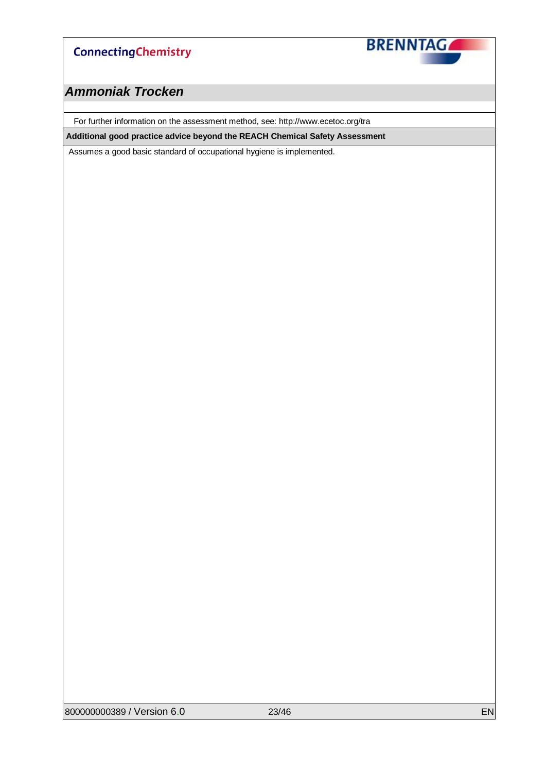

### *Ammoniak Trocken*

For further information on the assessment method, see: http://www.ecetoc.org/tra

**Additional good practice advice beyond the REACH Chemical Safety Assessment**

Assumes a good basic standard of occupational hygiene is implemented.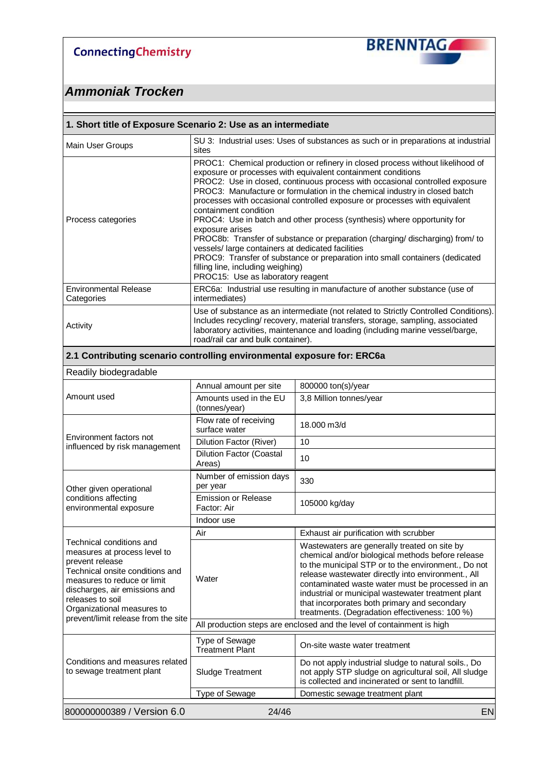

| 1. Short title of Exposure Scenario 2: Use as an intermediate                                                                                                                                                                    |                                                                                                                                                                                                                                                                                                                                                                                                                                                                                                                                                                                                                                                                                                                                                                                                                  |                                                                                                                                                                                                                                                                                                                                                                                                                            |  |  |  |
|----------------------------------------------------------------------------------------------------------------------------------------------------------------------------------------------------------------------------------|------------------------------------------------------------------------------------------------------------------------------------------------------------------------------------------------------------------------------------------------------------------------------------------------------------------------------------------------------------------------------------------------------------------------------------------------------------------------------------------------------------------------------------------------------------------------------------------------------------------------------------------------------------------------------------------------------------------------------------------------------------------------------------------------------------------|----------------------------------------------------------------------------------------------------------------------------------------------------------------------------------------------------------------------------------------------------------------------------------------------------------------------------------------------------------------------------------------------------------------------------|--|--|--|
| Main User Groups                                                                                                                                                                                                                 | sites                                                                                                                                                                                                                                                                                                                                                                                                                                                                                                                                                                                                                                                                                                                                                                                                            | SU 3: Industrial uses: Uses of substances as such or in preparations at industrial                                                                                                                                                                                                                                                                                                                                         |  |  |  |
| Process categories                                                                                                                                                                                                               | PROC1: Chemical production or refinery in closed process without likelihood of<br>exposure or processes with equivalent containment conditions<br>PROC2: Use in closed, continuous process with occasional controlled exposure<br>PROC3: Manufacture or formulation in the chemical industry in closed batch<br>processes with occasional controlled exposure or processes with equivalent<br>containment condition<br>PROC4: Use in batch and other process (synthesis) where opportunity for<br>exposure arises<br>PROC8b: Transfer of substance or preparation (charging/discharging) from/ to<br>vessels/ large containers at dedicated facilities<br>PROC9: Transfer of substance or preparation into small containers (dedicated<br>filling line, including weighing)<br>PROC15: Use as laboratory reagent |                                                                                                                                                                                                                                                                                                                                                                                                                            |  |  |  |
| <b>Environmental Release</b><br>Categories                                                                                                                                                                                       | intermediates)                                                                                                                                                                                                                                                                                                                                                                                                                                                                                                                                                                                                                                                                                                                                                                                                   | ERC6a: Industrial use resulting in manufacture of another substance (use of                                                                                                                                                                                                                                                                                                                                                |  |  |  |
| Activity                                                                                                                                                                                                                         | road/rail car and bulk container).                                                                                                                                                                                                                                                                                                                                                                                                                                                                                                                                                                                                                                                                                                                                                                               | Use of substance as an intermediate (not related to Strictly Controlled Conditions).<br>Includes recycling/ recovery, material transfers, storage, sampling, associated<br>laboratory activities, maintenance and loading (including marine vessel/barge,                                                                                                                                                                  |  |  |  |
| 2.1 Contributing scenario controlling environmental exposure for: ERC6a                                                                                                                                                          |                                                                                                                                                                                                                                                                                                                                                                                                                                                                                                                                                                                                                                                                                                                                                                                                                  |                                                                                                                                                                                                                                                                                                                                                                                                                            |  |  |  |
| Readily biodegradable                                                                                                                                                                                                            |                                                                                                                                                                                                                                                                                                                                                                                                                                                                                                                                                                                                                                                                                                                                                                                                                  |                                                                                                                                                                                                                                                                                                                                                                                                                            |  |  |  |
|                                                                                                                                                                                                                                  | Annual amount per site                                                                                                                                                                                                                                                                                                                                                                                                                                                                                                                                                                                                                                                                                                                                                                                           | 800000 ton(s)/year                                                                                                                                                                                                                                                                                                                                                                                                         |  |  |  |
| Amount used                                                                                                                                                                                                                      | Amounts used in the EU<br>(tonnes/year)                                                                                                                                                                                                                                                                                                                                                                                                                                                                                                                                                                                                                                                                                                                                                                          | 3,8 Million tonnes/year                                                                                                                                                                                                                                                                                                                                                                                                    |  |  |  |
| Environment factors not                                                                                                                                                                                                          | Flow rate of receiving<br>surface water                                                                                                                                                                                                                                                                                                                                                                                                                                                                                                                                                                                                                                                                                                                                                                          | 18,000 m3/d                                                                                                                                                                                                                                                                                                                                                                                                                |  |  |  |
| influenced by risk management                                                                                                                                                                                                    | Dilution Factor (River)                                                                                                                                                                                                                                                                                                                                                                                                                                                                                                                                                                                                                                                                                                                                                                                          | 10                                                                                                                                                                                                                                                                                                                                                                                                                         |  |  |  |
|                                                                                                                                                                                                                                  | <b>Dilution Factor (Coastal</b><br>Areas)                                                                                                                                                                                                                                                                                                                                                                                                                                                                                                                                                                                                                                                                                                                                                                        | 10                                                                                                                                                                                                                                                                                                                                                                                                                         |  |  |  |
| Other given operational                                                                                                                                                                                                          | Number of emission days<br>per year                                                                                                                                                                                                                                                                                                                                                                                                                                                                                                                                                                                                                                                                                                                                                                              | 330                                                                                                                                                                                                                                                                                                                                                                                                                        |  |  |  |
| conditions affecting<br>environmental exposure                                                                                                                                                                                   | <b>Emission or Release</b><br>Factor: Air                                                                                                                                                                                                                                                                                                                                                                                                                                                                                                                                                                                                                                                                                                                                                                        | 105000 kg/day                                                                                                                                                                                                                                                                                                                                                                                                              |  |  |  |
|                                                                                                                                                                                                                                  | Indoor use                                                                                                                                                                                                                                                                                                                                                                                                                                                                                                                                                                                                                                                                                                                                                                                                       |                                                                                                                                                                                                                                                                                                                                                                                                                            |  |  |  |
|                                                                                                                                                                                                                                  | Air                                                                                                                                                                                                                                                                                                                                                                                                                                                                                                                                                                                                                                                                                                                                                                                                              | Exhaust air purification with scrubber                                                                                                                                                                                                                                                                                                                                                                                     |  |  |  |
| Technical conditions and<br>measures at process level to<br>prevent release<br>Technical onsite conditions and<br>measures to reduce or limit<br>discharges, air emissions and<br>releases to soil<br>Organizational measures to | Water                                                                                                                                                                                                                                                                                                                                                                                                                                                                                                                                                                                                                                                                                                                                                                                                            | Wastewaters are generally treated on site by<br>chemical and/or biological methods before release<br>to the municipal STP or to the environment., Do not<br>release wastewater directly into environment., All<br>contaminated waste water must be processed in an<br>industrial or municipal wastewater treatment plant<br>that incorporates both primary and secondary<br>treatments. (Degradation effectiveness: 100 %) |  |  |  |
| prevent/limit release from the site                                                                                                                                                                                              |                                                                                                                                                                                                                                                                                                                                                                                                                                                                                                                                                                                                                                                                                                                                                                                                                  | All production steps are enclosed and the level of containment is high                                                                                                                                                                                                                                                                                                                                                     |  |  |  |
|                                                                                                                                                                                                                                  | Type of Sewage<br><b>Treatment Plant</b>                                                                                                                                                                                                                                                                                                                                                                                                                                                                                                                                                                                                                                                                                                                                                                         | On-site waste water treatment                                                                                                                                                                                                                                                                                                                                                                                              |  |  |  |
| Conditions and measures related<br>to sewage treatment plant                                                                                                                                                                     | Sludge Treatment                                                                                                                                                                                                                                                                                                                                                                                                                                                                                                                                                                                                                                                                                                                                                                                                 | Do not apply industrial sludge to natural soils., Do<br>not apply STP sludge on agricultural soil, All sludge<br>is collected and incinerated or sent to landfill.                                                                                                                                                                                                                                                         |  |  |  |
|                                                                                                                                                                                                                                  | Type of Sewage                                                                                                                                                                                                                                                                                                                                                                                                                                                                                                                                                                                                                                                                                                                                                                                                   | Domestic sewage treatment plant                                                                                                                                                                                                                                                                                                                                                                                            |  |  |  |
| 800000000389 / Version 6.0                                                                                                                                                                                                       | 24/46                                                                                                                                                                                                                                                                                                                                                                                                                                                                                                                                                                                                                                                                                                                                                                                                            | <b>EN</b>                                                                                                                                                                                                                                                                                                                                                                                                                  |  |  |  |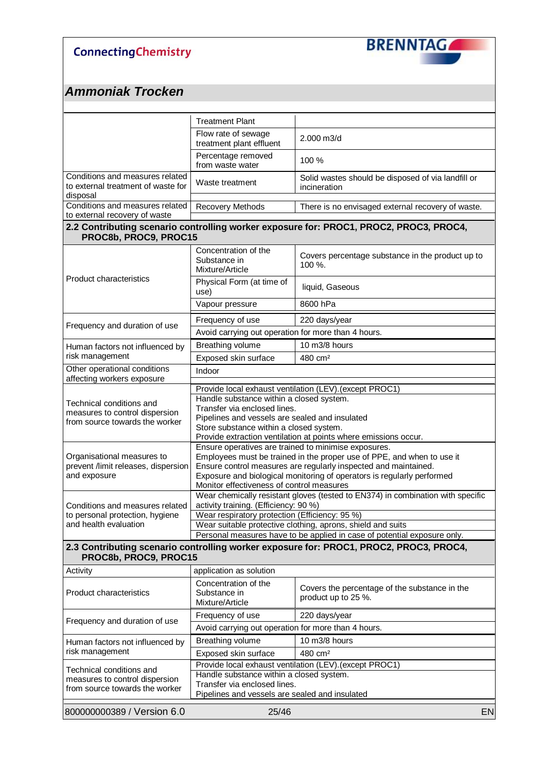

|                                                                       | <b>Treatment Plant</b>                                                                                                   |                                                                                                                                         |  |  |
|-----------------------------------------------------------------------|--------------------------------------------------------------------------------------------------------------------------|-----------------------------------------------------------------------------------------------------------------------------------------|--|--|
|                                                                       |                                                                                                                          |                                                                                                                                         |  |  |
|                                                                       | Flow rate of sewage<br>treatment plant effluent                                                                          | 2.000 m3/d                                                                                                                              |  |  |
|                                                                       | Percentage removed<br>from waste water                                                                                   | 100 %                                                                                                                                   |  |  |
| Conditions and measures related<br>to external treatment of waste for | Waste treatment                                                                                                          | Solid wastes should be disposed of via landfill or<br>incineration                                                                      |  |  |
| disposal<br>Conditions and measures related                           | Recovery Methods                                                                                                         | There is no envisaged external recovery of waste.                                                                                       |  |  |
| to external recovery of waste                                         |                                                                                                                          |                                                                                                                                         |  |  |
| PROC8b, PROC9, PROC15                                                 |                                                                                                                          | 2.2 Contributing scenario controlling worker exposure for: PROC1, PROC2, PROC3, PROC4,                                                  |  |  |
|                                                                       | Concentration of the                                                                                                     | Covers percentage substance in the product up to                                                                                        |  |  |
|                                                                       | Substance in<br>Mixture/Article                                                                                          | 100 %.                                                                                                                                  |  |  |
| <b>Product characteristics</b>                                        |                                                                                                                          |                                                                                                                                         |  |  |
|                                                                       | Physical Form (at time of<br>use)                                                                                        | liquid, Gaseous                                                                                                                         |  |  |
|                                                                       | Vapour pressure                                                                                                          | 8600 hPa                                                                                                                                |  |  |
|                                                                       | Frequency of use                                                                                                         | 220 days/year                                                                                                                           |  |  |
| Frequency and duration of use                                         | Avoid carrying out operation for more than 4 hours.                                                                      |                                                                                                                                         |  |  |
| Human factors not influenced by                                       | Breathing volume                                                                                                         | 10 m3/8 hours                                                                                                                           |  |  |
| risk management                                                       | Exposed skin surface                                                                                                     | 480 cm <sup>2</sup>                                                                                                                     |  |  |
| Other operational conditions<br>affecting workers exposure            | Indoor                                                                                                                   |                                                                                                                                         |  |  |
|                                                                       |                                                                                                                          | Provide local exhaust ventilation (LEV). (except PROC1)                                                                                 |  |  |
| Technical conditions and                                              | Handle substance within a closed system.                                                                                 |                                                                                                                                         |  |  |
| measures to control dispersion                                        | Transfer via enclosed lines.<br>Pipelines and vessels are sealed and insulated                                           |                                                                                                                                         |  |  |
| from source towards the worker                                        | Store substance within a closed system.                                                                                  |                                                                                                                                         |  |  |
|                                                                       |                                                                                                                          | Provide extraction ventilation at points where emissions occur.                                                                         |  |  |
|                                                                       | Ensure operatives are trained to minimise exposures.                                                                     | Employees must be trained in the proper use of PPE, and when to use it                                                                  |  |  |
| Organisational measures to<br>prevent /limit releases, dispersion     |                                                                                                                          | Ensure control measures are regularly inspected and maintained.                                                                         |  |  |
| and exposure                                                          |                                                                                                                          | Exposure and biological monitoring of operators is regularly performed                                                                  |  |  |
|                                                                       | Monitor effectiveness of control measures                                                                                |                                                                                                                                         |  |  |
| Conditions and measures related                                       | Wear chemically resistant gloves (tested to EN374) in combination with specific<br>activity training. (Efficiency: 90 %) |                                                                                                                                         |  |  |
| to personal protection, hygiene                                       | Wear respiratory protection (Efficiency: 95 %)                                                                           |                                                                                                                                         |  |  |
| and health evaluation                                                 |                                                                                                                          | Wear suitable protective clothing, aprons, shield and suits<br>Personal measures have to be applied in case of potential exposure only. |  |  |
|                                                                       |                                                                                                                          | 2.3 Contributing scenario controlling worker exposure for: PROC1, PROC2, PROC3, PROC4,                                                  |  |  |
| PROC8b, PROC9, PROC15                                                 |                                                                                                                          |                                                                                                                                         |  |  |
| Activity                                                              | application as solution                                                                                                  |                                                                                                                                         |  |  |
| <b>Product characteristics</b>                                        | Concentration of the<br>Substance in<br>Mixture/Article                                                                  | Covers the percentage of the substance in the<br>product up to 25 %.                                                                    |  |  |
|                                                                       | Frequency of use                                                                                                         | 220 days/year                                                                                                                           |  |  |
| Frequency and duration of use                                         | Avoid carrying out operation for more than 4 hours.                                                                      |                                                                                                                                         |  |  |
| Human factors not influenced by                                       | Breathing volume                                                                                                         | 10 m3/8 hours                                                                                                                           |  |  |
| risk management                                                       | Exposed skin surface                                                                                                     | 480 cm <sup>2</sup>                                                                                                                     |  |  |
| Technical conditions and                                              |                                                                                                                          | Provide local exhaust ventilation (LEV). (except PROC1)                                                                                 |  |  |
| measures to control dispersion                                        | Handle substance within a closed system.                                                                                 |                                                                                                                                         |  |  |
| from source towards the worker                                        | Transfer via enclosed lines.<br>Pipelines and vessels are sealed and insulated                                           |                                                                                                                                         |  |  |
|                                                                       |                                                                                                                          |                                                                                                                                         |  |  |
| 800000000389 / Version 6.0                                            | 25/46                                                                                                                    | EN                                                                                                                                      |  |  |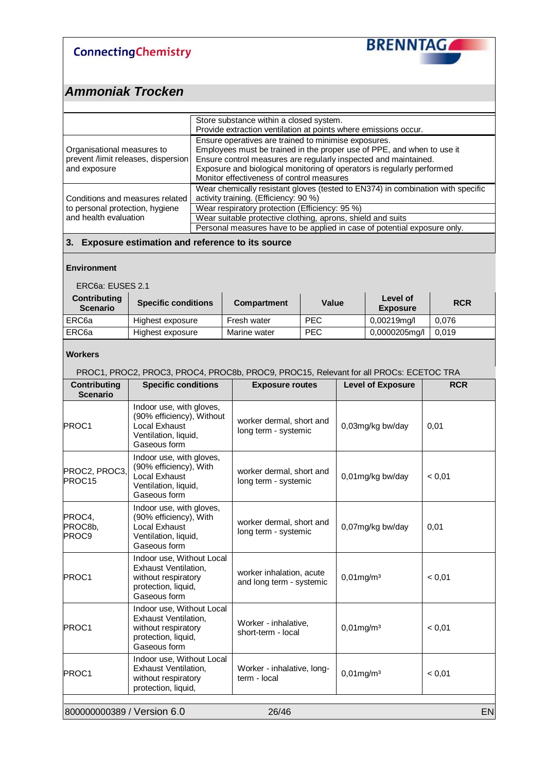

### *Ammoniak Trocken*

|                                                                                   | Store substance within a closed system.<br>Provide extraction ventilation at points where emissions occur.                                                                                                                                                                                                               |
|-----------------------------------------------------------------------------------|--------------------------------------------------------------------------------------------------------------------------------------------------------------------------------------------------------------------------------------------------------------------------------------------------------------------------|
| Organisational measures to<br>prevent /limit releases, dispersion<br>and exposure | Ensure operatives are trained to minimise exposures.<br>Employees must be trained in the proper use of PPE, and when to use it<br>Ensure control measures are regularly inspected and maintained.<br>Exposure and biological monitoring of operators is regularly performed<br>Monitor effectiveness of control measures |
| Conditions and measures related<br>to personal protection, hygiene                | Wear chemically resistant gloves (tested to EN374) in combination with specific<br>activity training. (Efficiency: 90 %)<br>Wear respiratory protection (Efficiency: 95 %)                                                                                                                                               |
| and health evaluation                                                             | Wear suitable protective clothing, aprons, shield and suits<br>Personal measures have to be applied in case of potential exposure only.                                                                                                                                                                                  |

#### **3. Exposure estimation and reference to its source**

#### **Environment**

ERC6a: EUSES 2.1

| <b>Contributing</b><br><b>Scenario</b> | <b>Specific conditions</b> | <b>Compartment</b> | Value      | Level of<br><b>Exposure</b> | <b>RCR</b> |
|----------------------------------------|----------------------------|--------------------|------------|-----------------------------|------------|
| ERC <sub>6a</sub>                      | Highest exposure           | Fresh water        | <b>PEC</b> | 0,00219mg/l                 | 0.076      |
| ERC6a                                  | Highest exposure           | Marine water       | <b>PEC</b> | 0,0000205mg/l               | 0.019      |

#### **Workers**

PROC1, PROC2, PROC3, PROC4, PROC8b, PROC9, PROC15, Relevant for all PROCs: ECETOC TRA

| Contributing<br><b>Scenario</b>   | <b>Specific conditions</b>                                                                                             | <b>Exposure routes</b>                               | <b>Level of Exposure</b> | <b>RCR</b> |
|-----------------------------------|------------------------------------------------------------------------------------------------------------------------|------------------------------------------------------|--------------------------|------------|
| <b>PROC1</b>                      | Indoor use, with gloves,<br>(90% efficiency), Without<br><b>Local Exhaust</b><br>Ventilation, liquid,<br>Gaseous form  | worker dermal, short and<br>long term - systemic     | 0,03mg/kg bw/day         | 0,01       |
| PROC2, PROC3,<br>PROC15           | Indoor use, with gloves,<br>(90% efficiency), With<br>Local Exhaust<br>Ventilation, liquid,<br>Gaseous form            | worker dermal, short and<br>long term - systemic     | 0,01mg/kg bw/day         | < 0.01     |
| PROC4,<br>PROC8b,<br><b>PROC9</b> | Indoor use, with gloves,<br>(90% efficiency), With<br><b>Local Exhaust</b><br>Ventilation, liquid,<br>Gaseous form     | worker dermal, short and<br>long term - systemic     | 0,07mg/kg bw/day         | 0,01       |
| <b>PROC1</b>                      | Indoor use, Without Local<br>Exhaust Ventilation.<br>without respiratory<br>protection, liquid,<br>Gaseous form        | worker inhalation, acute<br>and long term - systemic | $0,01$ mg/m $3$          | < 0.01     |
| <b>PROC1</b>                      | Indoor use, Without Local<br><b>Exhaust Ventilation,</b><br>without respiratory<br>protection, liquid,<br>Gaseous form | Worker - inhalative,<br>short-term - local           | $0,01$ mg/m $3$          | < 0,01     |
| <b>PROC1</b>                      | Indoor use, Without Local<br>Exhaust Ventilation,<br>without respiratory<br>protection, liquid,                        | Worker - inhalative, long-<br>term - local           | $0,01$ mg/m $3$          | < 0,01     |
| 800000000389 / Version 6.0        |                                                                                                                        | 26/46                                                |                          | <b>EN</b>  |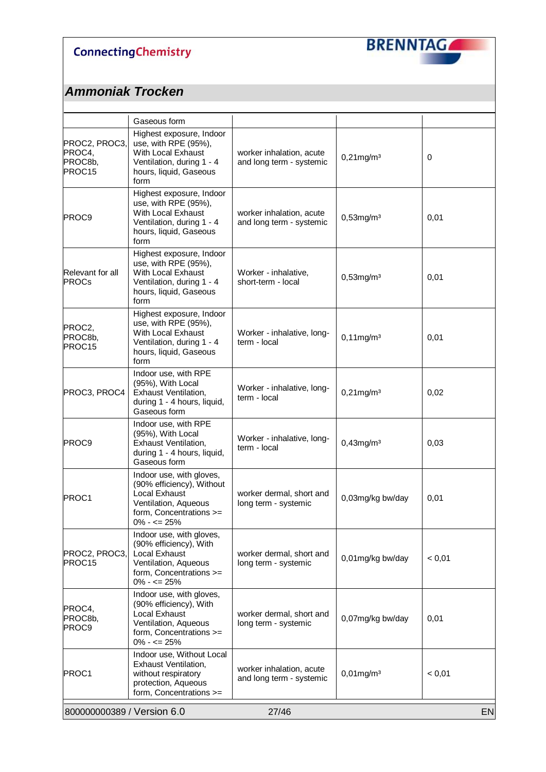

|                                              | Gaseous form                                                                                                                                         |                                                      |                  |           |
|----------------------------------------------|------------------------------------------------------------------------------------------------------------------------------------------------------|------------------------------------------------------|------------------|-----------|
| PROC2, PROC3,<br>PROC4,<br>PROC8b,<br>PROC15 | Highest exposure, Indoor<br>use, with RPE (95%),<br>With Local Exhaust<br>Ventilation, during 1 - 4<br>hours, liquid, Gaseous<br>form                | worker inhalation, acute<br>and long term - systemic | $0,21$ mg/m $3$  | $\pmb{0}$ |
| PROC9                                        | Highest exposure, Indoor<br>use, with RPE (95%),<br>With Local Exhaust<br>Ventilation, during 1 - 4<br>hours, liquid, Gaseous<br>form                | worker inhalation, acute<br>and long term - systemic | $0,53$ mg/m $3$  | 0,01      |
| Relevant for all<br><b>PROCs</b>             | Highest exposure, Indoor<br>use, with RPE (95%),<br>With Local Exhaust<br>Ventilation, during 1 - 4<br>hours, liquid, Gaseous<br>form                | Worker - inhalative,<br>short-term - local           | $0,53$ mg/m $3$  | 0,01      |
| PROC2,<br>PROC8b,<br>PROC <sub>15</sub>      | Highest exposure, Indoor<br>use, with RPE (95%),<br>With Local Exhaust<br>Ventilation, during 1 - 4<br>hours, liquid, Gaseous<br>form                | Worker - inhalative, long-<br>term - local           | $0,11$ mg/m $3$  | 0,01      |
| PROC3, PROC4                                 | Indoor use, with RPE<br>(95%), With Local<br><b>Exhaust Ventilation,</b><br>during 1 - 4 hours, liquid,<br>Gaseous form                              | Worker - inhalative, long-<br>term - local           | $0,21$ mg/m $3$  | 0,02      |
| <b>PROC9</b>                                 | Indoor use, with RPE<br>(95%), With Local<br>Exhaust Ventilation,<br>during 1 - 4 hours, liquid,<br>Gaseous form                                     | Worker - inhalative, long-<br>term - local           | $0,43$ mg/m $3$  | 0,03      |
| PROC1                                        | Indoor use, with gloves,<br>(90% efficiency), Without<br><b>Local Exhaust</b><br>Ventilation, Aqueous<br>form, Concentrations >=<br>$0\% - \le 25\%$ | worker dermal, short and<br>long term - systemic     | 0,03mg/kg bw/day | 0,01      |
| PROC2, PROC3,<br>PROC15                      | Indoor use, with gloves,<br>(90% efficiency), With<br>Local Exhaust<br>Ventilation, Aqueous<br>form, Concentrations >=<br>$0\% - \le 25\%$           | worker dermal, short and<br>long term - systemic     | 0,01mg/kg bw/day | < 0,01    |
| PROC4,<br>PROC8b,<br>PROC9                   | Indoor use, with gloves,<br>(90% efficiency), With<br>Local Exhaust<br>Ventilation, Aqueous<br>form, Concentrations >=<br>$0\% - \le 25\%$           | worker dermal, short and<br>long term - systemic     | 0,07mg/kg bw/day | 0,01      |
| PROC1                                        | Indoor use, Without Local<br><b>Exhaust Ventilation,</b><br>without respiratory<br>protection, Aqueous<br>form, Concentrations >=                    | worker inhalation, acute<br>and long term - systemic | $0,01$ mg/m $3$  | < 0,01    |
| 800000000389 / Version 6.0<br>27/46<br>EN    |                                                                                                                                                      |                                                      |                  |           |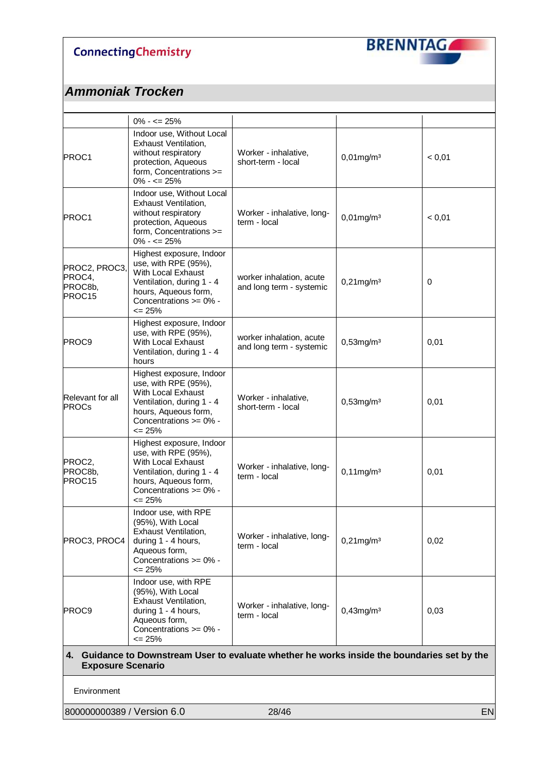

## *Ammoniak Trocken*

|                                                                                                                          | $0\% - \le 25\%$                                                                                                                                                          |                                                      |                 |             |
|--------------------------------------------------------------------------------------------------------------------------|---------------------------------------------------------------------------------------------------------------------------------------------------------------------------|------------------------------------------------------|-----------------|-------------|
| PROC1                                                                                                                    | Indoor use, Without Local<br><b>Exhaust Ventilation,</b><br>without respiratory<br>protection, Aqueous<br>form, Concentrations >=<br>$0\% - \le 25\%$                     | Worker - inhalative,<br>short-term - local           | $0,01$ mg/m $3$ | < 0,01      |
| PROC1                                                                                                                    | Indoor use, Without Local<br><b>Exhaust Ventilation,</b><br>without respiratory<br>protection, Aqueous<br>form, Concentrations >=<br>$0\% - \le 25\%$                     | Worker - inhalative, long-<br>term - local           | $0,01$ mg/m $3$ | < 0,01      |
| PROC2, PROC3,<br>PROC4,<br>PROC8b,<br>PROC15                                                                             | Highest exposure, Indoor<br>use, with RPE (95%),<br>With Local Exhaust<br>Ventilation, during 1 - 4<br>hours, Aqueous form,<br>Concentrations >= 0% -<br>$\leq$ 25%       | worker inhalation, acute<br>and long term - systemic | $0,21$ mg/m $3$ | $\mathbf 0$ |
| PROC9                                                                                                                    | Highest exposure, Indoor<br>use, with RPE (95%),<br>With Local Exhaust<br>Ventilation, during 1 - 4<br>hours                                                              | worker inhalation, acute<br>and long term - systemic | $0,53$ mg/m $3$ | 0,01        |
| Relevant for all<br><b>PROCs</b>                                                                                         | Highest exposure, Indoor<br>use, with RPE (95%),<br>With Local Exhaust<br>Ventilation, during 1 - 4<br>hours, Aqueous form,<br>Concentrations >= 0% -<br>$\leq$ 25%       | Worker - inhalative,<br>short-term - local           | $0,53$ mg/m $3$ | 0,01        |
| PROC2,<br>PROC8b,<br>PROC15                                                                                              | Highest exposure, Indoor<br>use, with RPE (95%),<br>With Local Exhaust<br>Ventilation, during 1 - 4<br>hours, Aqueous form,<br>Concentrations >= 0% -<br>$\epsilon$ = 25% | Worker - inhalative, long-<br>term - local           | $0,11$ mg/m $3$ | 0,01        |
| PROC3, PROC4                                                                                                             | Indoor use, with RPE<br>(95%), With Local<br>Exhaust Ventilation,<br>during 1 - 4 hours,<br>Aqueous form,<br>Concentrations >= 0% -<br>$\leq$ 25%                         | Worker - inhalative, long-<br>term - local           | $0,21$ mg/m $3$ | 0,02        |
| PROC9                                                                                                                    | Indoor use, with RPE<br>(95%), With Local<br><b>Exhaust Ventilation,</b><br>during 1 - 4 hours,<br>Aqueous form,<br>Concentrations >= 0% -<br>$\leq$ 25%                  | Worker - inhalative, long-<br>term - local           | $0,43$ mg/m $3$ | 0,03        |
| 4. Guidance to Downstream User to evaluate whether he works inside the boundaries set by the<br><b>Exposure Scenario</b> |                                                                                                                                                                           |                                                      |                 |             |
|                                                                                                                          |                                                                                                                                                                           |                                                      |                 |             |

Environment

800000000389 / Version 6.0 28/46 EN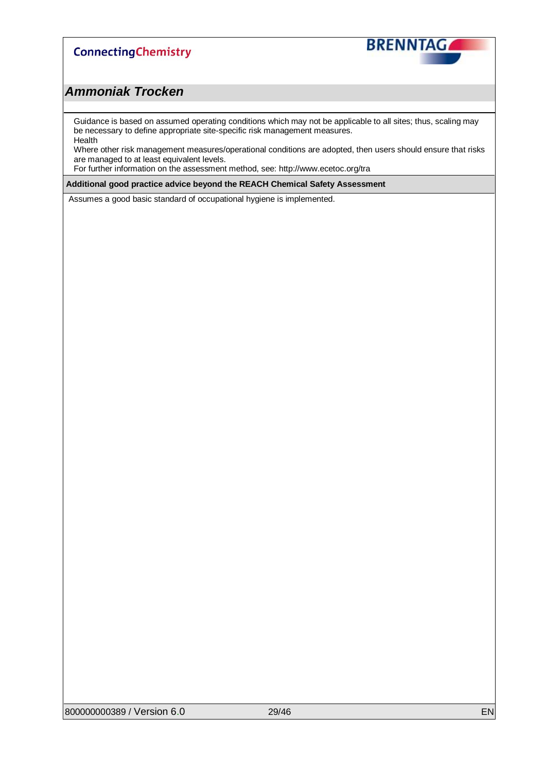

### *Ammoniak Trocken*

Guidance is based on assumed operating conditions which may not be applicable to all sites; thus, scaling may be necessary to define appropriate site-specific risk management measures. Health

Where other risk management measures/operational conditions are adopted, then users should ensure that risks are managed to at least equivalent levels.

For further information on the assessment method, see: http://www.ecetoc.org/tra

**Additional good practice advice beyond the REACH Chemical Safety Assessment**

Assumes a good basic standard of occupational hygiene is implemented.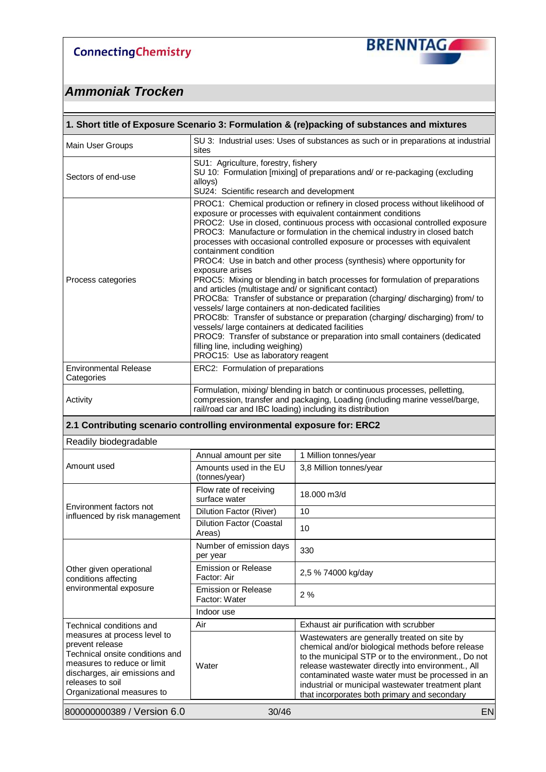

| 1. Short title of Exposure Scenario 3: Formulation & (re)packing of substances and mixtures                                                                                                          |                                                                                                                                                                                                                                                                                                                                                                                                                                                                                                                                                                                                                                                                                                                                                                                                                                                                                                                                                                                                                                                                                                  |                                                                                                                                                                                                                                                                                                                                                                          |  |  |
|------------------------------------------------------------------------------------------------------------------------------------------------------------------------------------------------------|--------------------------------------------------------------------------------------------------------------------------------------------------------------------------------------------------------------------------------------------------------------------------------------------------------------------------------------------------------------------------------------------------------------------------------------------------------------------------------------------------------------------------------------------------------------------------------------------------------------------------------------------------------------------------------------------------------------------------------------------------------------------------------------------------------------------------------------------------------------------------------------------------------------------------------------------------------------------------------------------------------------------------------------------------------------------------------------------------|--------------------------------------------------------------------------------------------------------------------------------------------------------------------------------------------------------------------------------------------------------------------------------------------------------------------------------------------------------------------------|--|--|
| Main User Groups                                                                                                                                                                                     | sites                                                                                                                                                                                                                                                                                                                                                                                                                                                                                                                                                                                                                                                                                                                                                                                                                                                                                                                                                                                                                                                                                            | SU 3: Industrial uses: Uses of substances as such or in preparations at industrial                                                                                                                                                                                                                                                                                       |  |  |
| Sectors of end-use                                                                                                                                                                                   | SU1: Agriculture, forestry, fishery<br>SU 10: Formulation [mixing] of preparations and/ or re-packaging (excluding<br>alloys)<br>SU24: Scientific research and development                                                                                                                                                                                                                                                                                                                                                                                                                                                                                                                                                                                                                                                                                                                                                                                                                                                                                                                       |                                                                                                                                                                                                                                                                                                                                                                          |  |  |
| Process categories                                                                                                                                                                                   | PROC1: Chemical production or refinery in closed process without likelihood of<br>exposure or processes with equivalent containment conditions<br>PROC2: Use in closed, continuous process with occasional controlled exposure<br>PROC3: Manufacture or formulation in the chemical industry in closed batch<br>processes with occasional controlled exposure or processes with equivalent<br>containment condition<br>PROC4: Use in batch and other process (synthesis) where opportunity for<br>exposure arises<br>PROC5: Mixing or blending in batch processes for formulation of preparations<br>and articles (multistage and/ or significant contact)<br>PROC8a: Transfer of substance or preparation (charging/discharging) from/to<br>vessels/ large containers at non-dedicated facilities<br>PROC8b: Transfer of substance or preparation (charging/discharging) from/to<br>vessels/ large containers at dedicated facilities<br>PROC9: Transfer of substance or preparation into small containers (dedicated<br>filling line, including weighing)<br>PROC15: Use as laboratory reagent |                                                                                                                                                                                                                                                                                                                                                                          |  |  |
| <b>Environmental Release</b><br>Categories                                                                                                                                                           | ERC2: Formulation of preparations                                                                                                                                                                                                                                                                                                                                                                                                                                                                                                                                                                                                                                                                                                                                                                                                                                                                                                                                                                                                                                                                |                                                                                                                                                                                                                                                                                                                                                                          |  |  |
| Activity                                                                                                                                                                                             | rail/road car and IBC loading) including its distribution                                                                                                                                                                                                                                                                                                                                                                                                                                                                                                                                                                                                                                                                                                                                                                                                                                                                                                                                                                                                                                        | Formulation, mixing/ blending in batch or continuous processes, pelletting,<br>compression, transfer and packaging, Loading (including marine vessel/barge,                                                                                                                                                                                                              |  |  |
| 2.1 Contributing scenario controlling environmental exposure for: ERC2                                                                                                                               |                                                                                                                                                                                                                                                                                                                                                                                                                                                                                                                                                                                                                                                                                                                                                                                                                                                                                                                                                                                                                                                                                                  |                                                                                                                                                                                                                                                                                                                                                                          |  |  |
| Readily biodegradable                                                                                                                                                                                |                                                                                                                                                                                                                                                                                                                                                                                                                                                                                                                                                                                                                                                                                                                                                                                                                                                                                                                                                                                                                                                                                                  |                                                                                                                                                                                                                                                                                                                                                                          |  |  |
|                                                                                                                                                                                                      | Annual amount per site                                                                                                                                                                                                                                                                                                                                                                                                                                                                                                                                                                                                                                                                                                                                                                                                                                                                                                                                                                                                                                                                           | 1 Million tonnes/year                                                                                                                                                                                                                                                                                                                                                    |  |  |
| Amount used                                                                                                                                                                                          | Amounts used in the EU                                                                                                                                                                                                                                                                                                                                                                                                                                                                                                                                                                                                                                                                                                                                                                                                                                                                                                                                                                                                                                                                           | 3,8 Million tonnes/year                                                                                                                                                                                                                                                                                                                                                  |  |  |
|                                                                                                                                                                                                      | (tonnes/year)                                                                                                                                                                                                                                                                                                                                                                                                                                                                                                                                                                                                                                                                                                                                                                                                                                                                                                                                                                                                                                                                                    |                                                                                                                                                                                                                                                                                                                                                                          |  |  |
|                                                                                                                                                                                                      | Flow rate of receiving<br>surface water                                                                                                                                                                                                                                                                                                                                                                                                                                                                                                                                                                                                                                                                                                                                                                                                                                                                                                                                                                                                                                                          | 18.000 m3/d                                                                                                                                                                                                                                                                                                                                                              |  |  |
| Environment factors not                                                                                                                                                                              | Dilution Factor (River)                                                                                                                                                                                                                                                                                                                                                                                                                                                                                                                                                                                                                                                                                                                                                                                                                                                                                                                                                                                                                                                                          | 10                                                                                                                                                                                                                                                                                                                                                                       |  |  |
| influenced by risk management                                                                                                                                                                        | <b>Dilution Factor (Coastal</b><br>Areas)                                                                                                                                                                                                                                                                                                                                                                                                                                                                                                                                                                                                                                                                                                                                                                                                                                                                                                                                                                                                                                                        | 10                                                                                                                                                                                                                                                                                                                                                                       |  |  |
|                                                                                                                                                                                                      | Number of emission days<br>per year                                                                                                                                                                                                                                                                                                                                                                                                                                                                                                                                                                                                                                                                                                                                                                                                                                                                                                                                                                                                                                                              | 330                                                                                                                                                                                                                                                                                                                                                                      |  |  |
| Other given operational<br>conditions affecting                                                                                                                                                      | <b>Emission or Release</b><br>Factor: Air                                                                                                                                                                                                                                                                                                                                                                                                                                                                                                                                                                                                                                                                                                                                                                                                                                                                                                                                                                                                                                                        | 2,5 % 74000 kg/day                                                                                                                                                                                                                                                                                                                                                       |  |  |
| environmental exposure                                                                                                                                                                               | <b>Emission or Release</b><br>Factor: Water                                                                                                                                                                                                                                                                                                                                                                                                                                                                                                                                                                                                                                                                                                                                                                                                                                                                                                                                                                                                                                                      | 2%                                                                                                                                                                                                                                                                                                                                                                       |  |  |
|                                                                                                                                                                                                      | Indoor use                                                                                                                                                                                                                                                                                                                                                                                                                                                                                                                                                                                                                                                                                                                                                                                                                                                                                                                                                                                                                                                                                       |                                                                                                                                                                                                                                                                                                                                                                          |  |  |
| Technical conditions and                                                                                                                                                                             | Air                                                                                                                                                                                                                                                                                                                                                                                                                                                                                                                                                                                                                                                                                                                                                                                                                                                                                                                                                                                                                                                                                              | Exhaust air purification with scrubber                                                                                                                                                                                                                                                                                                                                   |  |  |
| measures at process level to<br>prevent release<br>Technical onsite conditions and<br>measures to reduce or limit<br>discharges, air emissions and<br>releases to soil<br>Organizational measures to | Water                                                                                                                                                                                                                                                                                                                                                                                                                                                                                                                                                                                                                                                                                                                                                                                                                                                                                                                                                                                                                                                                                            | Wastewaters are generally treated on site by<br>chemical and/or biological methods before release<br>to the municipal STP or to the environment., Do not<br>release wastewater directly into environment., All<br>contaminated waste water must be processed in an<br>industrial or municipal wastewater treatment plant<br>that incorporates both primary and secondary |  |  |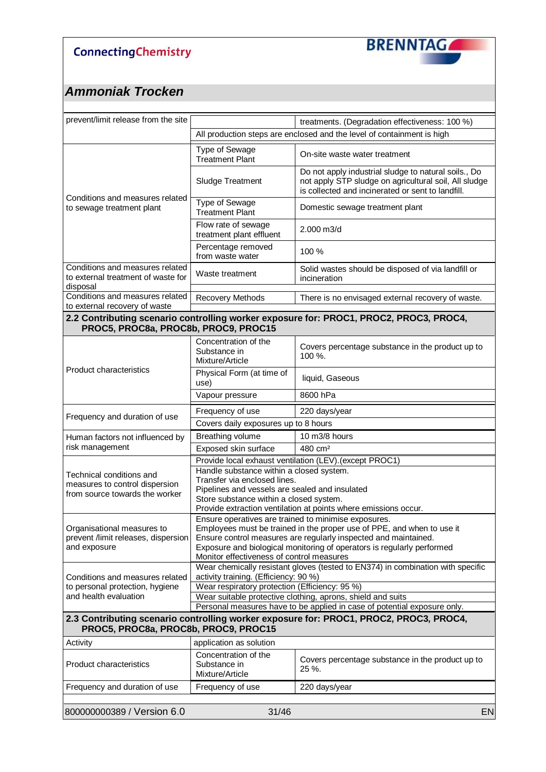

| prevent/limit release from the site                                               | treatments. (Degradation effectiveness: 100 %)                                                                                                                                         |                                                                                        |  |
|-----------------------------------------------------------------------------------|----------------------------------------------------------------------------------------------------------------------------------------------------------------------------------------|----------------------------------------------------------------------------------------|--|
|                                                                                   |                                                                                                                                                                                        | All production steps are enclosed and the level of containment is high                 |  |
|                                                                                   | <b>Type of Sewage</b><br><b>Treatment Plant</b>                                                                                                                                        | On-site waste water treatment                                                          |  |
|                                                                                   | Do not apply industrial sludge to natural soils., Do<br>not apply STP sludge on agricultural soil, All sludge<br>Sludge Treatment<br>is collected and incinerated or sent to landfill. |                                                                                        |  |
| Conditions and measures related<br>to sewage treatment plant                      | Type of Sewage<br><b>Treatment Plant</b>                                                                                                                                               | Domestic sewage treatment plant                                                        |  |
|                                                                                   | Flow rate of sewage<br>treatment plant effluent                                                                                                                                        | 2.000 m3/d                                                                             |  |
|                                                                                   | Percentage removed<br>from waste water                                                                                                                                                 | 100 %                                                                                  |  |
| Conditions and measures related<br>to external treatment of waste for<br>disposal | Waste treatment                                                                                                                                                                        | Solid wastes should be disposed of via landfill or<br>incineration                     |  |
| Conditions and measures related<br>to external recovery of waste                  | Recovery Methods                                                                                                                                                                       | There is no envisaged external recovery of waste.                                      |  |
| PROC5, PROC8a, PROC8b, PROC9, PROC15                                              |                                                                                                                                                                                        | 2.2 Contributing scenario controlling worker exposure for: PROC1, PROC2, PROC3, PROC4, |  |
|                                                                                   | Concentration of the<br>Substance in<br>Mixture/Article                                                                                                                                | Covers percentage substance in the product up to<br>100 %.                             |  |
| Product characteristics                                                           | Physical Form (at time of<br>use)                                                                                                                                                      | liquid, Gaseous                                                                        |  |
|                                                                                   | Vapour pressure                                                                                                                                                                        | 8600 hPa                                                                               |  |
|                                                                                   | Frequency of use                                                                                                                                                                       | 220 days/year                                                                          |  |
| Frequency and duration of use                                                     | Covers daily exposures up to 8 hours                                                                                                                                                   |                                                                                        |  |
| Human factors not influenced by                                                   | Breathing volume                                                                                                                                                                       | 10 m3/8 hours                                                                          |  |
| risk management                                                                   | Exposed skin surface                                                                                                                                                                   | 480 cm <sup>2</sup>                                                                    |  |
|                                                                                   | Provide local exhaust ventilation (LEV). (except PROC1)                                                                                                                                |                                                                                        |  |
| Technical conditions and                                                          | Handle substance within a closed system.                                                                                                                                               |                                                                                        |  |
| measures to control dispersion                                                    | Transfer via enclosed lines.                                                                                                                                                           |                                                                                        |  |
| from source towards the worker                                                    | Pipelines and vessels are sealed and insulated                                                                                                                                         |                                                                                        |  |
|                                                                                   | Store substance within a closed system.                                                                                                                                                |                                                                                        |  |
|                                                                                   |                                                                                                                                                                                        | Provide extraction ventilation at points where emissions occur.                        |  |
|                                                                                   | Ensure operatives are trained to minimise exposures.                                                                                                                                   | Employees must be trained in the proper use of PPE, and when to use it                 |  |
| Organisational measures to<br>prevent /limit releases, dispersion                 |                                                                                                                                                                                        | Ensure control measures are regularly inspected and maintained.                        |  |
| and exposure                                                                      |                                                                                                                                                                                        |                                                                                        |  |
|                                                                                   | Exposure and biological monitoring of operators is regularly performed<br>Monitor effectiveness of control measures                                                                    |                                                                                        |  |
|                                                                                   | Wear chemically resistant gloves (tested to EN374) in combination with specific                                                                                                        |                                                                                        |  |
| Conditions and measures related                                                   | activity training. (Efficiency: 90 %)                                                                                                                                                  |                                                                                        |  |
| to personal protection, hygiene                                                   | Wear respiratory protection (Efficiency: 95 %)                                                                                                                                         |                                                                                        |  |
| and health evaluation                                                             |                                                                                                                                                                                        | Wear suitable protective clothing, aprons, shield and suits                            |  |
|                                                                                   |                                                                                                                                                                                        | Personal measures have to be applied in case of potential exposure only.               |  |
| PROC5, PROC8a, PROC8b, PROC9, PROC15                                              |                                                                                                                                                                                        | 2.3 Contributing scenario controlling worker exposure for: PROC1, PROC2, PROC3, PROC4, |  |
| Activity                                                                          | application as solution                                                                                                                                                                |                                                                                        |  |
| <b>Product characteristics</b>                                                    | Concentration of the<br>Substance in<br>Mixture/Article                                                                                                                                | Covers percentage substance in the product up to<br>25 %.                              |  |
| Frequency and duration of use                                                     | Frequency of use                                                                                                                                                                       | 220 days/year                                                                          |  |
|                                                                                   |                                                                                                                                                                                        |                                                                                        |  |
| 800000000389 / Version 6.0                                                        | 31/46                                                                                                                                                                                  | <b>EN</b>                                                                              |  |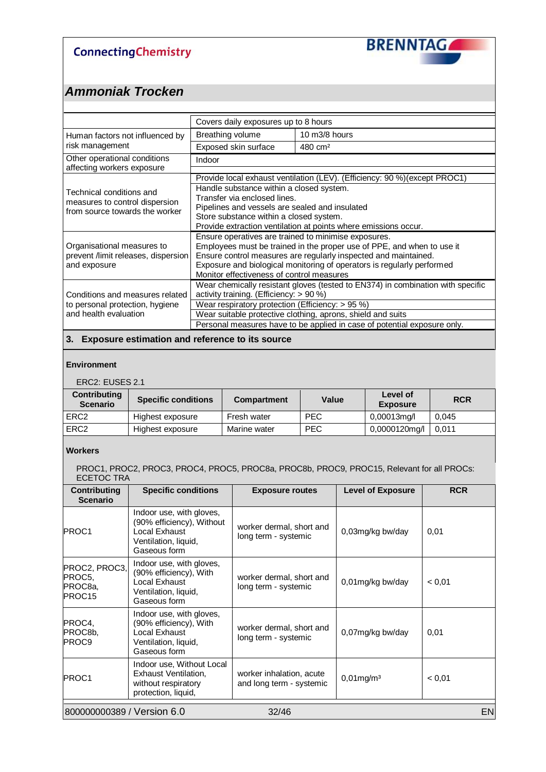

### *Ammoniak Trocken*

|                                                                                              | Covers daily exposures up to 8 hours                                                                                                                                                                                                                                                                                         |                                                                            |  |
|----------------------------------------------------------------------------------------------|------------------------------------------------------------------------------------------------------------------------------------------------------------------------------------------------------------------------------------------------------------------------------------------------------------------------------|----------------------------------------------------------------------------|--|
| Human factors not influenced by                                                              | Breathing volume                                                                                                                                                                                                                                                                                                             | $10 \text{ m}$ 3/8 hours                                                   |  |
| risk management                                                                              | Exposed skin surface                                                                                                                                                                                                                                                                                                         | 480 cm <sup>2</sup>                                                        |  |
| Other operational conditions<br>affecting workers exposure                                   | Indoor                                                                                                                                                                                                                                                                                                                       |                                                                            |  |
|                                                                                              |                                                                                                                                                                                                                                                                                                                              | Provide local exhaust ventilation (LEV). (Efficiency: 90 %) (except PROC1) |  |
| Technical conditions and<br>measures to control dispersion<br>from source towards the worker | Handle substance within a closed system.<br>Transfer via enclosed lines.<br>Pipelines and vessels are sealed and insulated<br>Store substance within a closed system.<br>Provide extraction ventilation at points where emissions occur.                                                                                     |                                                                            |  |
| Organisational measures to<br>prevent /limit releases, dispersion<br>and exposure            | Ensure operatives are trained to minimise exposures.<br>Employees must be trained in the proper use of PPE, and when to use it<br>Ensure control measures are regularly inspected and maintained.<br>Exposure and biological monitoring of operators is regularly performed<br>Monitor effectiveness of control measures     |                                                                            |  |
| Conditions and measures related<br>to personal protection, hygiene<br>and health evaluation  | Wear chemically resistant gloves (tested to EN374) in combination with specific<br>activity training. (Efficiency: > 90 %)<br>Wear respiratory protection (Efficiency: $> 95\%$ )<br>Wear suitable protective clothing, aprons, shield and suits<br>Personal measures have to be applied in case of potential exposure only. |                                                                            |  |

#### **3. Exposure estimation and reference to its source**

#### **Environment**

#### ERC2: EUSES 2.1

| <b>Contributing</b><br><b>Scenario</b> | <b>Specific conditions</b> | <b>Compartment</b> | Value      | Level of<br><b>Exposure</b> | <b>RCR</b> |
|----------------------------------------|----------------------------|--------------------|------------|-----------------------------|------------|
| ERC <sub>2</sub>                       | Highest exposure           | Fresh water        | <b>PEC</b> | $0,00013$ mg/l              | 0.045      |
| ERC <sub>2</sub>                       | Highest exposure           | Marine water       | <b>PEC</b> | 0,0000120mg/l               | 0.011      |

#### **Workers**

PROC1, PROC2, PROC3, PROC4, PROC5, PROC8a, PROC8b, PROC9, PROC15, Relevant for all PROCs: ECETOC TRA

| <b>Contributing</b><br><b>Scenario</b>       | <b>Specific conditions</b>                                                                                     | <b>Exposure routes</b>                               | <b>Level of Exposure</b> | <b>RCR</b> |
|----------------------------------------------|----------------------------------------------------------------------------------------------------------------|------------------------------------------------------|--------------------------|------------|
| PROC1                                        | Indoor use, with gloves,<br>(90% efficiency), Without<br>Local Exhaust<br>Ventilation, liquid,<br>Gaseous form | worker dermal, short and<br>long term - systemic     | 0,03mg/kg bw/day         | 0,01       |
| PROC2, PROC3,<br>PROC5,<br>PROC8a,<br>PROC15 | Indoor use, with gloves,<br>(90% efficiency), With<br>Local Exhaust<br>Ventilation, liquid,<br>Gaseous form    | worker dermal, short and<br>long term - systemic     | 0,01mg/kg bw/day         | < 0.01     |
| PROC4,<br>PROC8b,<br>PROC <sub>9</sub>       | Indoor use, with gloves,<br>(90% efficiency), With<br>Local Exhaust<br>Ventilation, liquid,<br>Gaseous form    | worker dermal, short and<br>long term - systemic     | 0,07mg/kg bw/day         | 0,01       |
| PROC1                                        | Indoor use, Without Local<br>Exhaust Ventilation,<br>without respiratory<br>protection, liquid,                | worker inhalation, acute<br>and long term - systemic | $0,01$ mg/m $3$          | < 0,01     |
| 800000000389 / Version 6.0                   |                                                                                                                | 32/46                                                |                          | <b>EN</b>  |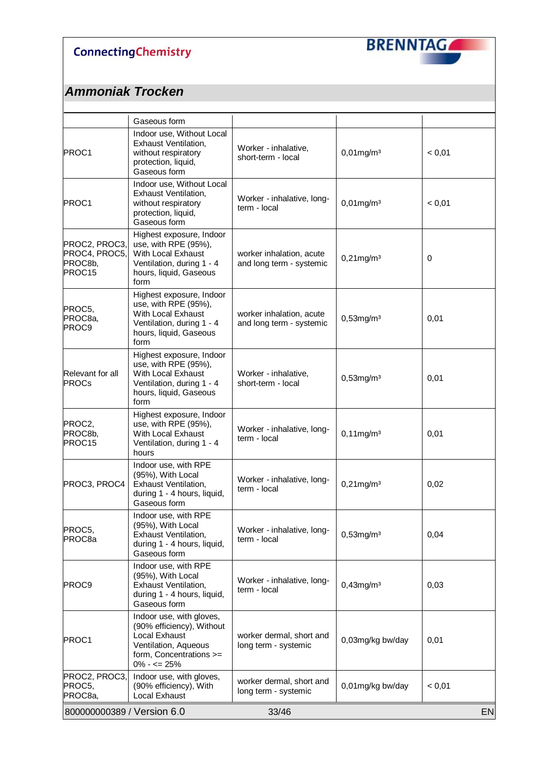

|                                                     | Gaseous form                                                                                                                                         |                                                      |                  |           |
|-----------------------------------------------------|------------------------------------------------------------------------------------------------------------------------------------------------------|------------------------------------------------------|------------------|-----------|
| PROC1                                               | Indoor use, Without Local<br><b>Exhaust Ventilation,</b><br>without respiratory<br>protection, liquid,<br>Gaseous form                               | Worker - inhalative,<br>short-term - local           | $0,01$ mg/m $3$  | < 0,01    |
| PROC1                                               | Indoor use, Without Local<br><b>Exhaust Ventilation,</b><br>without respiratory<br>protection, liquid,<br>Gaseous form                               | Worker - inhalative, long-<br>term - local           | $0,01$ mg/m $3$  | < 0,01    |
| PROC2, PROC3,<br>PROC4, PROC5,<br>PROC8b,<br>PROC15 | Highest exposure, Indoor<br>use, with RPE (95%),<br>With Local Exhaust<br>Ventilation, during 1 - 4<br>hours, liquid, Gaseous<br>form                | worker inhalation, acute<br>and long term - systemic | $0,21$ mg/m $3$  | $\pmb{0}$ |
| PROC5,<br>PROC8a,<br><b>PROC9</b>                   | Highest exposure, Indoor<br>use, with RPE (95%),<br>With Local Exhaust<br>Ventilation, during 1 - 4<br>hours, liquid, Gaseous<br>form                | worker inhalation, acute<br>and long term - systemic | $0,53$ mg/m $3$  | 0,01      |
| Relevant for all<br><b>PROCs</b>                    | Highest exposure, Indoor<br>use, with RPE (95%),<br>With Local Exhaust<br>Ventilation, during 1 - 4<br>hours, liquid, Gaseous<br>form                | Worker - inhalative,<br>short-term - local           | $0,53$ mg/m $3$  | 0,01      |
| PROC2,<br>PROC8b,<br>PROC15                         | Highest exposure, Indoor<br>use, with RPE (95%),<br>With Local Exhaust<br>Ventilation, during 1 - 4<br>hours                                         | Worker - inhalative, long-<br>term - local           | $0,11$ mg/m $3$  | 0,01      |
| PROC3, PROC4                                        | Indoor use, with RPE<br>(95%), With Local<br>Exhaust Ventilation,<br>during 1 - 4 hours, liquid,<br>Gaseous form                                     | Worker - inhalative, long-<br>term - local           | $0,21$ mg/m $3$  | 0,02      |
| PROC5,<br>PROC <sub>8a</sub>                        | Indoor use, with RPE<br>(95%), With Local<br><b>Exhaust Ventilation,</b><br>during 1 - 4 hours, liquid,<br>Gaseous form                              | Worker - inhalative, long-<br>term - local           | $0,53$ mg/m $3$  | 0,04      |
| PROC9                                               | Indoor use, with RPE<br>(95%), With Local<br>Exhaust Ventilation,<br>during 1 - 4 hours, liquid,<br>Gaseous form                                     | Worker - inhalative, long-<br>term - local           | $0,43$ mg/m $3$  | 0,03      |
| PROC1                                               | Indoor use, with gloves,<br>(90% efficiency), Without<br><b>Local Exhaust</b><br>Ventilation, Aqueous<br>form, Concentrations >=<br>$0\% - \le 25\%$ | worker dermal, short and<br>long term - systemic     | 0,03mg/kg bw/day | 0,01      |
| PROC2, PROC3,<br>PROC5,<br>PROC8a,                  | Indoor use, with gloves,<br>(90% efficiency), With<br>Local Exhaust                                                                                  | worker dermal, short and<br>long term - systemic     | 0,01mg/kg bw/day | < 0,01    |
| 800000000389 / Version 6.0                          |                                                                                                                                                      | 33/46                                                |                  | <b>EN</b> |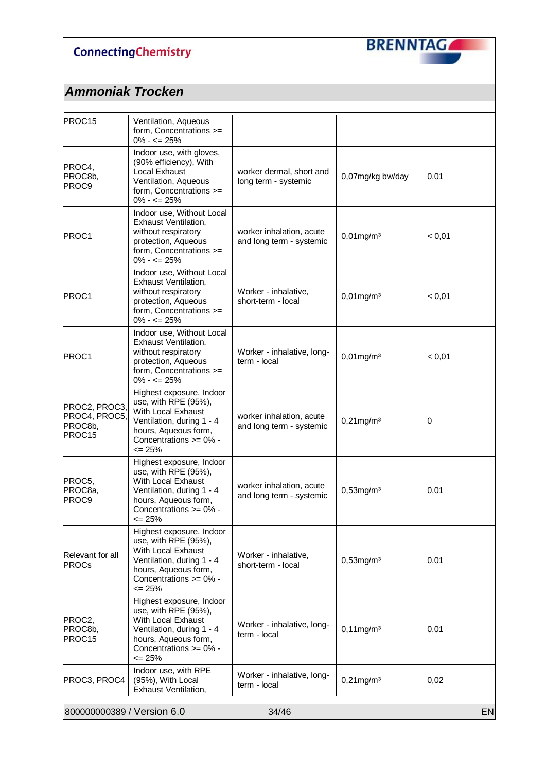

| PROC15                                              | Ventilation, Aqueous<br>form, Concentrations >=<br>$0\% - \le 25\%$                                                                                                       |                                                      |                  |             |
|-----------------------------------------------------|---------------------------------------------------------------------------------------------------------------------------------------------------------------------------|------------------------------------------------------|------------------|-------------|
| PROC4,<br>PROC8b,<br><b>PROC9</b>                   | Indoor use, with gloves,<br>(90% efficiency), With<br>Local Exhaust<br>Ventilation, Aqueous<br>form, Concentrations >=<br>$0\% - \le 25\%$                                | worker dermal, short and<br>long term - systemic     | 0,07mg/kg bw/day | 0,01        |
| PROC1                                               | Indoor use, Without Local<br>Exhaust Ventilation,<br>without respiratory<br>protection, Aqueous<br>form, Concentrations >=<br>$0\% - \le 25\%$                            | worker inhalation, acute<br>and long term - systemic | $0,01$ mg/m $3$  | < 0,01      |
| PROC1                                               | Indoor use, Without Local<br>Exhaust Ventilation,<br>without respiratory<br>protection, Aqueous<br>form, Concentrations >=<br>$0\% - \le 25\%$                            | Worker - inhalative,<br>short-term - local           | $0,01$ mg/m $3$  | < 0,01      |
| PROC1                                               | Indoor use, Without Local<br>Exhaust Ventilation,<br>without respiratory<br>protection, Aqueous<br>form, Concentrations >=<br>$0\% - \le 25\%$                            | Worker - inhalative, long-<br>term - local           | $0,01$ mg/m $3$  | < 0,01      |
| PROC2, PROC3,<br>PROC4, PROC5,<br>PROC8b,<br>PROC15 | Highest exposure, Indoor<br>use, with RPE (95%),<br>With Local Exhaust<br>Ventilation, during 1 - 4<br>hours, Aqueous form,<br>Concentrations >= 0% -<br>$\leq$ 25%       | worker inhalation, acute<br>and long term - systemic | $0,21$ mg/m $3$  | $\mathbf 0$ |
| PROC5,<br>PROC8a,<br><b>PROC9</b>                   | Highest exposure, Indoor<br>use, with RPE (95%),<br>With Local Exhaust<br>Ventilation, during 1 - 4<br>hours, Aqueous form,<br>Concentrations >= 0% -<br>$\epsilon$ = 25% | worker inhalation, acute<br>and long term - systemic | $0,53$ mg/m $3$  | 0,01        |
| Relevant for all<br><b>PROCs</b>                    | Highest exposure, Indoor<br>use, with RPE (95%),<br>With Local Exhaust<br>Ventilation, during 1 - 4<br>hours, Aqueous form,<br>Concentrations >= 0% -<br>$\leq$ 25%       | Worker - inhalative,<br>short-term - local           | $0,53$ mg/m $3$  | 0,01        |
| PROC2,<br>PROC8b,<br>PROC15                         | Highest exposure, Indoor<br>use, with RPE (95%),<br>With Local Exhaust<br>Ventilation, during 1 - 4<br>hours, Aqueous form,<br>Concentrations >= 0% -<br>$= 25%$          | Worker - inhalative, long-<br>term - local           | $0,11$ mg/m $3$  | 0,01        |
| PROC3, PROC4                                        | Indoor use, with RPE<br>(95%), With Local<br>Exhaust Ventilation,                                                                                                         | Worker - inhalative, long-<br>term - local           | $0,21$ mg/m $3$  | 0,02        |
| 800000000389 / Version 6.0                          |                                                                                                                                                                           | 34/46                                                |                  | <b>EN</b>   |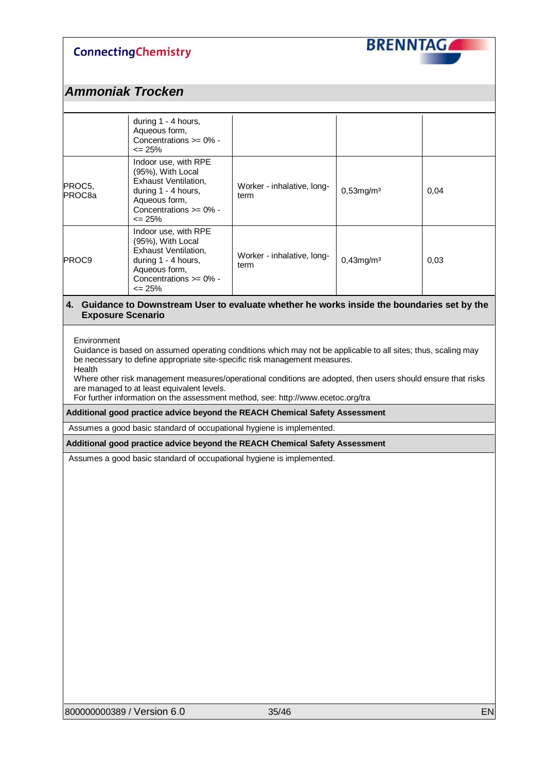

### *Ammoniak Trocken*

|                              | during 1 - 4 hours,<br>Aqueous form,<br>Concentrations $>= 0\%$ -<br>$\epsilon$ = 25%                                                                        |                                    |                 |      |
|------------------------------|--------------------------------------------------------------------------------------------------------------------------------------------------------------|------------------------------------|-----------------|------|
| PROC5,<br>PROC <sub>8a</sub> | Indoor use, with RPE<br>(95%), With Local<br>Exhaust Ventilation,<br>during 1 - 4 hours,<br>Aqueous form,<br>Concentrations $\geq 0\%$ -<br>$\epsilon$ = 25% | Worker - inhalative, long-<br>term | $0,53$ mg/m $3$ | 0,04 |
| PROC9                        | Indoor use, with RPE<br>(95%), With Local<br>Exhaust Ventilation,<br>during 1 - 4 hours,<br>Aqueous form,<br>Concentrations $>= 0\%$ -<br>$\epsilon$ = 25%   | Worker - inhalative, long-<br>term | $0,43$ mg/m $3$ | 0,03 |

#### **4. Guidance to Downstream User to evaluate whether he works inside the boundaries set by the Exposure Scenario**

#### Environment

Guidance is based on assumed operating conditions which may not be applicable to all sites; thus, scaling may be necessary to define appropriate site-specific risk management measures. Health

Where other risk management measures/operational conditions are adopted, then users should ensure that risks are managed to at least equivalent levels.

For further information on the assessment method, see: http://www.ecetoc.org/tra

#### **Additional good practice advice beyond the REACH Chemical Safety Assessment**

Assumes a good basic standard of occupational hygiene is implemented.

#### **Additional good practice advice beyond the REACH Chemical Safety Assessment**

Assumes a good basic standard of occupational hygiene is implemented.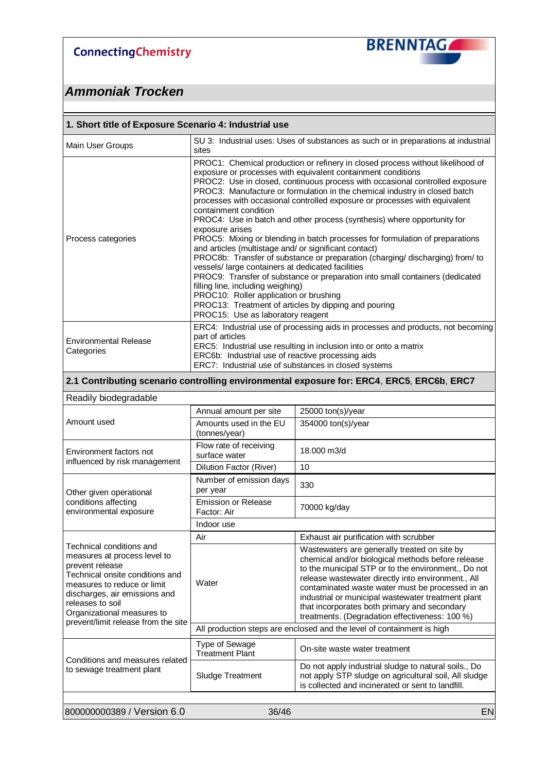

### *Ammoniak Trocken*

| 1. Short title of Exposure Scenario 4: Industrial use |                                                                                                                                                                                                                                                                                                                                                                                                                                                                                                                                                                                                                                                                                                                                                                                                                                                                                                                                                                                                                                                            |  |  |  |
|-------------------------------------------------------|------------------------------------------------------------------------------------------------------------------------------------------------------------------------------------------------------------------------------------------------------------------------------------------------------------------------------------------------------------------------------------------------------------------------------------------------------------------------------------------------------------------------------------------------------------------------------------------------------------------------------------------------------------------------------------------------------------------------------------------------------------------------------------------------------------------------------------------------------------------------------------------------------------------------------------------------------------------------------------------------------------------------------------------------------------|--|--|--|
| Main User Groups                                      | SU 3: Industrial uses: Uses of substances as such or in preparations at industrial<br>sites                                                                                                                                                                                                                                                                                                                                                                                                                                                                                                                                                                                                                                                                                                                                                                                                                                                                                                                                                                |  |  |  |
| Process categories                                    | PROC1: Chemical production or refinery in closed process without likelihood of<br>exposure or processes with equivalent containment conditions<br>PROC2: Use in closed, continuous process with occasional controlled exposure<br>PROC3: Manufacture or formulation in the chemical industry in closed batch<br>processes with occasional controlled exposure or processes with equivalent<br>containment condition<br>PROC4: Use in batch and other process (synthesis) where opportunity for<br>exposure arises<br>PROC5: Mixing or blending in batch processes for formulation of preparations<br>and articles (multistage and/ or significant contact)<br>PROC8b: Transfer of substance or preparation (charging/discharging) from/to<br>vessels/ large containers at dedicated facilities<br>PROC9: Transfer of substance or preparation into small containers (dedicated<br>filling line, including weighing)<br>PROC10: Roller application or brushing<br>PROC13: Treatment of articles by dipping and pouring<br>PROC15: Use as laboratory reagent |  |  |  |
| <b>Environmental Release</b><br>Categories            | ERC4: Industrial use of processing aids in processes and products, not becoming<br>part of articles<br>ERC5: Industrial use resulting in inclusion into or onto a matrix<br>ERC6b: Industrial use of reactive processing aids<br>ERC7: Industrial use of substances in closed systems                                                                                                                                                                                                                                                                                                                                                                                                                                                                                                                                                                                                                                                                                                                                                                      |  |  |  |

#### **2.1 Contributing scenario controlling environmental exposure for: ERC4**, **ERC5**, **ERC6b**, **ERC7**

| Readily biodegradable                                                                                                                                                                                                                                                   |                                           |                                                                                                                                                                                                                                                                                                                                                                                                                            |  |  |
|-------------------------------------------------------------------------------------------------------------------------------------------------------------------------------------------------------------------------------------------------------------------------|-------------------------------------------|----------------------------------------------------------------------------------------------------------------------------------------------------------------------------------------------------------------------------------------------------------------------------------------------------------------------------------------------------------------------------------------------------------------------------|--|--|
|                                                                                                                                                                                                                                                                         | Annual amount per site                    | 25000 ton(s)/year                                                                                                                                                                                                                                                                                                                                                                                                          |  |  |
| Amount used                                                                                                                                                                                                                                                             | Amounts used in the EU<br>(tonnes/year)   | 354000 ton(s)/year                                                                                                                                                                                                                                                                                                                                                                                                         |  |  |
| Environment factors not<br>influenced by risk management                                                                                                                                                                                                                | Flow rate of receiving<br>surface water   | 18.000 m3/d                                                                                                                                                                                                                                                                                                                                                                                                                |  |  |
|                                                                                                                                                                                                                                                                         | Dilution Factor (River)                   | 10                                                                                                                                                                                                                                                                                                                                                                                                                         |  |  |
| Other given operational                                                                                                                                                                                                                                                 | Number of emission days<br>per year       | 330                                                                                                                                                                                                                                                                                                                                                                                                                        |  |  |
| conditions affecting<br>environmental exposure                                                                                                                                                                                                                          | <b>Emission or Release</b><br>Factor: Air | 70000 kg/day                                                                                                                                                                                                                                                                                                                                                                                                               |  |  |
|                                                                                                                                                                                                                                                                         | Indoor use                                |                                                                                                                                                                                                                                                                                                                                                                                                                            |  |  |
|                                                                                                                                                                                                                                                                         | Air                                       | Exhaust air purification with scrubber                                                                                                                                                                                                                                                                                                                                                                                     |  |  |
| Technical conditions and<br>measures at process level to<br>prevent release<br>Technical onsite conditions and<br>measures to reduce or limit<br>discharges, air emissions and<br>releases to soil<br>Organizational measures to<br>prevent/limit release from the site | Water                                     | Wastewaters are generally treated on site by<br>chemical and/or biological methods before release<br>to the municipal STP or to the environment., Do not<br>release wastewater directly into environment., All<br>contaminated waste water must be processed in an<br>industrial or municipal wastewater treatment plant<br>that incorporates both primary and secondary<br>treatments. (Degradation effectiveness: 100 %) |  |  |
|                                                                                                                                                                                                                                                                         |                                           | All production steps are enclosed and the level of containment is high                                                                                                                                                                                                                                                                                                                                                     |  |  |
| Conditions and measures related                                                                                                                                                                                                                                         | Type of Sewage<br><b>Treatment Plant</b>  | On-site waste water treatment                                                                                                                                                                                                                                                                                                                                                                                              |  |  |
| to sewage treatment plant                                                                                                                                                                                                                                               | <b>Sludge Treatment</b>                   | Do not apply industrial sludge to natural soils., Do<br>not apply STP sludge on agricultural soil, All sludge<br>is collected and incinerated or sent to landfill.                                                                                                                                                                                                                                                         |  |  |
|                                                                                                                                                                                                                                                                         |                                           |                                                                                                                                                                                                                                                                                                                                                                                                                            |  |  |

800000000389 / Version 6.0 36/46 EN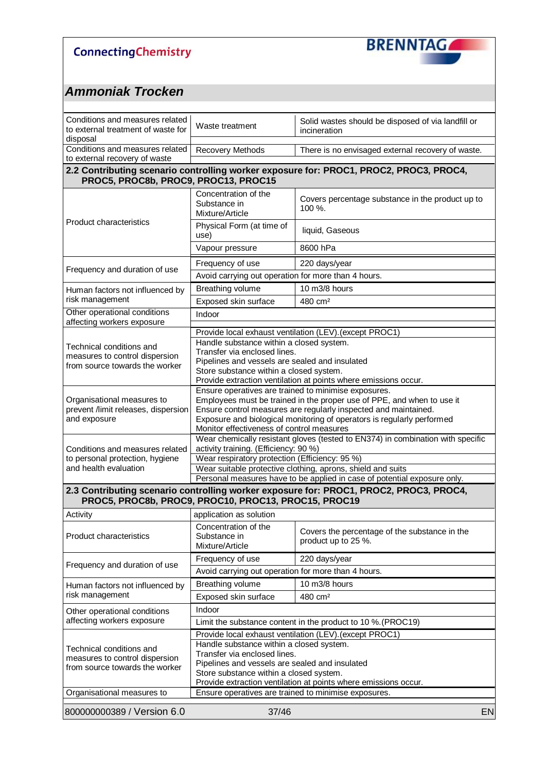

| Conditions and measures related<br>to external treatment of waste for<br>disposal            | Solid wastes should be disposed of via landfill or<br>Waste treatment<br>incineration                                                                                                                                                    |                                                                                        |  |  |  |  |
|----------------------------------------------------------------------------------------------|------------------------------------------------------------------------------------------------------------------------------------------------------------------------------------------------------------------------------------------|----------------------------------------------------------------------------------------|--|--|--|--|
| Conditions and measures related<br>to external recovery of waste                             | Recovery Methods<br>There is no envisaged external recovery of waste.                                                                                                                                                                    |                                                                                        |  |  |  |  |
|                                                                                              | 2.2 Contributing scenario controlling worker exposure for: PROC1, PROC2, PROC3, PROC4,<br>PROC5, PROC8b, PROC9, PROC13, PROC15                                                                                                           |                                                                                        |  |  |  |  |
|                                                                                              | Concentration of the<br>Substance in<br>Mixture/Article                                                                                                                                                                                  | Covers percentage substance in the product up to<br>100 %.                             |  |  |  |  |
| <b>Product characteristics</b>                                                               | Physical Form (at time of<br>use)                                                                                                                                                                                                        | liquid, Gaseous                                                                        |  |  |  |  |
|                                                                                              | Vapour pressure                                                                                                                                                                                                                          | 8600 hPa                                                                               |  |  |  |  |
|                                                                                              | Frequency of use                                                                                                                                                                                                                         | 220 days/year                                                                          |  |  |  |  |
| Frequency and duration of use                                                                | Avoid carrying out operation for more than 4 hours.                                                                                                                                                                                      |                                                                                        |  |  |  |  |
| Human factors not influenced by                                                              | Breathing volume                                                                                                                                                                                                                         | 10 m3/8 hours                                                                          |  |  |  |  |
| risk management                                                                              | Exposed skin surface                                                                                                                                                                                                                     | 480 cm <sup>2</sup>                                                                    |  |  |  |  |
| Other operational conditions<br>affecting workers exposure                                   | Indoor                                                                                                                                                                                                                                   |                                                                                        |  |  |  |  |
|                                                                                              |                                                                                                                                                                                                                                          | Provide local exhaust ventilation (LEV). (except PROC1)                                |  |  |  |  |
| Technical conditions and<br>measures to control dispersion<br>from source towards the worker | Handle substance within a closed system.<br>Transfer via enclosed lines.<br>Pipelines and vessels are sealed and insulated<br>Store substance within a closed system.<br>Provide extraction ventilation at points where emissions occur. |                                                                                        |  |  |  |  |
|                                                                                              | Ensure operatives are trained to minimise exposures.                                                                                                                                                                                     |                                                                                        |  |  |  |  |
| Organisational measures to                                                                   | Employees must be trained in the proper use of PPE, and when to use it                                                                                                                                                                   |                                                                                        |  |  |  |  |
| prevent /limit releases, dispersion<br>and exposure                                          | Ensure control measures are regularly inspected and maintained.<br>Exposure and biological monitoring of operators is regularly performed<br>Monitor effectiveness of control measures                                                   |                                                                                        |  |  |  |  |
|                                                                                              | Wear chemically resistant gloves (tested to EN374) in combination with specific                                                                                                                                                          |                                                                                        |  |  |  |  |
| Conditions and measures related                                                              | activity training. (Efficiency: 90 %)                                                                                                                                                                                                    |                                                                                        |  |  |  |  |
| to personal protection, hygiene<br>and health evaluation                                     | Wear respiratory protection (Efficiency: 95 %)                                                                                                                                                                                           |                                                                                        |  |  |  |  |
|                                                                                              | Wear suitable protective clothing, aprons, shield and suits<br>Personal measures have to be applied in case of potential exposure only.                                                                                                  |                                                                                        |  |  |  |  |
| PROC5, PROC8b, PROC9, PROC10, PROC13, PROC15, PROC19                                         |                                                                                                                                                                                                                                          | 2.3 Contributing scenario controlling worker exposure for: PROC1, PROC2, PROC3, PROC4, |  |  |  |  |
| Activity                                                                                     | application as solution                                                                                                                                                                                                                  |                                                                                        |  |  |  |  |
| <b>Product characteristics</b>                                                               | Concentration of the<br>Substance in<br>Mixture/Article                                                                                                                                                                                  | Covers the percentage of the substance in the<br>product up to 25 %.                   |  |  |  |  |
|                                                                                              | Frequency of use                                                                                                                                                                                                                         | 220 days/year                                                                          |  |  |  |  |
| Frequency and duration of use                                                                | Avoid carrying out operation for more than 4 hours.                                                                                                                                                                                      |                                                                                        |  |  |  |  |
| Human factors not influenced by                                                              | Breathing volume                                                                                                                                                                                                                         | 10 m3/8 hours                                                                          |  |  |  |  |
| risk management                                                                              | Exposed skin surface                                                                                                                                                                                                                     | 480 cm <sup>2</sup>                                                                    |  |  |  |  |
| Other operational conditions                                                                 | Indoor                                                                                                                                                                                                                                   |                                                                                        |  |  |  |  |
| affecting workers exposure                                                                   |                                                                                                                                                                                                                                          | Limit the substance content in the product to 10 %. (PROC19)                           |  |  |  |  |
|                                                                                              |                                                                                                                                                                                                                                          | Provide local exhaust ventilation (LEV). (except PROC1)                                |  |  |  |  |
| Technical conditions and                                                                     | Handle substance within a closed system.                                                                                                                                                                                                 |                                                                                        |  |  |  |  |
| measures to control dispersion                                                               | Transfer via enclosed lines.                                                                                                                                                                                                             |                                                                                        |  |  |  |  |
| from source towards the worker                                                               | Pipelines and vessels are sealed and insulated<br>Store substance within a closed system.                                                                                                                                                |                                                                                        |  |  |  |  |
|                                                                                              |                                                                                                                                                                                                                                          | Provide extraction ventilation at points where emissions occur.                        |  |  |  |  |
| Organisational measures to                                                                   | Ensure operatives are trained to minimise exposures.                                                                                                                                                                                     |                                                                                        |  |  |  |  |
| 800000000389 / Version 6.0<br>37/46<br>EN                                                    |                                                                                                                                                                                                                                          |                                                                                        |  |  |  |  |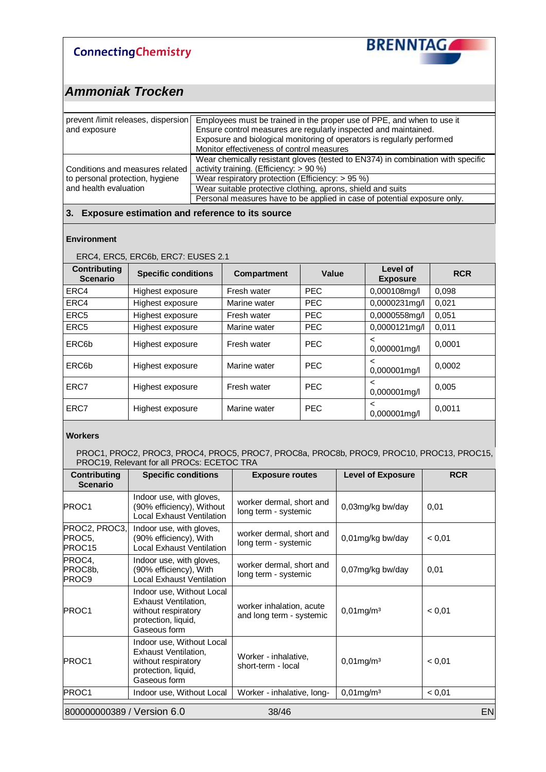

### *Ammoniak Trocken*

| prevent /limit releases, dispersion<br>and exposure | Employees must be trained in the proper use of PPE, and when to use it<br>Ensure control measures are regularly inspected and maintained.<br>Exposure and biological monitoring of operators is regularly performed<br>Monitor effectiveness of control measures |
|-----------------------------------------------------|------------------------------------------------------------------------------------------------------------------------------------------------------------------------------------------------------------------------------------------------------------------|
| Conditions and measures related                     | Wear chemically resistant gloves (tested to EN374) in combination with specific<br>activity training. (Efficiency: > 90 %)                                                                                                                                       |
| to personal protection, hygiene                     | Wear respiratory protection (Efficiency: $> 95\%$ )                                                                                                                                                                                                              |
| and health evaluation                               | Wear suitable protective clothing, aprons, shield and suits                                                                                                                                                                                                      |
|                                                     | Personal measures have to be applied in case of potential exposure only.                                                                                                                                                                                         |

#### **3. Exposure estimation and reference to its source**

#### **Environment**

#### ERC4, ERC5, ERC6b, ERC7: EUSES 2.1

| <b>Contributing</b><br><b>Scenario</b> | <b>Specific conditions</b> | Compartment  | Value      | Level of<br><b>Exposure</b> | <b>RCR</b> |
|----------------------------------------|----------------------------|--------------|------------|-----------------------------|------------|
| ERC4                                   | Highest exposure           | Fresh water  | <b>PEC</b> | 0,000108mg/l                | 0,098      |
| ERC4                                   | Highest exposure           | Marine water | <b>PEC</b> | 0,0000231mg/l               | 0,021      |
| ERC <sub>5</sub>                       | Highest exposure           | Fresh water  | <b>PEC</b> | 0,0000558mg/l               | 0,051      |
| ERC <sub>5</sub>                       | Highest exposure           | Marine water | <b>PEC</b> | 0,0000121mg/l               | 0.011      |
| ERC <sub>6</sub> b                     | Highest exposure           | Fresh water  | <b>PEC</b> | <<br>0,000001mg/l           | 0.0001     |
| ERC <sub>6</sub> b                     | Highest exposure           | Marine water | <b>PEC</b> | <<br>0,000001mg/l           | 0.0002     |
| ERC7                                   | Highest exposure           | Fresh water  | <b>PEC</b> | <<br>0,000001mg/l           | 0,005      |
| ERC7                                   | Highest exposure           | Marine water | <b>PEC</b> | <<br>0,000001mg/l           | 0,0011     |

#### **Workers**

#### PROC1, PROC2, PROC3, PROC4, PROC5, PROC7, PROC8a, PROC8b, PROC9, PROC10, PROC13, PROC15, PROC19, Relevant for all PROCs: ECETOC TRA

| Contributing<br><b>Scenario</b>                  | <b>Specific conditions</b>                                                                                             | <b>Exposure routes</b>                               | <b>Level of Exposure</b> | <b>RCR</b> |
|--------------------------------------------------|------------------------------------------------------------------------------------------------------------------------|------------------------------------------------------|--------------------------|------------|
| PROC1                                            | Indoor use, with gloves,<br>(90% efficiency), Without<br>Local Exhaust Ventilation                                     | worker dermal, short and<br>long term - systemic     | 0,03mg/kg bw/day         | 0,01       |
| PROC2, PROC3,<br>PROC5,<br>PROC15                | Indoor use, with gloves,<br>(90% efficiency), With<br><b>Local Exhaust Ventilation</b>                                 | worker dermal, short and<br>long term - systemic     | 0,01mg/kg bw/day         | < 0,01     |
| PROC4,<br>PROC8b,<br>PROC9                       | Indoor use, with gloves,<br>(90% efficiency), With<br><b>Local Exhaust Ventilation</b>                                 | worker dermal, short and<br>long term - systemic     | 0,07mg/kg bw/day         | 0,01       |
| PROC1                                            | Indoor use, Without Local<br>Exhaust Ventilation,<br>without respiratory<br>protection, liquid,<br>Gaseous form        | worker inhalation, acute<br>and long term - systemic | $0,01$ mg/m $3$          | < 0,01     |
| PROC1                                            | Indoor use, Without Local<br><b>Exhaust Ventilation,</b><br>without respiratory<br>protection, liquid,<br>Gaseous form | Worker - inhalative,<br>short-term - local           | $0,01$ mg/m $3$          | < 0,01     |
| PROC1                                            | Indoor use, Without Local                                                                                              | Worker - inhalative, long-                           | $0,01$ mg/m $3$          | < 0.01     |
| <b>EN</b><br>800000000389 / Version 6.0<br>38/46 |                                                                                                                        |                                                      |                          |            |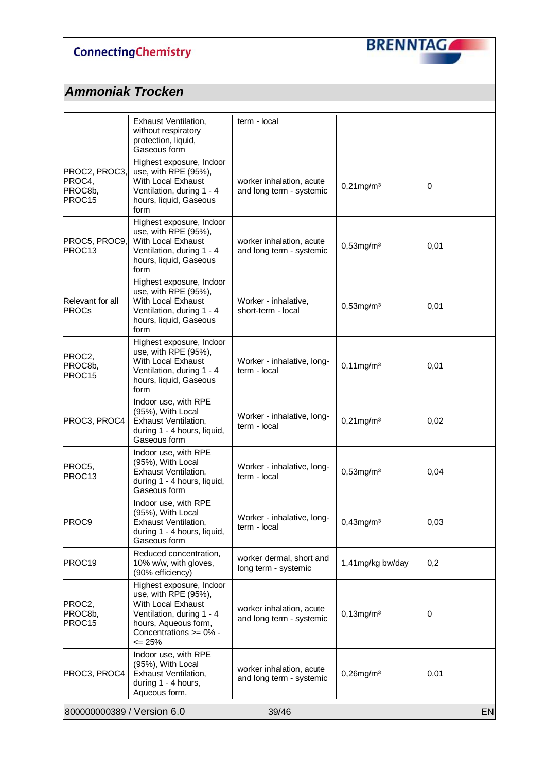

|                                              | Exhaust Ventilation,<br>without respiratory<br>protection, liquid,<br>Gaseous form                                                                               | term - local                                         |                          |      |
|----------------------------------------------|------------------------------------------------------------------------------------------------------------------------------------------------------------------|------------------------------------------------------|--------------------------|------|
| PROC2, PROC3,<br>PROC4,<br>PROC8b,<br>PROC15 | Highest exposure, Indoor<br>use, with RPE (95%),<br>With Local Exhaust<br>Ventilation, during 1 - 4<br>hours, liquid, Gaseous<br>form                            | worker inhalation, acute<br>and long term - systemic | $0,21$ mg/m $3$          | 0    |
| PROC5, PROC9,<br>PROC13                      | Highest exposure, Indoor<br>use, with RPE (95%),<br>With Local Exhaust<br>Ventilation, during 1 - 4<br>hours, liquid, Gaseous<br>form                            | worker inhalation, acute<br>and long term - systemic | $0,53$ mg/m $3$          | 0,01 |
| Relevant for all<br><b>PROCs</b>             | Highest exposure, Indoor<br>use, with RPE (95%),<br>With Local Exhaust<br>Ventilation, during 1 - 4<br>hours, liquid, Gaseous<br>form                            | Worker - inhalative,<br>short-term - local           | $0,53$ mg/m $3$          | 0,01 |
| PROC2,<br>PROC8b,<br>PROC <sub>15</sub>      | Highest exposure, Indoor<br>use, with RPE (95%),<br>With Local Exhaust<br>Ventilation, during 1 - 4<br>hours, liquid, Gaseous<br>form                            | Worker - inhalative, long-<br>term - local           | $0,11$ mg/m $3$          | 0,01 |
| PROC3, PROC4                                 | Indoor use, with RPE<br>(95%), With Local<br>Exhaust Ventilation,<br>during 1 - 4 hours, liquid,<br>Gaseous form                                                 | Worker - inhalative, long-<br>term - local           | $0,21$ mg/m $3$          | 0,02 |
| PROC5,<br>PROC13                             | Indoor use, with RPE<br>(95%), With Local<br><b>Exhaust Ventilation,</b><br>during 1 - 4 hours, liquid,<br>Gaseous form                                          | Worker - inhalative, long-<br>term - local           | $0,53$ mg/m $3$          | 0,04 |
| PROC9                                        | Indoor use, with RPE<br>(95%), With Local<br>Exhaust Ventilation,<br>during 1 - 4 hours, liquid,<br>Gaseous form                                                 | Worker - inhalative, long-<br>term - local           | $0,43$ mg/m <sup>3</sup> | 0,03 |
| PROC19                                       | Reduced concentration,<br>10% w/w, with gloves,<br>(90% efficiency)                                                                                              | worker dermal, short and<br>long term - systemic     | 1,41mg/kg bw/day         | 0,2  |
| PROC2,<br>PROC8b,<br>PROC15                  | Highest exposure, Indoor<br>use, with RPE (95%),<br>With Local Exhaust<br>Ventilation, during 1 - 4<br>hours, Aqueous form,<br>Concentrations >= 0% -<br>$= 25%$ | worker inhalation, acute<br>and long term - systemic | $0,13$ mg/m $3$          | 0    |
| PROC3, PROC4                                 | Indoor use, with RPE<br>(95%), With Local<br>Exhaust Ventilation,<br>during 1 - 4 hours,<br>Aqueous form,                                                        | worker inhalation, acute<br>and long term - systemic | $0,26$ mg/m $3$          | 0,01 |
| 800000000389 / Version 6.0                   |                                                                                                                                                                  | 39/46                                                |                          | EN   |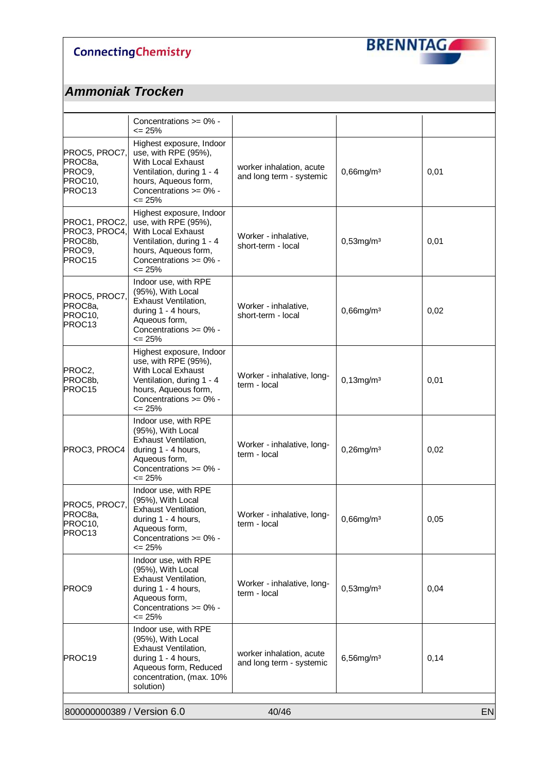

|                                                               | Concentrations >= 0% -<br><= 25%                                                                                                                                       |                                                      |                 |      |
|---------------------------------------------------------------|------------------------------------------------------------------------------------------------------------------------------------------------------------------------|------------------------------------------------------|-----------------|------|
| PROC5, PROC7,<br>PROC8a,<br>PROC9,<br>PROC10,<br>PROC13       | Highest exposure, Indoor<br>use, with RPE (95%),<br>With Local Exhaust<br>Ventilation, during 1 - 4<br>hours, Aqueous form,<br>Concentrations >= 0% -<br>$\leq$ 25%    | worker inhalation, acute<br>and long term - systemic | $0,66$ mg/m $3$ | 0,01 |
| PROC1, PROC2,<br>PROC3, PROC4,<br>PROC8b,<br>PROC9,<br>PROC15 | Highest exposure, Indoor<br>use, with RPE (95%),<br>With Local Exhaust<br>Ventilation, during 1 - 4<br>hours, Aqueous form,<br>Concentrations >= 0% -<br>$\leq$ 25%    | Worker - inhalative,<br>short-term - local           | $0,53$ mg/m $3$ | 0,01 |
| PROC5, PROC7,<br>PROC8a,<br>PROC10,<br>PROC13                 | Indoor use, with RPE<br>(95%), With Local<br>Exhaust Ventilation,<br>during 1 - 4 hours,<br>Aqueous form,<br>Concentrations >= 0% -<br><= 25%                          | Worker - inhalative,<br>short-term - local           | $0,66$ mg/m $3$ | 0,02 |
| PROC2,<br>PROC8b,<br>PROC15                                   | Highest exposure, Indoor<br>use, with RPE (95%),<br>With Local Exhaust<br>Ventilation, during 1 - 4<br>hours, Aqueous form,<br>Concentrations $>= 0\%$ -<br>$\leq$ 25% | Worker - inhalative, long-<br>term - local           | $0,13$ mg/m $3$ | 0,01 |
| PROC3, PROC4                                                  | Indoor use, with RPE<br>(95%), With Local<br>Exhaust Ventilation,<br>during 1 - 4 hours,<br>Aqueous form,<br>Concentrations >= 0% -<br>$\leq$ 25%                      | Worker - inhalative, long-<br>term - local           | $0,26$ mg/m $3$ | 0,02 |
| PROC5, PROC7,<br>PROC8a,<br>PROC10,<br>PROC <sub>13</sub>     | Indoor use, with RPE<br>(95%), With Local<br><b>Exhaust Ventilation,</b><br>during 1 - 4 hours,<br>Aqueous form,<br>Concentrations >= 0% -<br>$\leq$ 25%               | Worker - inhalative, long-<br>term - local           | $0,66$ mg/m $3$ | 0,05 |
| PROC9                                                         | Indoor use, with RPE<br>(95%), With Local<br>Exhaust Ventilation,<br>during 1 - 4 hours,<br>Aqueous form,<br>Concentrations $>= 0\%$ -<br>$\leq$ 25%                   | Worker - inhalative, long-<br>term - local           | $0,53$ mg/m $3$ | 0,04 |
| PROC19                                                        | Indoor use, with RPE<br>(95%), With Local<br>Exhaust Ventilation,<br>during 1 - 4 hours,<br>Aqueous form, Reduced<br>concentration, (max. 10%<br>solution)             | worker inhalation, acute<br>and long term - systemic | $6,56$ mg/m $3$ | 0,14 |
| 800000000389 / Version 6.0                                    |                                                                                                                                                                        | 40/46                                                |                 | EN   |
|                                                               |                                                                                                                                                                        |                                                      |                 |      |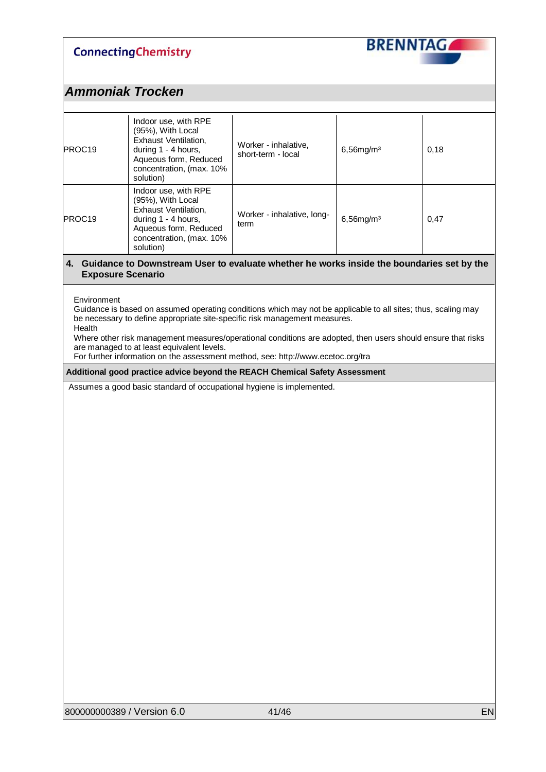

| PROC19                   | Indoor use, with RPE<br>(95%), With Local<br><b>Exhaust Ventilation,</b><br>during 1 - 4 hours,<br>Aqueous form, Reduced<br>concentration, (max. 10%<br>solution)                                                                                                                                                                                                                                                                                                                                                                                                                                                    | Worker - inhalative,<br>short-term - local | $6,56$ mg/m $3$ | 0,18 |  |  |
|--------------------------|----------------------------------------------------------------------------------------------------------------------------------------------------------------------------------------------------------------------------------------------------------------------------------------------------------------------------------------------------------------------------------------------------------------------------------------------------------------------------------------------------------------------------------------------------------------------------------------------------------------------|--------------------------------------------|-----------------|------|--|--|
| PROC19                   | Indoor use, with RPE<br>(95%), With Local<br><b>Exhaust Ventilation,</b><br>during 1 - 4 hours,<br>Aqueous form, Reduced<br>concentration, (max. 10%<br>solution)                                                                                                                                                                                                                                                                                                                                                                                                                                                    | Worker - inhalative, long-<br>term         | $6,56$ mg/m $3$ | 0,47 |  |  |
| <b>Exposure Scenario</b> | 4. Guidance to Downstream User to evaluate whether he works inside the boundaries set by the                                                                                                                                                                                                                                                                                                                                                                                                                                                                                                                         |                                            |                 |      |  |  |
| Health                   | Environment<br>Guidance is based on assumed operating conditions which may not be applicable to all sites; thus, scaling may<br>be necessary to define appropriate site-specific risk management measures.<br>Where other risk management measures/operational conditions are adopted, then users should ensure that risks<br>are managed to at least equivalent levels.<br>For further information on the assessment method, see: http://www.ecetoc.org/tra<br>Additional good practice advice beyond the REACH Chemical Safety Assessment<br>Assumes a good basic standard of occupational hygiene is implemented. |                                            |                 |      |  |  |
|                          |                                                                                                                                                                                                                                                                                                                                                                                                                                                                                                                                                                                                                      |                                            |                 |      |  |  |
|                          |                                                                                                                                                                                                                                                                                                                                                                                                                                                                                                                                                                                                                      |                                            |                 |      |  |  |
|                          |                                                                                                                                                                                                                                                                                                                                                                                                                                                                                                                                                                                                                      |                                            |                 |      |  |  |
|                          |                                                                                                                                                                                                                                                                                                                                                                                                                                                                                                                                                                                                                      |                                            |                 |      |  |  |
|                          |                                                                                                                                                                                                                                                                                                                                                                                                                                                                                                                                                                                                                      |                                            |                 |      |  |  |
|                          |                                                                                                                                                                                                                                                                                                                                                                                                                                                                                                                                                                                                                      |                                            |                 |      |  |  |
|                          |                                                                                                                                                                                                                                                                                                                                                                                                                                                                                                                                                                                                                      |                                            |                 |      |  |  |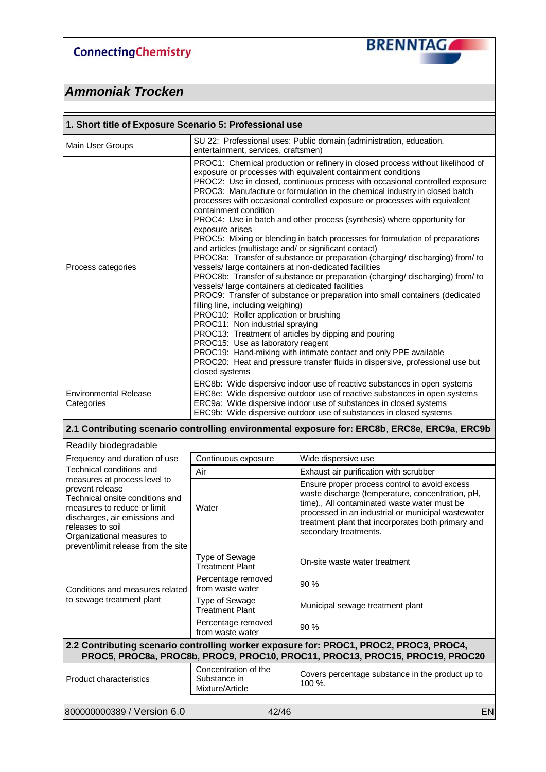

| 1. Short title of Exposure Scenario 5: Professional use                                                                                                                |                                                                                                                                                                                                                                                                                                                                                                                                                                                                                                                                                                                                                                                                                                                                                                                                                                                                                                                                                                                                                                                                                                                                                                                                                                                                                                                                                                                                                  |                                                                                                                                                                                                                                                                                        |  |  |  |
|------------------------------------------------------------------------------------------------------------------------------------------------------------------------|------------------------------------------------------------------------------------------------------------------------------------------------------------------------------------------------------------------------------------------------------------------------------------------------------------------------------------------------------------------------------------------------------------------------------------------------------------------------------------------------------------------------------------------------------------------------------------------------------------------------------------------------------------------------------------------------------------------------------------------------------------------------------------------------------------------------------------------------------------------------------------------------------------------------------------------------------------------------------------------------------------------------------------------------------------------------------------------------------------------------------------------------------------------------------------------------------------------------------------------------------------------------------------------------------------------------------------------------------------------------------------------------------------------|----------------------------------------------------------------------------------------------------------------------------------------------------------------------------------------------------------------------------------------------------------------------------------------|--|--|--|
| Main User Groups                                                                                                                                                       |                                                                                                                                                                                                                                                                                                                                                                                                                                                                                                                                                                                                                                                                                                                                                                                                                                                                                                                                                                                                                                                                                                                                                                                                                                                                                                                                                                                                                  | SU 22: Professional uses: Public domain (administration, education,<br>entertainment, services, craftsmen)                                                                                                                                                                             |  |  |  |
| Process categories                                                                                                                                                     | PROC1: Chemical production or refinery in closed process without likelihood of<br>exposure or processes with equivalent containment conditions<br>PROC2: Use in closed, continuous process with occasional controlled exposure<br>PROC3: Manufacture or formulation in the chemical industry in closed batch<br>processes with occasional controlled exposure or processes with equivalent<br>containment condition<br>PROC4: Use in batch and other process (synthesis) where opportunity for<br>exposure arises<br>PROC5: Mixing or blending in batch processes for formulation of preparations<br>and articles (multistage and/ or significant contact)<br>PROC8a: Transfer of substance or preparation (charging/ discharging) from/ to<br>vessels/ large containers at non-dedicated facilities<br>PROC8b: Transfer of substance or preparation (charging/ discharging) from/ to<br>vessels/ large containers at dedicated facilities<br>PROC9: Transfer of substance or preparation into small containers (dedicated<br>filling line, including weighing)<br>PROC10: Roller application or brushing<br>PROC11: Non industrial spraying<br>PROC13: Treatment of articles by dipping and pouring<br>PROC15: Use as laboratory reagent<br>PROC19: Hand-mixing with intimate contact and only PPE available<br>PROC20: Heat and pressure transfer fluids in dispersive, professional use but<br>closed systems |                                                                                                                                                                                                                                                                                        |  |  |  |
| <b>Environmental Release</b><br>Categories                                                                                                                             | ERC8b: Wide dispersive indoor use of reactive substances in open systems<br>ERC8e: Wide dispersive outdoor use of reactive substances in open systems<br>ERC9a: Wide dispersive indoor use of substances in closed systems<br>ERC9b: Wide dispersive outdoor use of substances in closed systems                                                                                                                                                                                                                                                                                                                                                                                                                                                                                                                                                                                                                                                                                                                                                                                                                                                                                                                                                                                                                                                                                                                 |                                                                                                                                                                                                                                                                                        |  |  |  |
|                                                                                                                                                                        |                                                                                                                                                                                                                                                                                                                                                                                                                                                                                                                                                                                                                                                                                                                                                                                                                                                                                                                                                                                                                                                                                                                                                                                                                                                                                                                                                                                                                  |                                                                                                                                                                                                                                                                                        |  |  |  |
|                                                                                                                                                                        |                                                                                                                                                                                                                                                                                                                                                                                                                                                                                                                                                                                                                                                                                                                                                                                                                                                                                                                                                                                                                                                                                                                                                                                                                                                                                                                                                                                                                  | 2.1 Contributing scenario controlling environmental exposure for: ERC8b, ERC8e, ERC9a, ERC9b                                                                                                                                                                                           |  |  |  |
| Readily biodegradable<br>Frequency and duration of use                                                                                                                 | Continuous exposure                                                                                                                                                                                                                                                                                                                                                                                                                                                                                                                                                                                                                                                                                                                                                                                                                                                                                                                                                                                                                                                                                                                                                                                                                                                                                                                                                                                              | Wide dispersive use                                                                                                                                                                                                                                                                    |  |  |  |
| Technical conditions and                                                                                                                                               | Air                                                                                                                                                                                                                                                                                                                                                                                                                                                                                                                                                                                                                                                                                                                                                                                                                                                                                                                                                                                                                                                                                                                                                                                                                                                                                                                                                                                                              | Exhaust air purification with scrubber                                                                                                                                                                                                                                                 |  |  |  |
| measures at process level to<br>prevent release<br>Technical onsite conditions and<br>measures to reduce or limit<br>discharges, air emissions and<br>releases to soil | Water                                                                                                                                                                                                                                                                                                                                                                                                                                                                                                                                                                                                                                                                                                                                                                                                                                                                                                                                                                                                                                                                                                                                                                                                                                                                                                                                                                                                            | Ensure proper process control to avoid excess<br>waste discharge (temperature, concentration, pH,<br>time)., All contaminated waste water must be<br>processed in an industrial or municipal wastewater<br>treatment plant that incorporates both primary and<br>secondary treatments. |  |  |  |
| Organizational measures to<br>prevent/limit release from the site                                                                                                      |                                                                                                                                                                                                                                                                                                                                                                                                                                                                                                                                                                                                                                                                                                                                                                                                                                                                                                                                                                                                                                                                                                                                                                                                                                                                                                                                                                                                                  |                                                                                                                                                                                                                                                                                        |  |  |  |
|                                                                                                                                                                        | <b>Type of Sewage</b><br><b>Treatment Plant</b>                                                                                                                                                                                                                                                                                                                                                                                                                                                                                                                                                                                                                                                                                                                                                                                                                                                                                                                                                                                                                                                                                                                                                                                                                                                                                                                                                                  | On-site waste water treatment                                                                                                                                                                                                                                                          |  |  |  |
| Conditions and measures related                                                                                                                                        | Percentage removed<br>from waste water                                                                                                                                                                                                                                                                                                                                                                                                                                                                                                                                                                                                                                                                                                                                                                                                                                                                                                                                                                                                                                                                                                                                                                                                                                                                                                                                                                           | 90 %                                                                                                                                                                                                                                                                                   |  |  |  |
| to sewage treatment plant                                                                                                                                              | Type of Sewage<br><b>Treatment Plant</b>                                                                                                                                                                                                                                                                                                                                                                                                                                                                                                                                                                                                                                                                                                                                                                                                                                                                                                                                                                                                                                                                                                                                                                                                                                                                                                                                                                         | Municipal sewage treatment plant                                                                                                                                                                                                                                                       |  |  |  |
|                                                                                                                                                                        | Percentage removed<br>from waste water                                                                                                                                                                                                                                                                                                                                                                                                                                                                                                                                                                                                                                                                                                                                                                                                                                                                                                                                                                                                                                                                                                                                                                                                                                                                                                                                                                           | 90 %                                                                                                                                                                                                                                                                                   |  |  |  |
|                                                                                                                                                                        |                                                                                                                                                                                                                                                                                                                                                                                                                                                                                                                                                                                                                                                                                                                                                                                                                                                                                                                                                                                                                                                                                                                                                                                                                                                                                                                                                                                                                  | 2.2 Contributing scenario controlling worker exposure for: PROC1, PROC2, PROC3, PROC4,<br>PROC5, PROC8a, PROC8b, PROC9, PROC10, PROC11, PROC13, PROC15, PROC19, PROC20                                                                                                                 |  |  |  |
| <b>Product characteristics</b>                                                                                                                                         | Concentration of the<br>Substance in<br>Mixture/Article                                                                                                                                                                                                                                                                                                                                                                                                                                                                                                                                                                                                                                                                                                                                                                                                                                                                                                                                                                                                                                                                                                                                                                                                                                                                                                                                                          | Covers percentage substance in the product up to<br>100 %.                                                                                                                                                                                                                             |  |  |  |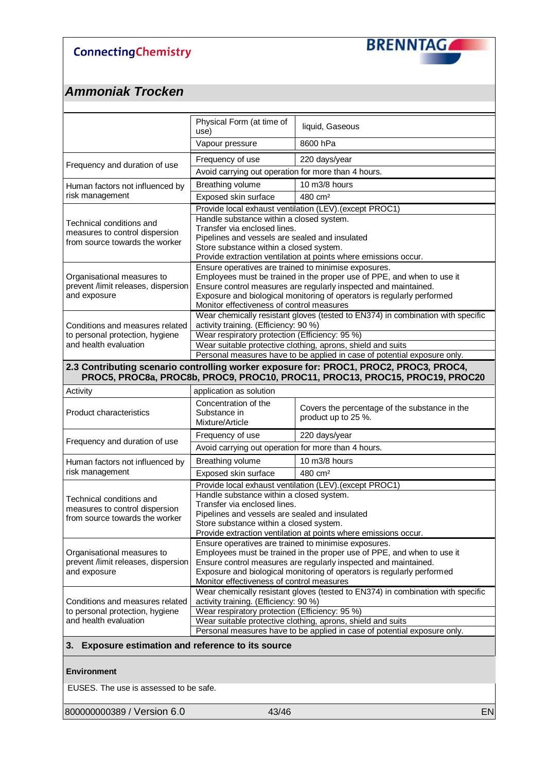

## *Ammoniak Trocken*

|                                                                   | Physical Form (at time of<br>use)                                                                                   | liquid, Gaseous                                                                                                                                                        |  |
|-------------------------------------------------------------------|---------------------------------------------------------------------------------------------------------------------|------------------------------------------------------------------------------------------------------------------------------------------------------------------------|--|
|                                                                   | Vapour pressure                                                                                                     | 8600 hPa                                                                                                                                                               |  |
| Frequency and duration of use                                     | Frequency of use                                                                                                    | 220 days/year                                                                                                                                                          |  |
|                                                                   | Avoid carrying out operation for more than 4 hours.                                                                 |                                                                                                                                                                        |  |
| Human factors not influenced by                                   | Breathing volume                                                                                                    | 10 m3/8 hours                                                                                                                                                          |  |
| risk management                                                   | Exposed skin surface                                                                                                | 480 cm <sup>2</sup>                                                                                                                                                    |  |
|                                                                   |                                                                                                                     | Provide local exhaust ventilation (LEV). (except PROC1)                                                                                                                |  |
| Technical conditions and                                          | Handle substance within a closed system.<br>Transfer via enclosed lines.                                            |                                                                                                                                                                        |  |
| measures to control dispersion                                    | Pipelines and vessels are sealed and insulated                                                                      |                                                                                                                                                                        |  |
| from source towards the worker                                    | Store substance within a closed system.                                                                             |                                                                                                                                                                        |  |
|                                                                   |                                                                                                                     | Provide extraction ventilation at points where emissions occur.                                                                                                        |  |
|                                                                   | Ensure operatives are trained to minimise exposures.                                                                |                                                                                                                                                                        |  |
| Organisational measures to<br>prevent /limit releases, dispersion |                                                                                                                     | Employees must be trained in the proper use of PPE, and when to use it<br>Ensure control measures are regularly inspected and maintained.                              |  |
| and exposure                                                      |                                                                                                                     | Exposure and biological monitoring of operators is regularly performed                                                                                                 |  |
|                                                                   | Monitor effectiveness of control measures                                                                           |                                                                                                                                                                        |  |
|                                                                   |                                                                                                                     | Wear chemically resistant gloves (tested to EN374) in combination with specific                                                                                        |  |
| Conditions and measures related                                   | activity training. (Efficiency: 90 %)                                                                               |                                                                                                                                                                        |  |
| to personal protection, hygiene                                   | Wear respiratory protection (Efficiency: 95 %)                                                                      |                                                                                                                                                                        |  |
| and health evaluation                                             | Wear suitable protective clothing, aprons, shield and suits                                                         |                                                                                                                                                                        |  |
|                                                                   |                                                                                                                     | Personal measures have to be applied in case of potential exposure only.                                                                                               |  |
|                                                                   |                                                                                                                     | 2.3 Contributing scenario controlling worker exposure for: PROC1, PROC2, PROC3, PROC4,<br>PROC5, PROC8a, PROC8b, PROC9, PROC10, PROC11, PROC13, PROC15, PROC19, PROC20 |  |
| Activity                                                          | application as solution                                                                                             |                                                                                                                                                                        |  |
|                                                                   | Concentration of the                                                                                                | Covers the percentage of the substance in the                                                                                                                          |  |
| <b>Product characteristics</b>                                    | Substance in                                                                                                        | product up to 25 %.                                                                                                                                                    |  |
|                                                                   | Mixture/Article                                                                                                     |                                                                                                                                                                        |  |
| Frequency and duration of use                                     | Frequency of use                                                                                                    | 220 days/year                                                                                                                                                          |  |
|                                                                   | Avoid carrying out operation for more than 4 hours.                                                                 |                                                                                                                                                                        |  |
| Human factors not influenced by                                   | Breathing volume                                                                                                    | 10 m3/8 hours                                                                                                                                                          |  |
| risk management                                                   | Exposed skin surface                                                                                                | 480 cm <sup>2</sup>                                                                                                                                                    |  |
|                                                                   |                                                                                                                     | Provide local exhaust ventilation (LEV). (except PROC1)                                                                                                                |  |
| Technical conditions and                                          | Handle substance within a closed system.<br>Transfer via enclosed lines.                                            |                                                                                                                                                                        |  |
| measures to control dispersion                                    | Pipelines and vessels are sealed and insulated                                                                      |                                                                                                                                                                        |  |
| from source towards the worker                                    | Store substance within a closed system.                                                                             |                                                                                                                                                                        |  |
|                                                                   |                                                                                                                     | Provide extraction ventilation at points where emissions occur.                                                                                                        |  |
|                                                                   | Ensure operatives are trained to minimise exposures.                                                                |                                                                                                                                                                        |  |
| Organisational measures to                                        |                                                                                                                     | Employees must be trained in the proper use of PPE, and when to use it                                                                                                 |  |
| prevent /limit releases, dispersion                               | Ensure control measures are regularly inspected and maintained.                                                     |                                                                                                                                                                        |  |
| and exposure                                                      | Exposure and biological monitoring of operators is regularly performed<br>Monitor effectiveness of control measures |                                                                                                                                                                        |  |
|                                                                   |                                                                                                                     | Wear chemically resistant gloves (tested to EN374) in combination with specific                                                                                        |  |
| Conditions and measures related                                   | activity training. (Efficiency: 90 %)                                                                               |                                                                                                                                                                        |  |
| to personal protection, hygiene                                   | Wear respiratory protection (Efficiency: 95 %)                                                                      |                                                                                                                                                                        |  |
| and health evaluation                                             |                                                                                                                     | Wear suitable protective clothing, aprons, shield and suits                                                                                                            |  |
|                                                                   |                                                                                                                     | Personal measures have to be applied in case of potential exposure only.                                                                                               |  |
| <b>Exposure estimation and reference to its source</b>            |                                                                                                                     |                                                                                                                                                                        |  |

#### **Environment**

EUSES. The use is assessed to be safe.

800000000389 / Version 6.0 43/46 April 200000000389 / Version 6.0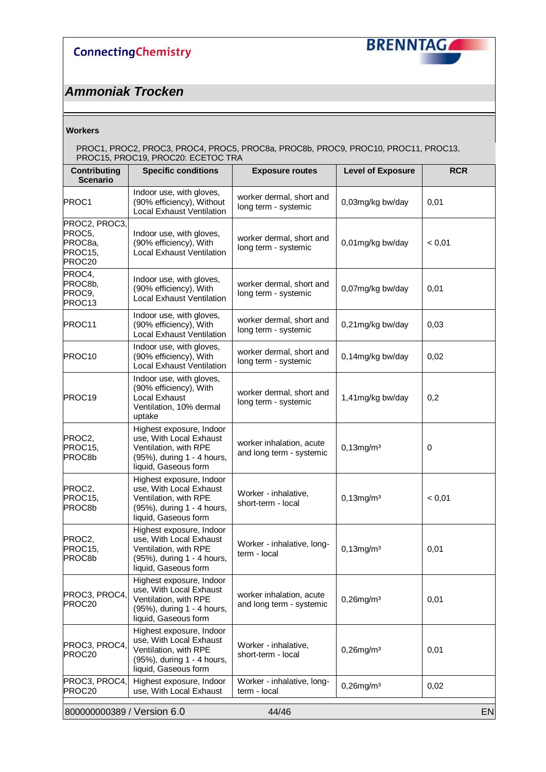

## *Ammoniak Trocken*

#### **Workers**

| Contributing                                            | <b>Specific conditions</b>                                                                                                         | <b>Exposure routes</b>                               | <b>Level of Exposure</b> | <b>RCR</b> |
|---------------------------------------------------------|------------------------------------------------------------------------------------------------------------------------------------|------------------------------------------------------|--------------------------|------------|
| <b>Scenario</b>                                         |                                                                                                                                    |                                                      |                          |            |
| PROC1                                                   | Indoor use, with gloves,<br>(90% efficiency), Without<br><b>Local Exhaust Ventilation</b>                                          | worker dermal, short and<br>long term - systemic     | 0,03mg/kg bw/day         | 0,01       |
| PROC2, PROC3,<br>PROC5,<br>PROC8a,<br>PROC15.<br>PROC20 | Indoor use, with gloves,<br>(90% efficiency), With<br><b>Local Exhaust Ventilation</b>                                             | worker dermal, short and<br>long term - systemic     | 0,01mg/kg bw/day         | < 0,01     |
| PROC4,<br>PROC8b,<br>PROC9,<br>PROC13                   | Indoor use, with gloves,<br>(90% efficiency), With<br><b>Local Exhaust Ventilation</b>                                             | worker dermal, short and<br>long term - systemic     | 0,07mg/kg bw/day         | 0,01       |
| PROC11                                                  | Indoor use, with gloves,<br>(90% efficiency), With<br><b>Local Exhaust Ventilation</b>                                             | worker dermal, short and<br>long term - systemic     | 0,21mg/kg bw/day         | 0,03       |
| PROC10                                                  | Indoor use, with gloves,<br>(90% efficiency), With<br><b>Local Exhaust Ventilation</b>                                             | worker dermal, short and<br>long term - systemic     | 0,14mg/kg bw/day         | 0,02       |
| PROC19                                                  | Indoor use, with gloves,<br>(90% efficiency), With<br>Local Exhaust<br>Ventilation, 10% dermal<br>uptake                           | worker dermal, short and<br>long term - systemic     | 1,41mg/kg bw/day         | 0,2        |
| PROC2,<br>PROC15,<br>PROC8b                             | Highest exposure, Indoor<br>use, With Local Exhaust<br>Ventilation, with RPE<br>(95%), during 1 - 4 hours,<br>liquid, Gaseous form | worker inhalation, acute<br>and long term - systemic | $0,13$ mg/m $3$          | 0          |
| PROC2,<br>PROC15,<br>PROC8b                             | Highest exposure, Indoor<br>use, With Local Exhaust<br>Ventilation, with RPE<br>(95%), during 1 - 4 hours,<br>liquid, Gaseous form | Worker - inhalative,<br>short-term - local           | $0,13$ mg/m $3$          | < 0,01     |
| PROC2,<br>PROC15,<br>PROC8D                             | Highest exposure, Indoor<br>use, With Local Exhaust<br>Ventilation, with RPE<br>(95%), during 1 - 4 hours,<br>liquid, Gaseous form | Worker - inhalative, long-<br>term - local           | $0,13$ mg/m $3$          | 0,01       |
| PROC3, PROC4,<br>PROC20                                 | Highest exposure, Indoor<br>use, With Local Exhaust<br>Ventilation, with RPE<br>(95%), during 1 - 4 hours,<br>liquid, Gaseous form | worker inhalation, acute<br>and long term - systemic | $0,26$ mg/m $3$          | 0,01       |
| PROC3, PROC4,<br>PROC20                                 | Highest exposure, Indoor<br>use, With Local Exhaust<br>Ventilation, with RPE<br>(95%), during 1 - 4 hours,<br>liquid, Gaseous form | Worker - inhalative,<br>short-term - local           | $0,26$ mg/m $3$          | 0,01       |
| PROC3, PROC4,<br>PROC20                                 | Highest exposure, Indoor<br>use, With Local Exhaust                                                                                | Worker - inhalative, long-<br>term - local           | $0,26$ mg/m $3$          | 0,02       |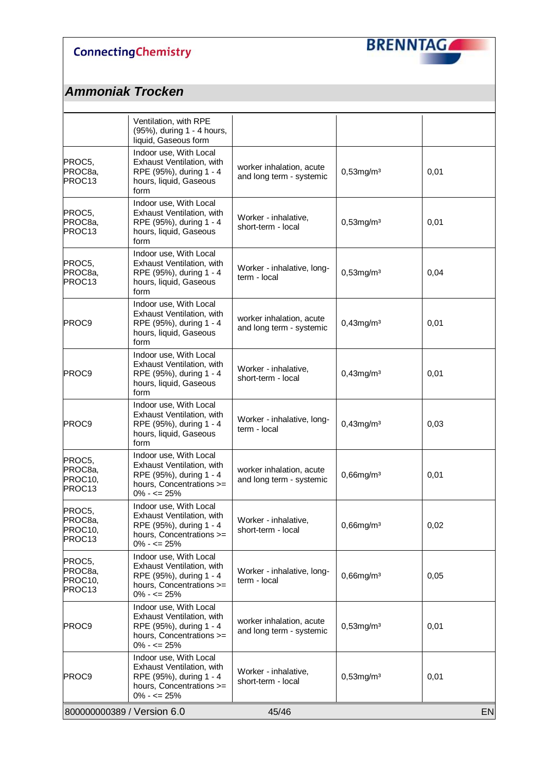

|                                                    | Ventilation, with RPE<br>(95%), during 1 - 4 hours,<br>liquid, Gaseous form                                                    |                                                      |                 |           |
|----------------------------------------------------|--------------------------------------------------------------------------------------------------------------------------------|------------------------------------------------------|-----------------|-----------|
| PROC5,<br>PROC8a,<br>PROC <sub>13</sub>            | Indoor use, With Local<br>Exhaust Ventilation, with<br>RPE (95%), during 1 - 4<br>hours, liquid, Gaseous<br>form               | worker inhalation, acute<br>and long term - systemic | $0,53$ mg/m $3$ | 0,01      |
| PROC5,<br>PROC8a,<br>PROC <sub>13</sub>            | Indoor use, With Local<br>Exhaust Ventilation, with<br>RPE (95%), during 1 - 4<br>hours, liquid, Gaseous<br>form               | Worker - inhalative,<br>short-term - local           | $0,53$ mg/m $3$ | 0,01      |
| PROC5,<br>PROC8a,<br>PROC13                        | Indoor use, With Local<br>Exhaust Ventilation, with<br>RPE (95%), during 1 - 4<br>hours, liquid, Gaseous<br>form               | Worker - inhalative, long-<br>term - local           | $0,53$ mg/m $3$ | 0,04      |
| PROC9                                              | Indoor use, With Local<br>Exhaust Ventilation, with<br>RPE (95%), during 1 - 4<br>hours, liquid, Gaseous<br>form               | worker inhalation, acute<br>and long term - systemic | $0,43$ mg/m $3$ | 0,01      |
| PROC9                                              | Indoor use, With Local<br>Exhaust Ventilation, with<br>RPE (95%), during 1 - 4<br>hours, liquid, Gaseous<br>form               | Worker - inhalative,<br>short-term - local           | $0,43$ mg/m $3$ | 0,01      |
| PROC9                                              | Indoor use, With Local<br>Exhaust Ventilation, with<br>RPE (95%), during 1 - 4<br>hours, liquid, Gaseous<br>form               | Worker - inhalative, long-<br>term - local           | $0,43$ mg/m $3$ | 0,03      |
| PROC5,<br>PROC8a,<br>PROC10,<br>PROC <sub>13</sub> | Indoor use, With Local<br>Exhaust Ventilation, with<br>RPE (95%), during 1 - 4<br>hours, Concentrations >=<br>$0\% - \le 25\%$ | worker inhalation, acute<br>and long term - systemic | $0,66$ mg/m $3$ | 0,01      |
| PROC5,<br> PROC8a,<br>PROC10,<br>PROC13            | Indoor use, With Local<br>Exhaust Ventilation, with<br>RPE (95%), during 1 - 4<br>hours, Concentrations >=<br>$0\% - \le 25\%$ | Worker - inhalative,<br>short-term - local           | $0,66$ mg/m $3$ | 0,02      |
| PROC5,<br>PROC8a,<br>PROC10,<br>PROC13             | Indoor use, With Local<br>Exhaust Ventilation, with<br>RPE (95%), during 1 - 4<br>hours, Concentrations >=<br>$0\% - \le 25\%$ | Worker - inhalative, long-<br>term - local           | $0,66$ mg/m $3$ | 0,05      |
| <b>PROC9</b>                                       | Indoor use, With Local<br>Exhaust Ventilation, with<br>RPE (95%), during 1 - 4<br>hours, Concentrations >=<br>$0\% - \le 25\%$ | worker inhalation, acute<br>and long term - systemic | $0,53$ mg/m $3$ | 0,01      |
| PROC9                                              | Indoor use, With Local<br>Exhaust Ventilation, with<br>RPE (95%), during 1 - 4<br>hours, Concentrations >=<br>$0\% - \le 25\%$ | Worker - inhalative,<br>short-term - local           | $0,53$ mg/m $3$ | 0,01      |
| 800000000389 / Version 6.0                         |                                                                                                                                | 45/46                                                |                 | <b>EN</b> |